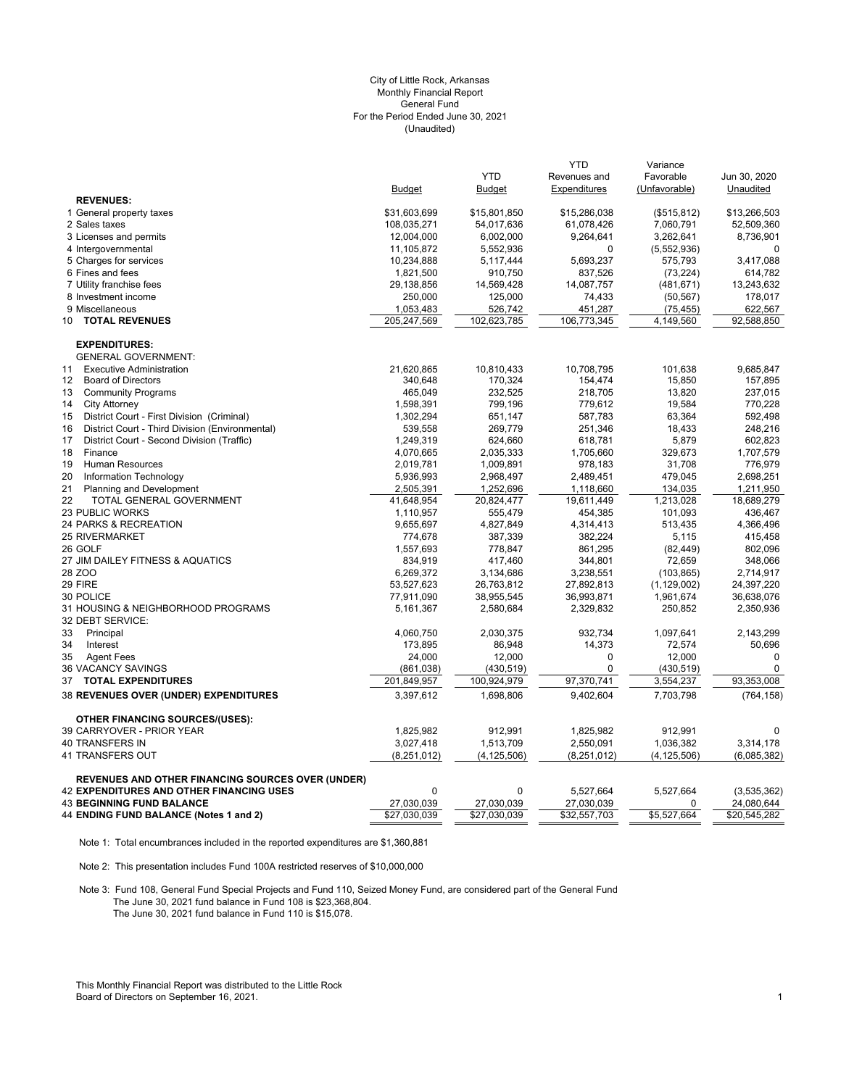# (Unaudited) City of Little Rock, Arkansas Monthly Financial Report General Fund For the Period Ended June 30, 2021

|                                                          |               |               | <b>YTD</b>    | Variance      |              |
|----------------------------------------------------------|---------------|---------------|---------------|---------------|--------------|
|                                                          |               | <b>YTD</b>    | Revenues and  | Favorable     | Jun 30, 2020 |
|                                                          | <b>Budget</b> | <b>Budget</b> | Expenditures  | (Unfavorable) | Unaudited    |
| <b>REVENUES:</b>                                         |               |               |               |               |              |
| 1 General property taxes                                 | \$31,603,699  | \$15,801,850  | \$15,286,038  | (\$515,812)   | \$13,266,503 |
| 2 Sales taxes                                            | 108,035,271   | 54,017,636    | 61,078,426    | 7,060,791     | 52,509,360   |
| 3 Licenses and permits                                   | 12,004,000    | 6,002,000     | 9,264,641     | 3,262,641     | 8,736,901    |
| 4 Intergovernmental                                      | 11,105,872    | 5,552,936     | 0             | (5,552,936)   | $\Omega$     |
| 5 Charges for services                                   | 10,234,888    | 5,117,444     | 5,693,237     | 575,793       | 3,417,088    |
| 6 Fines and fees                                         | 1,821,500     | 910,750       | 837,526       | (73, 224)     | 614,782      |
| 7 Utility franchise fees                                 | 29,138,856    | 14,569,428    | 14,087,757    | (481, 671)    | 13,243,632   |
| 8 Investment income                                      | 250,000       | 125,000       | 74,433        | (50, 567)     | 178,017      |
| 9 Miscellaneous                                          | 1,053,483     | 526,742       | 451,287       | (75, 455)     | 622,567      |
| <b>TOTAL REVENUES</b><br>10                              | 205,247,569   | 102,623,785   | 106,773,345   | 4,149,560     | 92,588,850   |
| <b>EXPENDITURES:</b>                                     |               |               |               |               |              |
| <b>GENERAL GOVERNMENT:</b>                               |               |               |               |               |              |
| <b>Executive Administration</b><br>11                    | 21,620,865    | 10,810,433    | 10,708,795    | 101,638       | 9,685,847    |
| 12<br><b>Board of Directors</b>                          | 340,648       | 170,324       | 154,474       | 15,850        | 157,895      |
| 13<br><b>Community Programs</b>                          | 465,049       | 232,525       | 218,705       | 13,820        | 237,015      |
| 14<br><b>City Attorney</b>                               | 1,598,391     | 799,196       | 779,612       | 19,584        | 770,228      |
| District Court - First Division (Criminal)<br>15         | 1,302,294     | 651,147       | 587,783       | 63,364        | 592,498      |
| District Court - Third Division (Environmental)<br>16    | 539,558       | 269,779       | 251,346       | 18,433        | 248,216      |
| 17<br>District Court - Second Division (Traffic)         | 1,249,319     | 624,660       | 618,781       | 5,879         | 602.823      |
| 18<br>Finance                                            | 4,070,665     | 2,035,333     | 1,705,660     | 329,673       | 1,707,579    |
| 19<br><b>Human Resources</b>                             | 2,019,781     | 1,009,891     | 978,183       | 31.708        | 776,979      |
| 20<br>Information Technology                             | 5,936,993     | 2,968,497     | 2,489,451     | 479,045       | 2,698,251    |
| 21<br><b>Planning and Development</b>                    | 2,505,391     | 1,252,696     | 1,118,660     | 134,035       | 1,211,950    |
| 22<br>TOTAL GENERAL GOVERNMENT                           | 41,648,954    | 20,824,477    | 19,611,449    | 1,213,028     | 18,689,279   |
| 23 PUBLIC WORKS                                          | 1,110,957     | 555,479       | 454,385       | 101,093       | 436,467      |
| 24 PARKS & RECREATION                                    | 9,655,697     | 4,827,849     | 4,314,413     | 513,435       | 4,366,496    |
| <b>25 RIVERMARKET</b>                                    | 774,678       | 387,339       | 382,224       | 5,115         | 415,458      |
| 26 GOLF                                                  | 1,557,693     | 778.847       | 861,295       | (82, 449)     | 802,096      |
| 27 JIM DAILEY FITNESS & AQUATICS                         | 834,919       | 417,460       | 344,801       | 72,659        | 348,066      |
| 28 ZOO                                                   | 6,269,372     | 3,134,686     | 3,238,551     | (103, 865)    | 2,714,917    |
| 29 FIRE                                                  | 53,527,623    | 26,763,812    | 27,892,813    | (1, 129, 002) | 24,397,220   |
| 30 POLICE                                                | 77,911,090    | 38,955,545    | 36,993,871    | 1,961,674     | 36,638,076   |
| 31 HOUSING & NEIGHBORHOOD PROGRAMS<br>32 DEBT SERVICE:   | 5,161,367     | 2,580,684     | 2,329,832     | 250,852       | 2,350,936    |
| 33<br>Principal                                          | 4,060,750     | 2,030,375     | 932,734       | 1,097,641     | 2,143,299    |
| Interest<br>34                                           | 173,895       | 86,948        | 14,373        | 72,574        | 50,696       |
| 35<br><b>Agent Fees</b>                                  | 24,000        | 12,000        | 0             | 12,000        | $\mathbf 0$  |
| 36 VACANCY SAVINGS                                       | (861,038)     | (430, 519)    | $\Omega$      | (430, 519)    | $\mathbf 0$  |
| <b>TOTAL EXPENDITURES</b><br>37                          | 201,849,957   | 100,924,979   | 97,370,741    | 3,554,237     | 93,353,008   |
| 38 REVENUES OVER (UNDER) EXPENDITURES                    | 3,397,612     | 1.698.806     | 9,402,604     | 7,703,798     | (764, 158)   |
|                                                          |               |               |               |               |              |
| <b>OTHER FINANCING SOURCES/(USES):</b>                   |               |               |               |               |              |
| 39 CARRYOVER - PRIOR YEAR                                | 1,825,982     | 912,991       | 1,825,982     | 912,991       | 0            |
| 40 TRANSFERS IN                                          | 3,027,418     | 1,513,709     | 2,550,091     | 1,036,382     | 3,314,178    |
| 41 TRANSFERS OUT                                         | (8,251,012)   | (4, 125, 506) | (8, 251, 012) | (4, 125, 506) | (6,085,382)  |
| <b>REVENUES AND OTHER FINANCING SOURCES OVER (UNDER)</b> |               |               |               |               |              |
| <b>42 EXPENDITURES AND OTHER FINANCING USES</b>          | $\Omega$      | 0             | 5,527,664     | 5,527,664     | (3,535,362)  |
| <b>43 BEGINNING FUND BALANCE</b>                         | 27,030,039    | 27,030,039    | 27,030,039    | $\Omega$      | 24,080,644   |
| 44 ENDING FUND BALANCE (Notes 1 and 2)                   | \$27,030,039  | \$27,030,039  | \$32,557,703  | \$5,527,664   | \$20,545,282 |

Note 1: Total encumbrances included in the reported expenditures are \$1,360,881

Note 2: This presentation includes Fund 100A restricted reserves of \$10,000,000

Note 3: Fund 108, General Fund Special Projects and Fund 110, Seized Money Fund, are considered part of the General Fund The June 30, 2021 fund balance in Fund 108 is \$23,368,804. The June 30, 2021 fund balance in Fund 110 is \$15,078.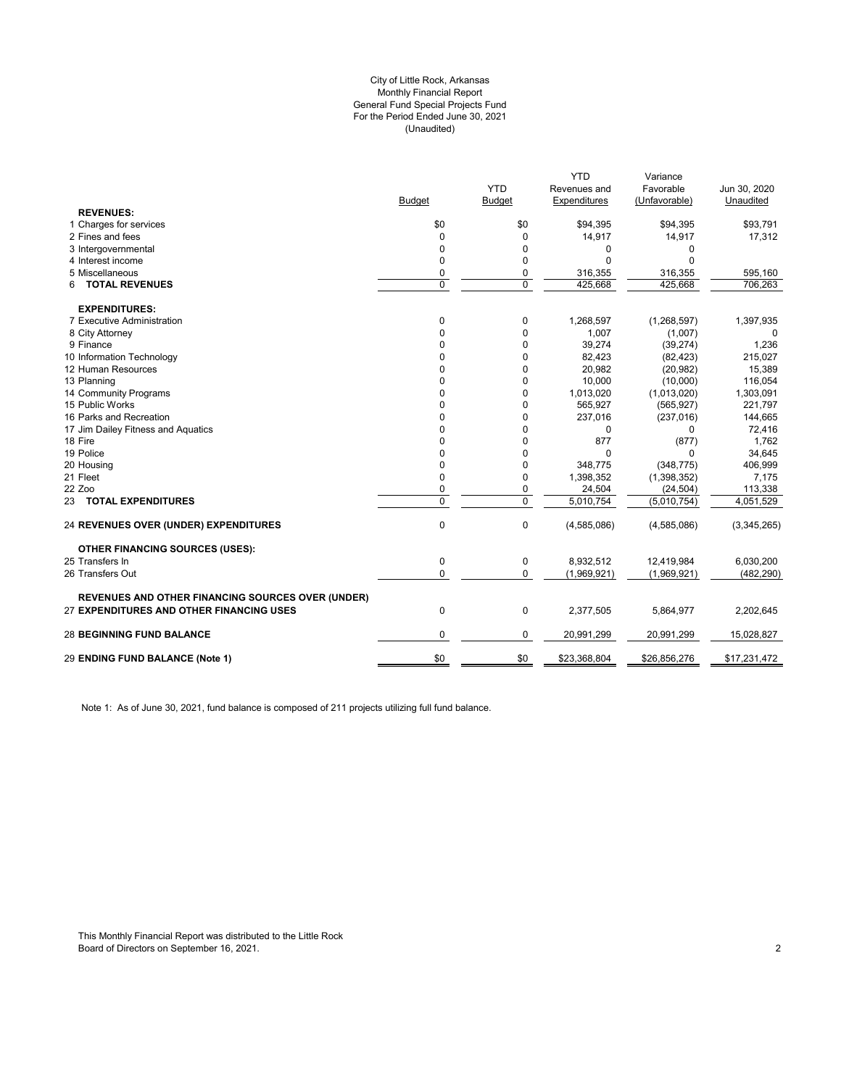### (Unaudited) City of Little Rock, Arkansas Monthly Financial Report General Fund Special Projects Fund For the Period Ended June 30, 2021

|                                                          |               |                | <b>YTD</b>   | Variance      |              |
|----------------------------------------------------------|---------------|----------------|--------------|---------------|--------------|
|                                                          |               | <b>YTD</b>     | Revenues and | Favorable     | Jun 30, 2020 |
|                                                          | <b>Budget</b> | Budget         | Expenditures | (Unfavorable) | Unaudited    |
| <b>REVENUES:</b>                                         |               |                |              |               |              |
| 1 Charges for services                                   | \$0           | \$0            | \$94,395     | \$94,395      | \$93,791     |
| 2 Fines and fees                                         | $\Omega$      | $\mathbf 0$    | 14,917       | 14,917        | 17,312       |
| 3 Intergovernmental                                      | 0             | 0              | 0            | 0             |              |
| 4 Interest income                                        | 0             | 0              | $\Omega$     | $\Omega$      |              |
| 5 Miscellaneous                                          | 0             | 0              | 316,355      | 316,355       | 595,160      |
| <b>TOTAL REVENUES</b><br>6                               | $\Omega$      | $\overline{0}$ | 425.668      | 425.668       | 706.263      |
| <b>EXPENDITURES:</b>                                     |               |                |              |               |              |
| 7 Executive Administration                               | 0             | 0              | 1,268,597    | (1,268,597)   | 1,397,935    |
| 8 City Attorney                                          | $\Omega$      | $\mathbf 0$    | 1,007        | (1,007)       | $\Omega$     |
| 9 Finance                                                | 0             | $\mathbf 0$    | 39,274       | (39, 274)     | 1,236        |
| 10 Information Technology                                | $\Omega$      | 0              | 82,423       | (82, 423)     | 215,027      |
| 12 Human Resources                                       | $\Omega$      | 0              | 20,982       | (20, 982)     | 15,389       |
| 13 Planning                                              | 0             | 0              | 10,000       | (10,000)      | 116,054      |
| 14 Community Programs                                    | 0             | 0              | 1,013,020    | (1,013,020)   | 1,303,091    |
| 15 Public Works                                          | 0             | $\mathbf 0$    | 565,927      | (565, 927)    | 221,797      |
| 16 Parks and Recreation                                  | $\Omega$      | 0              | 237,016      | (237, 016)    | 144,665      |
| 17 Jim Dailey Fitness and Aquatics                       | 0             | 0              | 0            | $\Omega$      | 72,416       |
| 18 Fire                                                  | 0             | $\mathbf 0$    | 877          | (877)         | 1,762        |
| 19 Police                                                | 0             | 0              | $\Omega$     | 0             | 34,645       |
| 20 Housing                                               | 0             | $\mathbf 0$    | 348,775      | (348, 775)    | 406,999      |
| 21 Fleet                                                 | 0             | $\mathbf 0$    | 1,398,352    | (1,398,352)   | 7,175        |
| 22 Zoo                                                   | 0             | 0              | 24,504       | (24, 504)     | 113,338      |
| 23 TOTAL EXPENDITURES                                    | $\Omega$      | $\mathbf 0$    | 5,010,754    | (5,010,754)   | 4,051,529    |
| <b>24 REVENUES OVER (UNDER) EXPENDITURES</b>             | $\pmb{0}$     | $\mathbf 0$    | (4,585,086)  | (4,585,086)   | (3,345,265)  |
| <b>OTHER FINANCING SOURCES (USES):</b>                   |               |                |              |               |              |
| 25 Transfers In                                          | $\mathbf 0$   | $\mathbf 0$    | 8.932.512    | 12.419.984    | 6.030.200    |
| 26 Transfers Out                                         | 0             | 0              | (1,969,921)  | (1,969,921)   | (482, 290)   |
| <b>REVENUES AND OTHER FINANCING SOURCES OVER (UNDER)</b> |               |                |              |               |              |
| 27 EXPENDITURES AND OTHER FINANCING USES                 | $\mathbf 0$   | $\mathbf 0$    | 2,377,505    | 5,864,977     | 2,202,645    |
| <b>28 BEGINNING FUND BALANCE</b>                         | 0             | 0              | 20,991,299   | 20,991,299    | 15,028,827   |
| 29 ENDING FUND BALANCE (Note 1)                          | \$0           | \$0            | \$23,368,804 | \$26,856,276  | \$17,231,472 |
|                                                          |               |                |              |               |              |

Note 1: As of June 30, 2021, fund balance is composed of 211 projects utilizing full fund balance.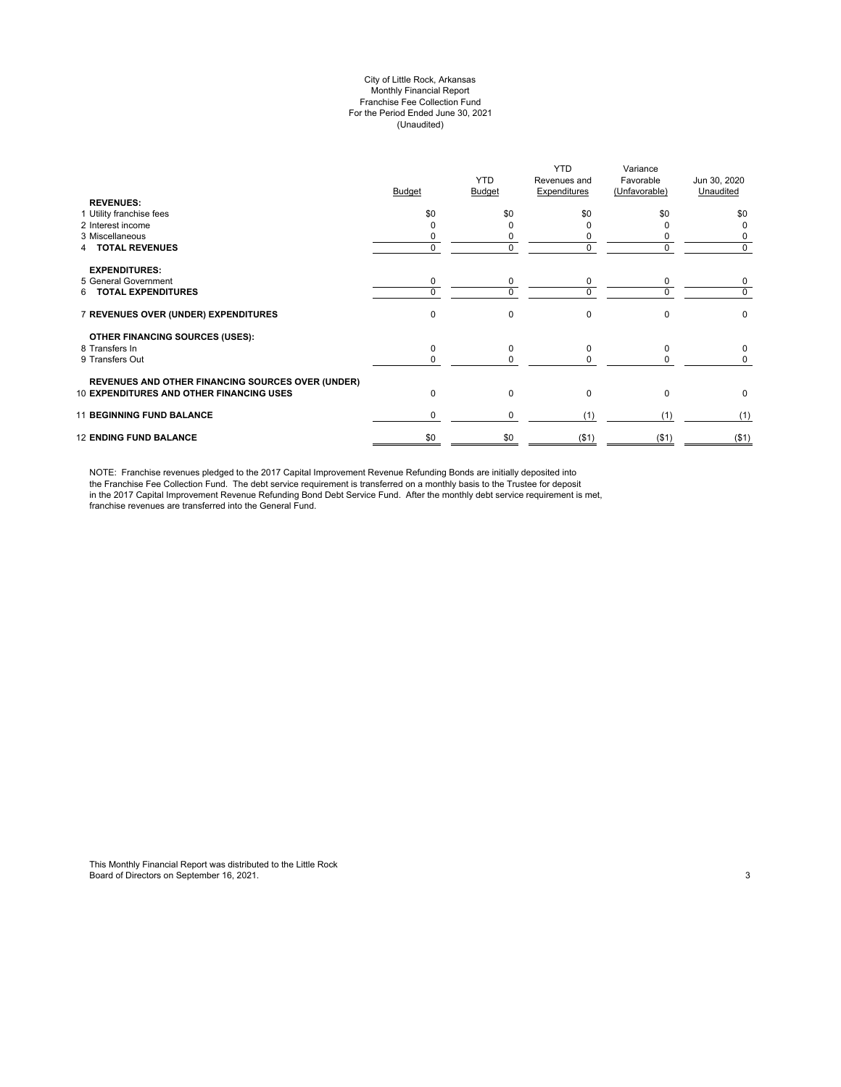### City of Little Rock, Arkansas Monthly Financial Report Franchise Fee Collection Fund For the Period Ended June 30, 2021 (Unaudited)

| <b>REVENUES:</b>                                         | <b>Budget</b> | <b>YTD</b><br>Budget | <b>YTD</b><br>Revenues and<br>Expenditures | Variance<br>Favorable<br>(Unfavorable) | Jun 30, 2020<br>Unaudited |
|----------------------------------------------------------|---------------|----------------------|--------------------------------------------|----------------------------------------|---------------------------|
| 1 Utility franchise fees                                 | \$0           | \$0                  | \$0                                        | \$0                                    | \$0                       |
| 2 Interest income                                        |               |                      |                                            |                                        | 0                         |
| 3 Miscellaneous                                          |               | 0                    | C                                          |                                        | 0                         |
| <b>TOTAL REVENUES</b>                                    | 0             | 0                    | 0                                          | $\Omega$                               | 0                         |
| <b>EXPENDITURES:</b>                                     |               |                      |                                            |                                        |                           |
| 5 General Government                                     | 0             | 0                    | 0                                          | 0                                      | 0                         |
| <b>TOTAL EXPENDITURES</b><br>6.                          | $\Omega$      | 0                    | $\Omega$                                   | $\Omega$                               | 0                         |
| 7 REVENUES OVER (UNDER) EXPENDITURES                     | $\Omega$      | 0                    | $\mathbf 0$                                | $\Omega$                               | $\pmb{0}$                 |
| <b>OTHER FINANCING SOURCES (USES):</b>                   |               |                      |                                            |                                        |                           |
| 8 Transfers In                                           | $\Omega$      | 0                    | $\mathbf 0$                                | $\Omega$                               | 0                         |
| 9 Transfers Out                                          |               | 0                    | O                                          |                                        | 0                         |
| <b>REVENUES AND OTHER FINANCING SOURCES OVER (UNDER)</b> |               |                      |                                            |                                        |                           |
| <b>10 EXPENDITURES AND OTHER FINANCING USES</b>          | $\Omega$      | 0                    | $\Omega$                                   | $\Omega$                               | 0                         |
| <b>11 BEGINNING FUND BALANCE</b>                         | 0             | 0                    | (1)                                        | (1)                                    | (1)                       |
| <b>12 ENDING FUND BALANCE</b>                            | \$0           | \$0                  | ( \$1)                                     | $($ \$1)                               | ( \$1)                    |

NOTE: Franchise revenues pledged to the 2017 Capital Improvement Revenue Refunding Bonds are initially deposited into the Franchise Fee Collection Fund. The debt service requirement is transferred on a monthly basis to the Trustee for deposit in the 2017 Capital Improvement Revenue Refunding Bond Debt Service Fund. After the monthly debt service requirement is met, franchise revenues are transferred into the General Fund.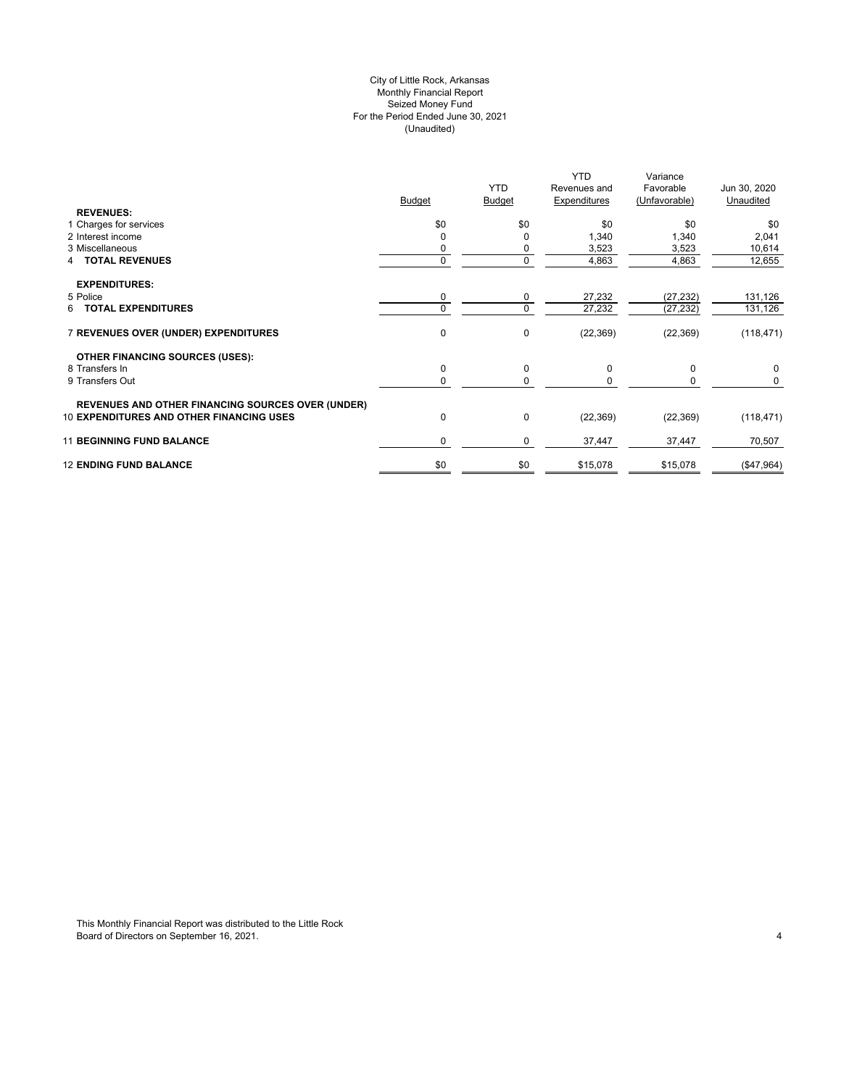# City of Little Rock, Arkansas (Unaudited) For the Period Ended June 30, 2021 Seized Money Fund Monthly Financial Report

|                                                          | <b>Budget</b> | <b>YTD</b><br><b>Budget</b> | <b>YTD</b><br>Revenues and<br>Expenditures | Variance<br>Favorable<br>(Unfavorable) | Jun 30, 2020<br>Unaudited |
|----------------------------------------------------------|---------------|-----------------------------|--------------------------------------------|----------------------------------------|---------------------------|
| <b>REVENUES:</b><br>1 Charges for services               | \$0           | \$0                         | \$0                                        | \$0                                    | \$0                       |
| 2 Interest income                                        |               | 0                           | 1,340                                      | 1,340                                  | 2,041                     |
| 3 Miscellaneous                                          |               | 0                           | 3,523                                      | 3,523                                  | 10,614                    |
| <b>4 TOTAL REVENUES</b>                                  |               | 0                           | 4,863                                      | 4,863                                  | 12,655                    |
| <b>EXPENDITURES:</b>                                     |               |                             |                                            |                                        |                           |
| 5 Police                                                 | 0             | 0                           | 27,232                                     | (27, 232)                              | 131,126                   |
| <b>TOTAL EXPENDITURES</b><br>6                           |               | 0                           | 27,232                                     | (27, 232)                              | 131,126                   |
| 7 REVENUES OVER (UNDER) EXPENDITURES                     | $\mathbf 0$   | 0                           | (22, 369)                                  | (22, 369)                              | (118, 471)                |
| OTHER FINANCING SOURCES (USES):                          |               |                             |                                            |                                        |                           |
| 8 Transfers In                                           | 0             | 0                           | $\mathbf 0$                                | $\mathbf 0$                            | 0                         |
| 9 Transfers Out                                          | 0             | 0                           | 0                                          | 0                                      | 0                         |
| <b>REVENUES AND OTHER FINANCING SOURCES OVER (UNDER)</b> |               |                             |                                            |                                        |                           |
| <b>10 EXPENDITURES AND OTHER FINANCING USES</b>          | $\mathbf 0$   | 0                           | (22, 369)                                  | (22, 369)                              | (118, 471)                |
| <b>11 BEGINNING FUND BALANCE</b>                         | 0             | 0                           | 37,447                                     | 37,447                                 | 70,507                    |
| <b>12 ENDING FUND BALANCE</b>                            | \$0           | \$0                         | \$15,078                                   | \$15,078                               | (\$47,964)                |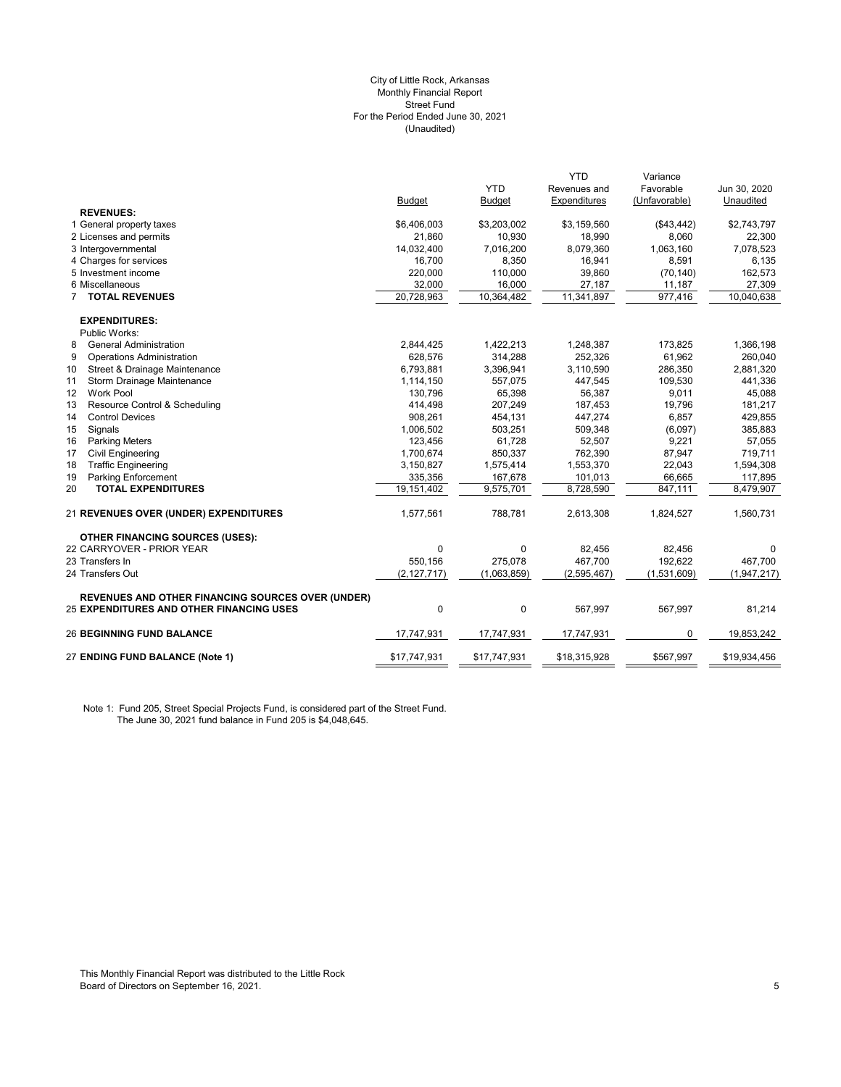#### (Unaudited) City of Little Rock, Arkansas Monthly Financial Report Street Fund For the Period Ended June 30, 2021

|                                                          |               |               | <b>YTD</b>   | Variance      |              |
|----------------------------------------------------------|---------------|---------------|--------------|---------------|--------------|
|                                                          |               | <b>YTD</b>    | Revenues and | Favorable     | Jun 30, 2020 |
|                                                          | <b>Budget</b> | <b>Budget</b> | Expenditures | (Unfavorable) | Unaudited    |
| <b>REVENUES:</b>                                         |               |               |              |               |              |
| 1 General property taxes                                 | \$6,406,003   | \$3,203,002   | \$3,159,560  | (\$43,442)    | \$2,743,797  |
| 2 Licenses and permits                                   | 21,860        | 10,930        | 18,990       | 8,060         | 22,300       |
| 3 Intergovernmental                                      | 14,032,400    | 7,016,200     | 8,079,360    | 1,063,160     | 7,078,523    |
| 4 Charges for services                                   | 16,700        | 8,350         | 16,941       | 8,591         | 6,135        |
| 5 Investment income                                      | 220,000       | 110,000       | 39,860       | (70, 140)     | 162,573      |
| 6 Miscellaneous                                          | 32,000        | 16,000        | 27,187       | 11,187        | 27,309       |
| <b>TOTAL REVENUES</b><br>7                               | 20,728,963    | 10,364,482    | 11,341,897   | 977,416       | 10,040,638   |
| <b>EXPENDITURES:</b>                                     |               |               |              |               |              |
| Public Works:                                            |               |               |              |               |              |
| <b>General Administration</b><br>8                       | 2,844,425     | 1,422,213     | 1,248,387    | 173,825       | 1,366,198    |
| 9<br><b>Operations Administration</b>                    | 628,576       | 314,288       | 252,326      | 61,962        | 260,040      |
| 10<br>Street & Drainage Maintenance                      | 6,793,881     | 3,396,941     | 3,110,590    | 286,350       | 2,881,320    |
| 11<br>Storm Drainage Maintenance                         | 1,114,150     | 557,075       | 447,545      | 109,530       | 441,336      |
| <b>Work Pool</b><br>12                                   | 130,796       | 65,398        | 56,387       | 9,011         | 45,088       |
| 13<br>Resource Control & Scheduling                      | 414,498       | 207,249       | 187,453      | 19,796        | 181,217      |
| 14<br><b>Control Devices</b>                             | 908,261       | 454,131       | 447,274      | 6,857         | 429,855      |
| 15<br>Signals                                            | 1,006,502     | 503,251       | 509,348      | (6,097)       | 385,883      |
| 16<br><b>Parking Meters</b>                              | 123,456       | 61,728        | 52,507       | 9,221         | 57,055       |
| 17<br>Civil Engineering                                  | 1,700,674     | 850,337       | 762,390      | 87,947        | 719,711      |
| <b>Traffic Engineering</b><br>18                         | 3,150,827     | 1,575,414     | 1,553,370    | 22,043        | 1,594,308    |
| 19<br><b>Parking Enforcement</b>                         | 335,356       | 167,678       | 101,013      | 66,665        | 117,895      |
| <b>TOTAL EXPENDITURES</b><br>20                          | 19,151,402    | 9,575,701     | 8,728,590    | 847,111       | 8,479,907    |
| <b>21 REVENUES OVER (UNDER) EXPENDITURES</b>             | 1,577,561     | 788,781       | 2,613,308    | 1,824,527     | 1,560,731    |
| <b>OTHER FINANCING SOURCES (USES):</b>                   |               |               |              |               |              |
| 22 CARRYOVER - PRIOR YEAR                                | $\mathbf{0}$  | $\Omega$      | 82,456       | 82,456        | 0            |
| 23 Transfers In                                          | 550,156       | 275,078       | 467,700      | 192,622       | 467,700      |
| 24 Transfers Out                                         | (2, 127, 717) | (1,063,859)   | (2,595,467)  | (1,531,609)   | (1,947,217)  |
| <b>REVENUES AND OTHER FINANCING SOURCES OVER (UNDER)</b> |               |               |              |               |              |
| <b>25 EXPENDITURES AND OTHER FINANCING USES</b>          | 0             | $\mathbf 0$   | 567,997      | 567,997       | 81,214       |
| <b>26 BEGINNING FUND BALANCE</b>                         | 17,747,931    | 17,747,931    | 17,747,931   | 0             | 19,853,242   |
| 27 ENDING FUND BALANCE (Note 1)                          | \$17,747,931  | \$17,747,931  | \$18,315,928 | \$567,997     | \$19,934,456 |
|                                                          |               |               |              |               |              |

Note 1: Fund 205, Street Special Projects Fund, is considered part of the Street Fund. The June 30, 2021 fund balance in Fund 205 is \$4,048,645.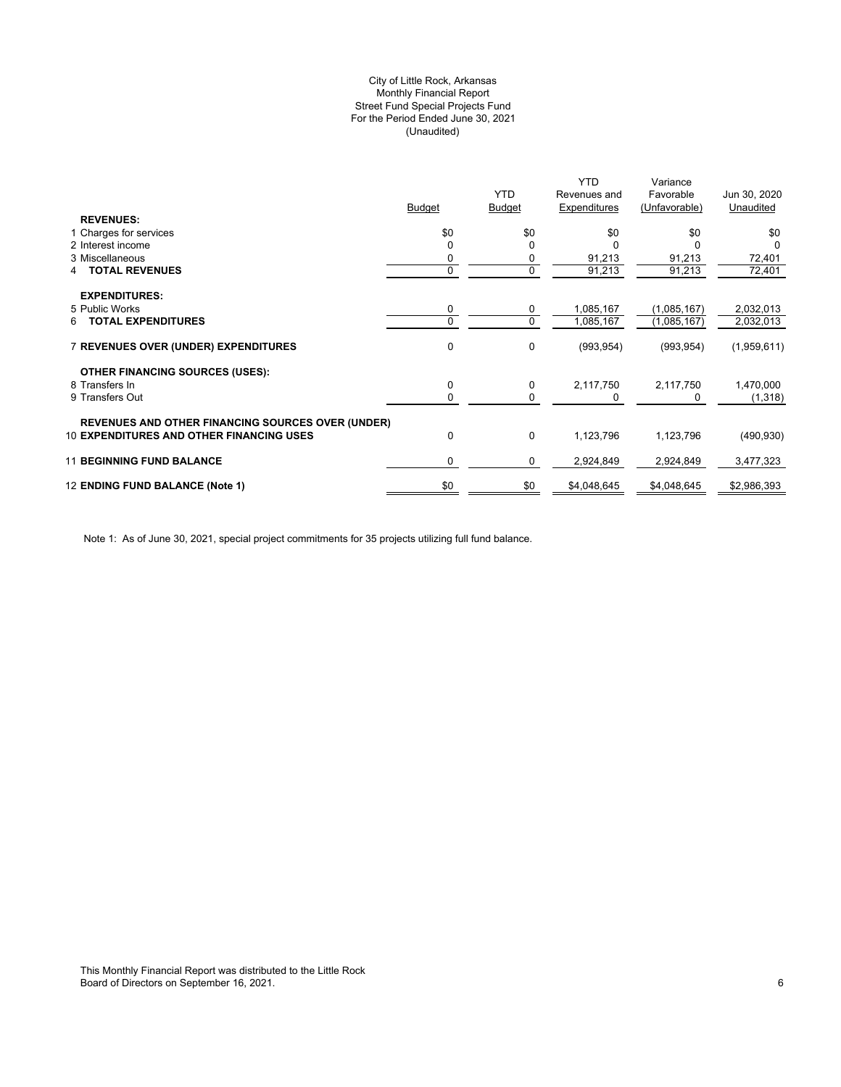# (Unaudited) City of Little Rock, Arkansas Monthly Financial Report Street Fund Special Projects Fund For the Period Ended June 30, 2021

|                                                          |        | <b>YTD</b>    | <b>YTD</b>                   | Variance                   |                           |
|----------------------------------------------------------|--------|---------------|------------------------------|----------------------------|---------------------------|
|                                                          | Budget | <b>Budget</b> | Revenues and<br>Expenditures | Favorable<br>(Unfavorable) | Jun 30, 2020<br>Unaudited |
| <b>REVENUES:</b>                                         |        |               |                              |                            |                           |
| 1 Charges for services                                   | \$0    | \$0           | \$0                          | \$0                        | \$0                       |
| 2 Interest income                                        |        | $\Omega$      |                              |                            | $\Omega$                  |
| 3 Miscellaneous                                          |        | 0             | 91,213                       | 91,213                     | 72,401                    |
| <b>TOTAL REVENUES</b><br>4                               | 0      | 0             | 91,213                       | 91,213                     | 72,401                    |
|                                                          |        |               |                              |                            |                           |
| <b>EXPENDITURES:</b><br>5 Public Works                   | 0      | 0             | 1,085,167                    | (1,085,167)                | 2,032,013                 |
| <b>TOTAL EXPENDITURES</b><br>6                           | 0      | 0             | 1,085,167                    | (1,085,167)                | 2,032,013                 |
|                                                          |        |               |                              |                            |                           |
| <b>7 REVENUES OVER (UNDER) EXPENDITURES</b>              | 0      | 0             | (993, 954)                   | (993, 954)                 | (1,959,611)               |
| <b>OTHER FINANCING SOURCES (USES):</b>                   |        |               |                              |                            |                           |
| 8 Transfers In                                           | 0      | 0             | 2,117,750                    | 2,117,750                  | 1,470,000                 |
| 9 Transfers Out                                          | 0      | 0             |                              | 0                          | (1,318)                   |
| <b>REVENUES AND OTHER FINANCING SOURCES OVER (UNDER)</b> |        |               |                              |                            |                           |
| <b>10 EXPENDITURES AND OTHER FINANCING USES</b>          | 0      | 0             | 1,123,796                    | 1,123,796                  | (490, 930)                |
| <b>11 BEGINNING FUND BALANCE</b>                         | 0      | 0             | 2,924,849                    | 2,924,849                  | 3,477,323                 |
| 12 ENDING FUND BALANCE (Note 1)                          | \$0    | \$0           | \$4,048,645                  | \$4,048,645                | \$2,986,393               |
|                                                          |        |               |                              |                            |                           |

Note 1: As of June 30, 2021, special project commitments for 35 projects utilizing full fund balance.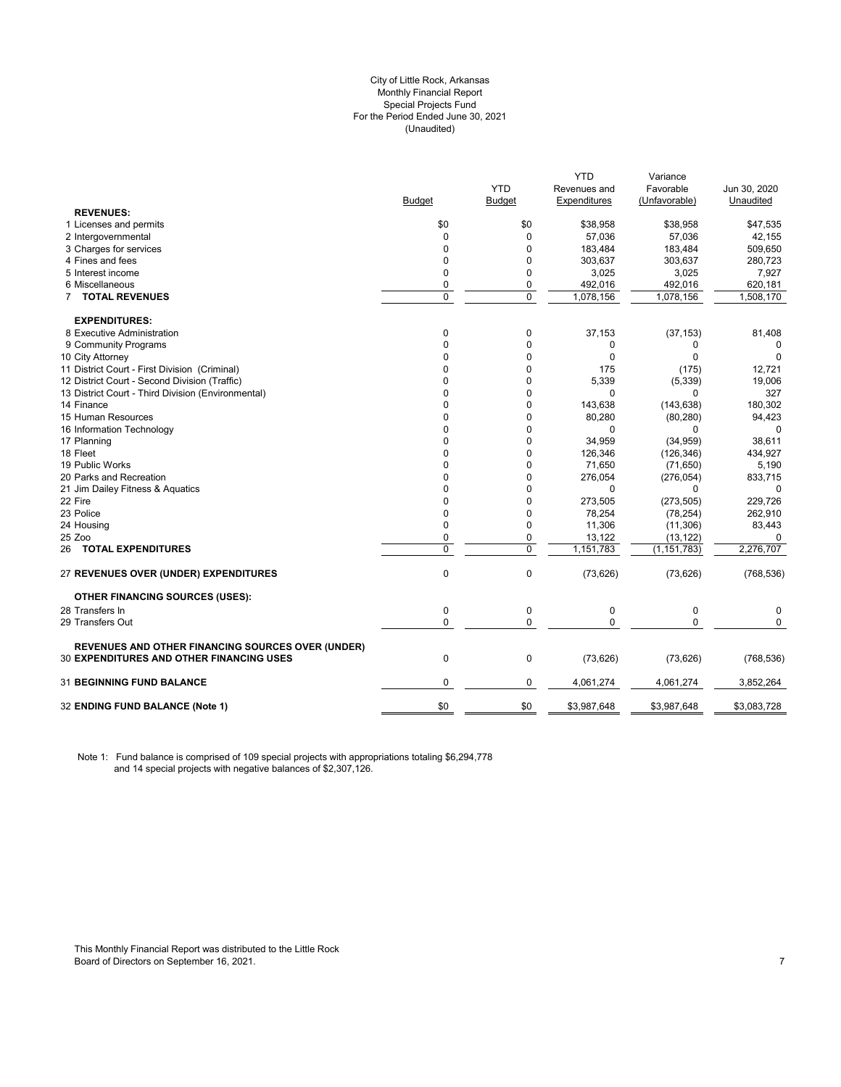#### City of Little Rock, Arkansas (Unaudited) For the Period Ended June 30, 2021 Special Projects Fund Monthly Financial Report

|                                                          |                | <b>YTD</b>  | <b>YTD</b><br>Revenues and | Variance<br>Favorable | Jun 30, 2020 |
|----------------------------------------------------------|----------------|-------------|----------------------------|-----------------------|--------------|
| <b>REVENUES:</b>                                         | <b>Budget</b>  | Budget      | Expenditures               | (Unfavorable)         | Unaudited    |
| 1 Licenses and permits                                   | \$0            | \$0         | \$38,958                   | \$38,958              | \$47,535     |
| 2 Intergovernmental                                      | 0              | 0           | 57,036                     | 57,036                | 42,155       |
| 3 Charges for services                                   | $\mathbf 0$    | 0           | 183,484                    | 183.484               | 509,650      |
| 4 Fines and fees                                         | $\mathbf 0$    | $\Omega$    | 303,637                    | 303,637               | 280,723      |
| 5 Interest income                                        | $\Omega$       | 0           | 3,025                      | 3,025                 | 7,927        |
| 6 Miscellaneous                                          | $\mathbf 0$    | 0           | 492,016                    | 492,016               | 620,181      |
| 7 TOTAL REVENUES                                         | $\overline{0}$ | $\mathbf 0$ | 1,078,156                  | 1,078,156             | 1,508,170    |
| <b>EXPENDITURES:</b>                                     |                |             |                            |                       |              |
| 8 Executive Administration                               | $\pmb{0}$      | 0           | 37,153                     | (37, 153)             | 81,408       |
| 9 Community Programs                                     | $\Omega$       | $\mathbf 0$ | $\Omega$                   | 0                     | 0            |
| 10 City Attorney                                         | $\Omega$       | 0           | $\Omega$                   | 0                     | $\Omega$     |
| 11 District Court - First Division (Criminal)            | $\Omega$       | 0           | 175                        | (175)                 | 12,721       |
| 12 District Court - Second Division (Traffic)            | 0              | 0           | 5,339                      | (5, 339)              | 19,006       |
| 13 District Court - Third Division (Environmental)       | $\Omega$       | 0           | $\Omega$                   | 0                     | 327          |
| 14 Finance                                               | 0              | 0           | 143,638                    | (143, 638)            | 180,302      |
| 15 Human Resources                                       | 0              | 0           | 80,280                     | (80, 280)             | 94,423       |
| 16 Information Technology                                | $\Omega$       | 0           | $\Omega$                   | 0                     |              |
| 17 Planning                                              | 0              | 0           | 34,959                     | (34, 959)             | 38,611       |
| 18 Fleet                                                 | $\Omega$       | 0           | 126,346                    | (126, 346)            | 434,927      |
| 19 Public Works                                          | $\Omega$       | 0           | 71,650                     | (71, 650)             | 5,190        |
| 20 Parks and Recreation                                  | 0              | 0           | 276,054                    | (276, 054)            | 833,715      |
| 21 Jim Dailey Fitness & Aquatics                         | $\Omega$       | 0           | 0                          | 0                     | 0            |
| 22 Fire                                                  | 0              | 0           | 273,505                    | (273, 505)            | 229,726      |
| 23 Police                                                | $\mathbf 0$    | 0           | 78,254                     | (78, 254)             | 262,910      |
| 24 Housing                                               | $\mathbf 0$    | 0           | 11,306                     | (11, 306)             | 83,443       |
| 25 Zoo                                                   | $\mathbf 0$    | $\mathbf 0$ | 13,122                     | (13, 122)             | 0            |
| 26 TOTAL EXPENDITURES                                    | $\mathbf 0$    | $\mathbf 0$ | 1,151,783                  | (1, 151, 783)         | 2,276,707    |
| 27 REVENUES OVER (UNDER) EXPENDITURES                    | $\mathbf 0$    | $\pmb{0}$   | (73, 626)                  | (73, 626)             | (768, 536)   |
| <b>OTHER FINANCING SOURCES (USES):</b>                   |                |             |                            |                       |              |
| 28 Transfers In                                          | 0              | $\pmb{0}$   | $\mathbf 0$                | $\pmb{0}$             | 0            |
| 29 Transfers Out                                         | $\mathbf 0$    | $\mathbf 0$ | $\Omega$                   | 0                     | $\mathbf 0$  |
| <b>REVENUES AND OTHER FINANCING SOURCES OVER (UNDER)</b> |                |             |                            |                       |              |
| <b>30 EXPENDITURES AND OTHER FINANCING USES</b>          | $\mathbf 0$    | 0           | (73, 626)                  | (73, 626)             | (768, 536)   |
| <b>31 BEGINNING FUND BALANCE</b>                         | $\mathbf 0$    | $\pmb{0}$   | 4,061,274                  | 4,061,274             | 3,852,264    |
| 32 ENDING FUND BALANCE (Note 1)                          | \$0            | \$0         | \$3,987,648                | \$3,987,648           | \$3,083,728  |
|                                                          |                |             |                            |                       |              |

Note 1: Fund balance is comprised of 109 special projects with appropriations totaling \$6,294,778 and 14 special projects with negative balances of \$2,307,126.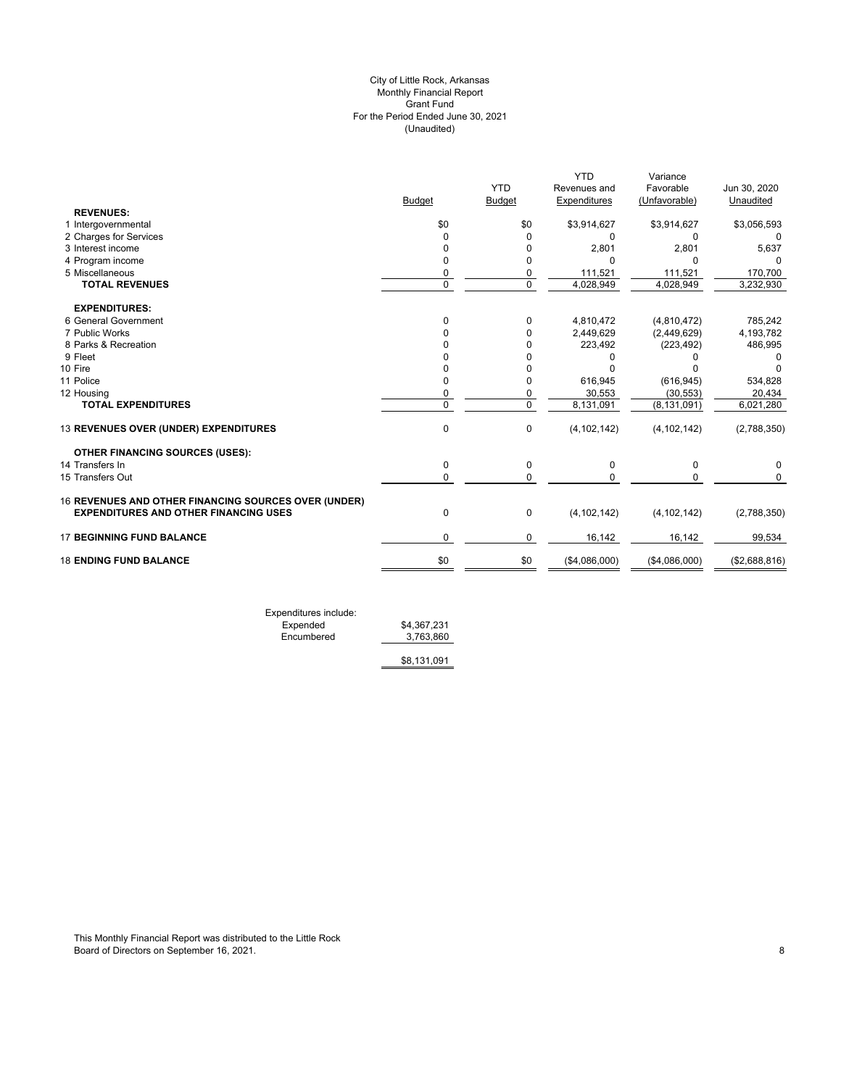# (Unaudited) City of Little Rock, Arkansas Monthly Financial Report Grant Fund For the Period Ended June 30, 2021

|             |               | <b>YTD</b>    | Variance      |                                      |
|-------------|---------------|---------------|---------------|--------------------------------------|
|             | <b>YTD</b>    | Revenues and  | Favorable     | Jun 30, 2020                         |
| Budget      | <b>Budget</b> | Expenditures  | (Unfavorable) | Unaudited                            |
|             |               |               |               |                                      |
| \$0         | \$0           | \$3,914,627   | \$3,914,627   | \$3,056,593                          |
| 0           | $\Omega$      | 0             | 0             | 0                                    |
| $\Omega$    | 0             | 2,801         | 2,801         | 5,637                                |
| $\Omega$    | 0             | U             | $\Omega$      |                                      |
| 0           | 0             | 111,521       |               | 170,700                              |
| $\Omega$    | $\Omega$      | 4,028,949     | 4,028,949     | 3,232,930                            |
|             |               |               |               |                                      |
| $\Omega$    | 0             |               |               | 785,242                              |
|             | $\Omega$      | 2,449,629     | (2,449,629)   | 4,193,782                            |
|             | 0             | 223,492       |               | 486,995                              |
|             | 0             | 0             |               |                                      |
| n           | 0             |               |               |                                      |
| $\Omega$    | 0             | 616,945       | (616, 945)    | 534,828                              |
| 0           | 0             | 30,553        | (30, 553)     | 20,434                               |
| $\Omega$    | $\mathbf 0$   | 8,131,091     | (8, 131, 091) | 6,021,280                            |
| $\mathbf 0$ | $\mathbf 0$   | (4, 102, 142) | (4, 102, 142) | (2,788,350)                          |
|             |               |               |               |                                      |
| 0           | 0             | 0             | 0             | 0                                    |
| $\mathbf 0$ | 0             | $\Omega$      | $\mathbf 0$   | $\Omega$                             |
|             |               |               |               |                                      |
| 0           | $\mathbf 0$   | (4, 102, 142) | (4, 102, 142) | (2,788,350)                          |
| $\Omega$    | $\mathbf 0$   | 16,142        | 16,142        | 99,534                               |
| \$0         | \$0           | (\$4,086,000) | (\$4,086,000) | (\$2,688,816)                        |
|             |               |               | 4,810,472     | 111,521<br>(4,810,472)<br>(223, 492) |

Expenditures include: Expended \$4,367,231 Expended \$4,367,231<br>Encumbered 3,763,860

\$8,131,091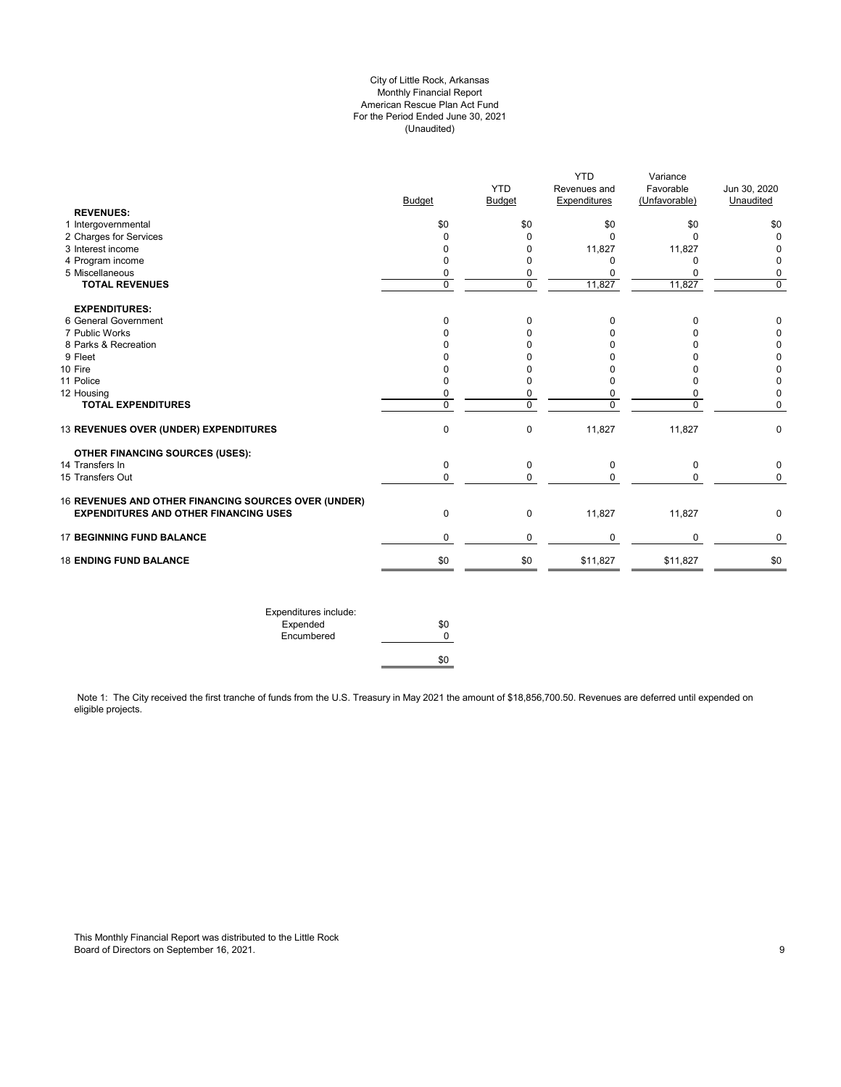# City of Little Rock, Arkansas Monthly Financial Report American Rescue Plan Act Fund For the Period Ended June 30, 2021 (Unaudited)

| Budget<br>\$0<br>0<br>0<br>0<br>0<br>$\mathbf 0$<br>$\Omega$<br>ი | <b>YTD</b><br><b>Budget</b><br>\$0<br>0<br>0<br>0<br>$\mathbf{0}$<br>0<br>0 | Revenues and<br><b>Expenditures</b><br>\$0<br>$\Omega$<br>11,827<br>0<br>$\Omega$<br>11,827<br>$\Omega$ | Favorable<br>(Unfavorable)<br>\$0<br>$\Omega$<br>11,827<br>$\mathbf 0$<br>$\Omega$<br>11,827 | Jun 30, 2020<br>Unaudited<br>\$0<br>$\mathbf 0$<br>0<br>$\mathbf 0$<br>0<br>$\mathbf 0$ |
|-------------------------------------------------------------------|-----------------------------------------------------------------------------|---------------------------------------------------------------------------------------------------------|----------------------------------------------------------------------------------------------|-----------------------------------------------------------------------------------------|
|                                                                   |                                                                             |                                                                                                         |                                                                                              |                                                                                         |
|                                                                   |                                                                             |                                                                                                         |                                                                                              |                                                                                         |
|                                                                   |                                                                             |                                                                                                         |                                                                                              |                                                                                         |
|                                                                   |                                                                             |                                                                                                         |                                                                                              |                                                                                         |
|                                                                   |                                                                             |                                                                                                         |                                                                                              |                                                                                         |
|                                                                   |                                                                             |                                                                                                         |                                                                                              |                                                                                         |
|                                                                   |                                                                             |                                                                                                         |                                                                                              |                                                                                         |
|                                                                   |                                                                             |                                                                                                         |                                                                                              |                                                                                         |
|                                                                   |                                                                             |                                                                                                         |                                                                                              |                                                                                         |
|                                                                   |                                                                             |                                                                                                         |                                                                                              |                                                                                         |
|                                                                   |                                                                             |                                                                                                         | $\Omega$                                                                                     | 0                                                                                       |
|                                                                   | 0                                                                           | 0                                                                                                       | O                                                                                            | 0                                                                                       |
|                                                                   | $\Omega$                                                                    | 0                                                                                                       | 0                                                                                            | 0                                                                                       |
|                                                                   | U                                                                           |                                                                                                         |                                                                                              | $\pmb{0}$                                                                               |
|                                                                   | $\Omega$                                                                    |                                                                                                         |                                                                                              | $\pmb{0}$                                                                               |
| $\Omega$                                                          | 0                                                                           | 0                                                                                                       | $\Omega$                                                                                     | $\pmb{0}$                                                                               |
| 0                                                                 | 0                                                                           | 0                                                                                                       | 0                                                                                            | $\pmb{0}$                                                                               |
|                                                                   |                                                                             |                                                                                                         |                                                                                              | 0                                                                                       |
| $\mathbf 0$                                                       | $\mathbf 0$                                                                 | 11,827                                                                                                  | 11,827                                                                                       | $\mathbf 0$                                                                             |
|                                                                   |                                                                             |                                                                                                         |                                                                                              |                                                                                         |
| 0                                                                 | 0                                                                           | 0                                                                                                       | 0                                                                                            | 0                                                                                       |
| $\Omega$                                                          | $\Omega$                                                                    | $\Omega$                                                                                                | $\Omega$                                                                                     | $\mathbf 0$                                                                             |
|                                                                   |                                                                             |                                                                                                         |                                                                                              |                                                                                         |
| $\pmb{0}$                                                         | 0                                                                           | 11,827                                                                                                  | 11,827                                                                                       | 0                                                                                       |
| $\Omega$                                                          | $\mathbf 0$                                                                 | $\Omega$                                                                                                | $\Omega$                                                                                     | 0                                                                                       |
| \$0                                                               | \$0                                                                         | \$11,827                                                                                                | \$11,827                                                                                     | \$0                                                                                     |
|                                                                   | $\Omega$<br>\$0                                                             | 0                                                                                                       | $\Omega$                                                                                     | $\Omega$                                                                                |

Note 1: The City received the first tranche of funds from the U.S. Treasury in May 2021 the amount of \$18,856,700.50. Revenues are deferred until expended on eligible projects.

\$0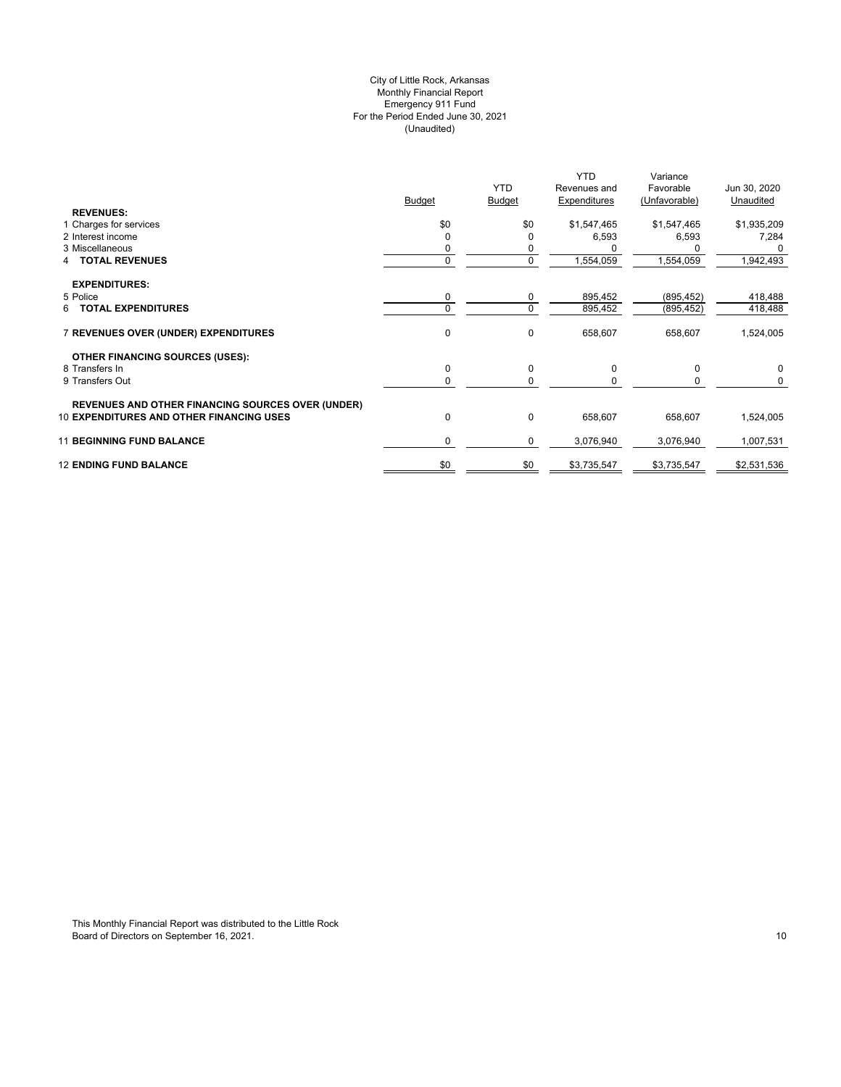# (Unaudited) City of Little Rock, Arkansas Monthly Financial Report Emergency 911 Fund For the Period Ended June 30, 2021

|                                                          | <b>Budget</b> | <b>YTD</b><br><b>Budget</b> | <b>YTD</b><br>Revenues and<br>Expenditures | Variance<br>Favorable<br>(Unfavorable) | Jun 30, 2020<br>Unaudited |
|----------------------------------------------------------|---------------|-----------------------------|--------------------------------------------|----------------------------------------|---------------------------|
| <b>REVENUES:</b><br>1 Charges for services               | \$0           | \$0                         | \$1,547,465                                | \$1,547,465                            | \$1,935,209               |
| 2 Interest income                                        | $\Omega$      |                             | 6,593                                      | 6,593                                  | 7,284                     |
| 3 Miscellaneous                                          |               | 0                           |                                            |                                        | <sup>0</sup>              |
| <b>TOTAL REVENUES</b><br>4                               | 0             | 0                           | 1,554,059                                  | 1,554,059                              | 1,942,493                 |
| <b>EXPENDITURES:</b>                                     |               |                             |                                            |                                        |                           |
| 5 Police                                                 | 0             | 0                           | 895,452                                    | (895, 452)                             | 418,488                   |
| <b>TOTAL EXPENDITURES</b><br>6                           | $\Omega$      | $\mathbf 0$                 | 895,452                                    | (895, 452)                             | 418,488                   |
| 7 REVENUES OVER (UNDER) EXPENDITURES                     | 0             | 0                           | 658,607                                    | 658,607                                | 1,524,005                 |
| <b>OTHER FINANCING SOURCES (USES):</b>                   |               |                             |                                            |                                        |                           |
| 8 Transfers In                                           | 0             | 0                           | 0                                          | 0                                      | $\mathbf 0$               |
| 9 Transfers Out                                          | 0             | $\mathbf 0$                 |                                            |                                        | 0                         |
| <b>REVENUES AND OTHER FINANCING SOURCES OVER (UNDER)</b> |               |                             |                                            |                                        |                           |
| <b>10 EXPENDITURES AND OTHER FINANCING USES</b>          | 0             | 0                           | 658,607                                    | 658,607                                | 1,524,005                 |
| <b>11 BEGINNING FUND BALANCE</b>                         | 0             | 0                           | 3,076,940                                  | 3,076,940                              | 1,007,531                 |
| <b>12 ENDING FUND BALANCE</b>                            | \$0           | \$0                         | \$3,735,547                                | \$3,735,547                            | \$2,531,536               |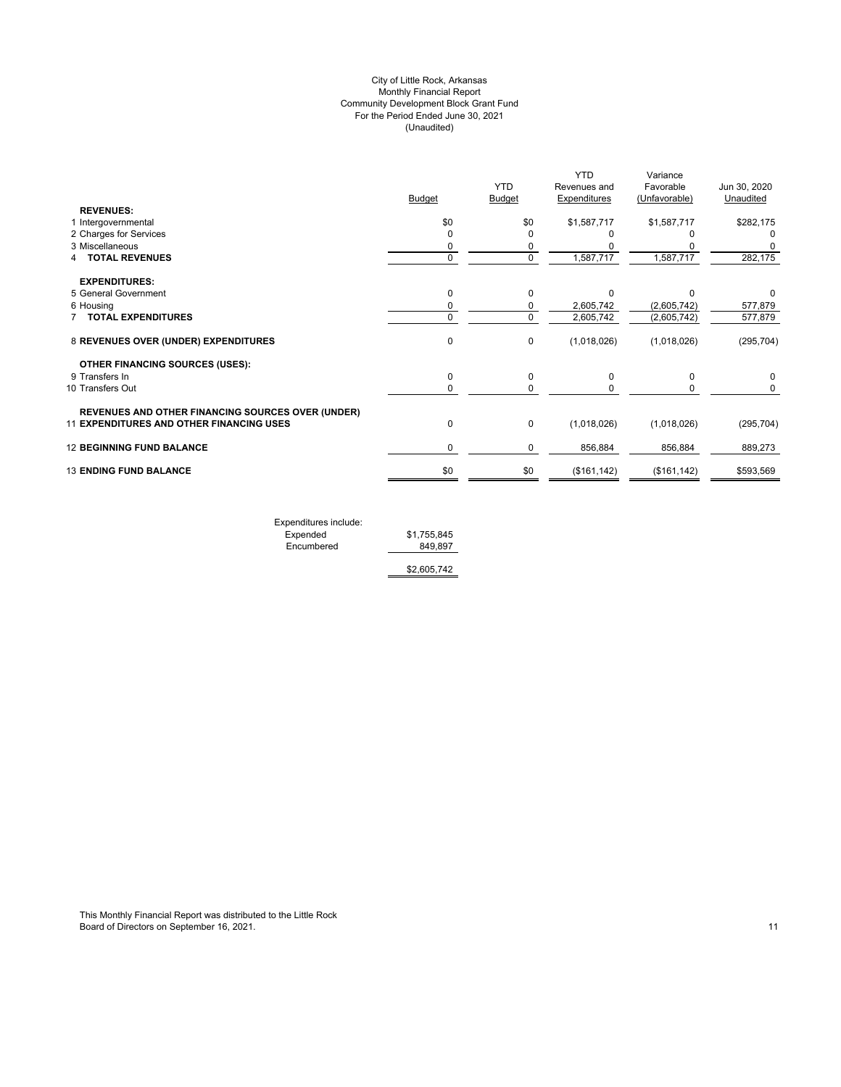# (Unaudited) City of Little Rock, Arkansas Monthly Financial Report Community Development Block Grant Fund For the Period Ended June 30, 2021

|                                                          | Budget      | <b>YTD</b><br><b>Budget</b> | <b>YTD</b><br>Revenues and<br><b>Expenditures</b> | Variance<br>Favorable<br>(Unfavorable) | Jun 30, 2020<br>Unaudited |
|----------------------------------------------------------|-------------|-----------------------------|---------------------------------------------------|----------------------------------------|---------------------------|
| <b>REVENUES:</b>                                         |             |                             |                                                   |                                        |                           |
| 1 Intergovernmental                                      | \$0         | \$0                         | \$1,587,717                                       | \$1,587,717                            | \$282,175                 |
| 2 Charges for Services                                   | $\Omega$    |                             |                                                   |                                        | O                         |
| 3 Miscellaneous                                          | 0           | 0                           |                                                   |                                        |                           |
| <b>TOTAL REVENUES</b>                                    | $\mathbf 0$ | $\mathbf 0$                 | 1,587,717                                         | 1,587,717                              | 282,175                   |
| <b>EXPENDITURES:</b>                                     |             |                             |                                                   |                                        |                           |
| 5 General Government                                     | 0           | $\mathbf 0$                 | $\Omega$                                          | n                                      | 0                         |
| 6 Housing                                                | 0           | 0                           | 2,605,742                                         | (2,605,742)                            | 577,879                   |
| <b>TOTAL EXPENDITURES</b>                                | 0           | 0                           | 2,605,742                                         | (2,605,742)                            | 577,879                   |
| 8 REVENUES OVER (UNDER) EXPENDITURES                     | 0           | 0                           | (1,018,026)                                       | (1,018,026)                            | (295, 704)                |
| <b>OTHER FINANCING SOURCES (USES):</b>                   |             |                             |                                                   |                                        |                           |
| 9 Transfers In                                           | 0           | 0                           | 0                                                 | 0                                      | 0                         |
| 10 Transfers Out                                         | 0           | 0                           |                                                   | 0                                      | 0                         |
| <b>REVENUES AND OTHER FINANCING SOURCES OVER (UNDER)</b> |             |                             |                                                   |                                        |                           |
| 11 EXPENDITURES AND OTHER FINANCING USES                 | 0           | 0                           | (1,018,026)                                       | (1,018,026)                            | (295, 704)                |
| <b>12 BEGINNING FUND BALANCE</b>                         | 0           | 0                           | 856,884                                           | 856,884                                | 889,273                   |
| <b>13 ENDING FUND BALANCE</b>                            | \$0         | \$0                         | (\$161, 142)                                      | (\$161, 142)                           | \$593,569                 |
|                                                          |             |                             |                                                   |                                        |                           |

Expenditures include: Expended \$1,755,845 Encumbered 849,897

\$2,605,742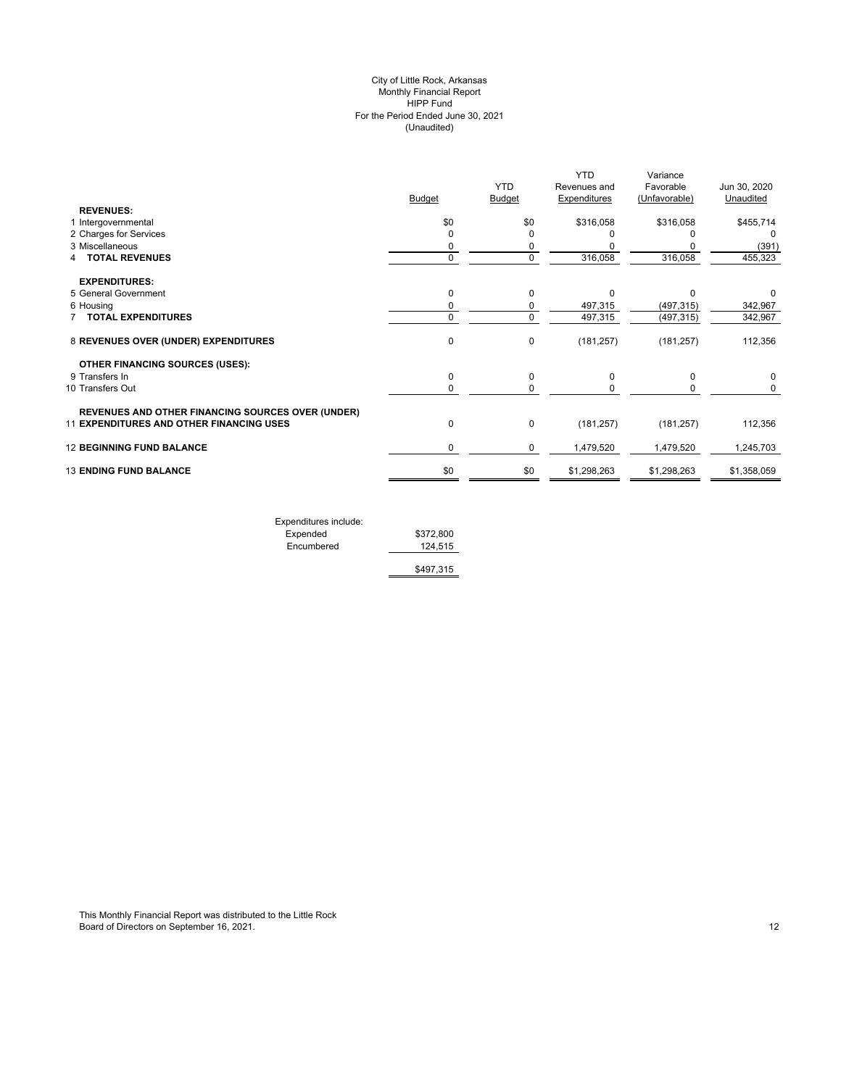#### (Unaudited) City of Little Rock, Arkansas Monthly Financial Report HIPP Fund For the Period Ended June 30, 2021

|                                                          | <b>Budget</b> | <b>YTD</b><br>Budget | <b>YTD</b><br>Revenues and<br><b>Expenditures</b> | Variance<br>Favorable<br>(Unfavorable) | Jun 30, 2020<br>Unaudited |
|----------------------------------------------------------|---------------|----------------------|---------------------------------------------------|----------------------------------------|---------------------------|
| <b>REVENUES:</b>                                         |               |                      |                                                   |                                        |                           |
| 1 Intergovernmental                                      | \$0           | \$0                  | \$316,058                                         | \$316,058                              | \$455,714                 |
| 2 Charges for Services                                   | 0             |                      |                                                   |                                        | 0                         |
| 3 Miscellaneous                                          | 0             | 0                    |                                                   |                                        | (391)                     |
| <b>TOTAL REVENUES</b>                                    | $\mathbf 0$   | 0                    | 316,058                                           | 316,058                                | 455,323                   |
| <b>EXPENDITURES:</b>                                     |               |                      |                                                   |                                        |                           |
| 5 General Government                                     | 0             | $\Omega$             | $\Omega$                                          | $\Omega$                               | <sup>0</sup>              |
| 6 Housing                                                | 0             | 0                    | 497,315                                           | (497, 315)                             | 342,967                   |
| <b>7 TOTAL EXPENDITURES</b>                              | 0             | $\Omega$             | 497,315                                           | (497, 315)                             | 342,967                   |
| 8 REVENUES OVER (UNDER) EXPENDITURES                     | 0             | 0                    | (181, 257)                                        | (181, 257)                             | 112,356                   |
| <b>OTHER FINANCING SOURCES (USES):</b>                   |               |                      |                                                   |                                        |                           |
| 9 Transfers In                                           | 0             | 0                    | $\mathbf 0$                                       | 0                                      | 0                         |
| 10 Transfers Out                                         | 0             | $\Omega$             | $\Omega$                                          | 0                                      | 0                         |
| <b>REVENUES AND OTHER FINANCING SOURCES OVER (UNDER)</b> |               |                      |                                                   |                                        |                           |
| 11 EXPENDITURES AND OTHER FINANCING USES                 | 0             | 0                    | (181, 257)                                        | (181, 257)                             | 112,356                   |
| <b>12 BEGINNING FUND BALANCE</b>                         | 0             | 0                    | 1,479,520                                         | 1,479,520                              | 1,245,703                 |
| <b>13 ENDING FUND BALANCE</b>                            | \$0           | \$0                  | \$1,298,263                                       | \$1,298,263                            | \$1,358,059               |
|                                                          |               |                      |                                                   |                                        |                           |

| Expenditures include: |           |
|-----------------------|-----------|
| Expended              | \$372,800 |
| Encumbered            | 124.515   |
|                       | \$497,315 |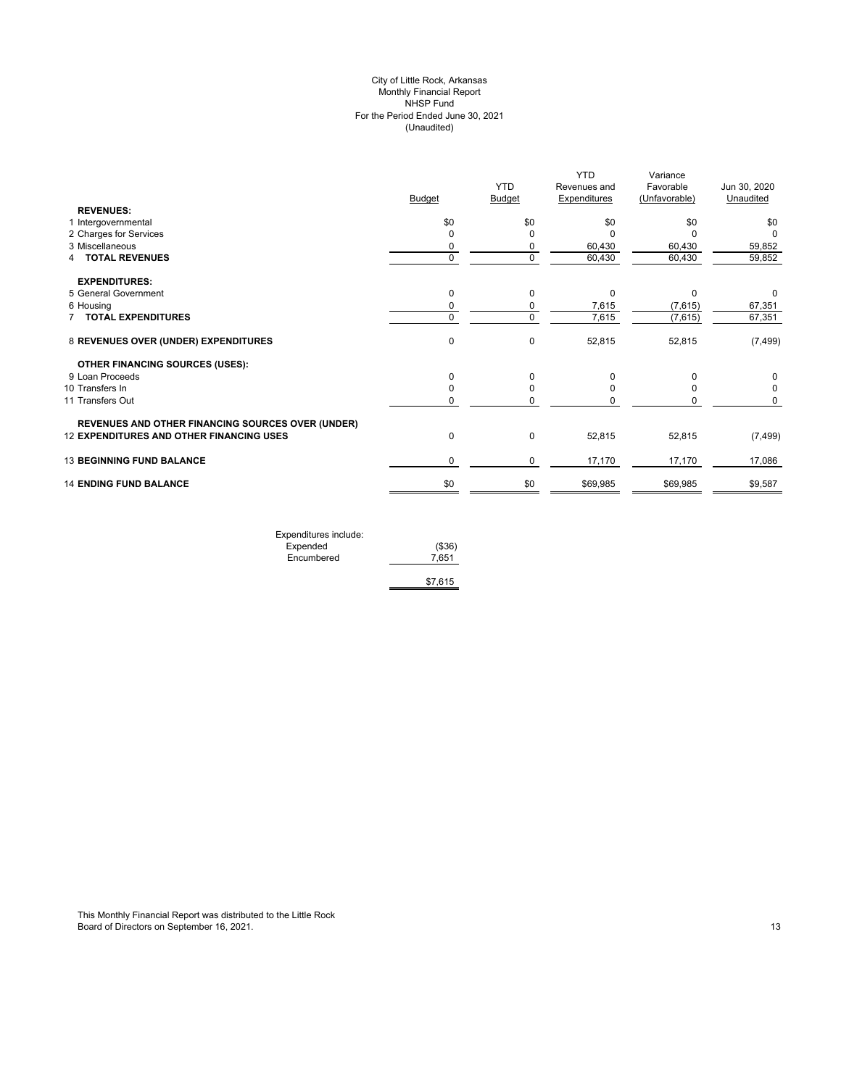# (Unaudited) City of Little Rock, Arkansas Monthly Financial Report NHSP Fund For the Period Ended June 30, 2021

|                                                          |               | <b>YTD</b>    | <b>YTD</b><br>Revenues and | Variance<br>Favorable | Jun 30, 2020        |
|----------------------------------------------------------|---------------|---------------|----------------------------|-----------------------|---------------------|
|                                                          | <b>Budget</b> | <b>Budget</b> | <b>Expenditures</b>        | (Unfavorable)         | Unaudited           |
| <b>REVENUES:</b>                                         | \$0           | \$0           | \$0                        |                       |                     |
| 1 Intergovernmental                                      | $\mathbf 0$   | O             | $\Omega$                   | \$0<br>$\Omega$       | \$0<br><sup>0</sup> |
| 2 Charges for Services<br>3 Miscellaneous                | 0             | 0             | 60,430                     | 60,430                | 59,852              |
| <b>TOTAL REVENUES</b><br>4                               | $\mathbf 0$   | $\mathbf 0$   | 60,430                     | 60,430                | 59,852              |
|                                                          |               |               |                            |                       |                     |
| <b>EXPENDITURES:</b>                                     |               |               |                            |                       |                     |
| 5 General Government                                     | 0             | 0             | 0                          | $\Omega$              | 0                   |
| 6 Housing                                                | 0             | 0             | 7,615                      | (7,615)               | 67,351              |
| 7 TOTAL EXPENDITURES                                     | 0             | $\mathbf 0$   | 7,615                      | (7,615)               | 67,351              |
| 8 REVENUES OVER (UNDER) EXPENDITURES                     | $\pmb{0}$     | $\mathbf 0$   | 52,815                     | 52,815                | (7, 499)            |
| <b>OTHER FINANCING SOURCES (USES):</b>                   |               |               |                            |                       |                     |
| 9 Loan Proceeds                                          | 0             | $\Omega$      | O                          |                       | 0                   |
| 10 Transfers In                                          | 0             | $\Omega$      |                            |                       | 0                   |
| 11 Transfers Out                                         | 0             |               |                            |                       | 0                   |
| <b>REVENUES AND OTHER FINANCING SOURCES OVER (UNDER)</b> |               |               |                            |                       |                     |
| 12 EXPENDITURES AND OTHER FINANCING USES                 | $\pmb{0}$     | $\mathbf 0$   | 52,815                     | 52,815                | (7, 499)            |
| <b>13 BEGINNING FUND BALANCE</b>                         | 0             | 0             | 17,170                     | 17,170                | 17,086              |
| <b>14 ENDING FUND BALANCE</b>                            | \$0           | \$0           | \$69,985                   | \$69,985              | \$9,587             |
|                                                          |               |               |                            |                       |                     |

| Expenditures include: |         |
|-----------------------|---------|
| Expended              | (\$36)  |
| Encumbered            | 7.651   |
|                       |         |
|                       | \$7.615 |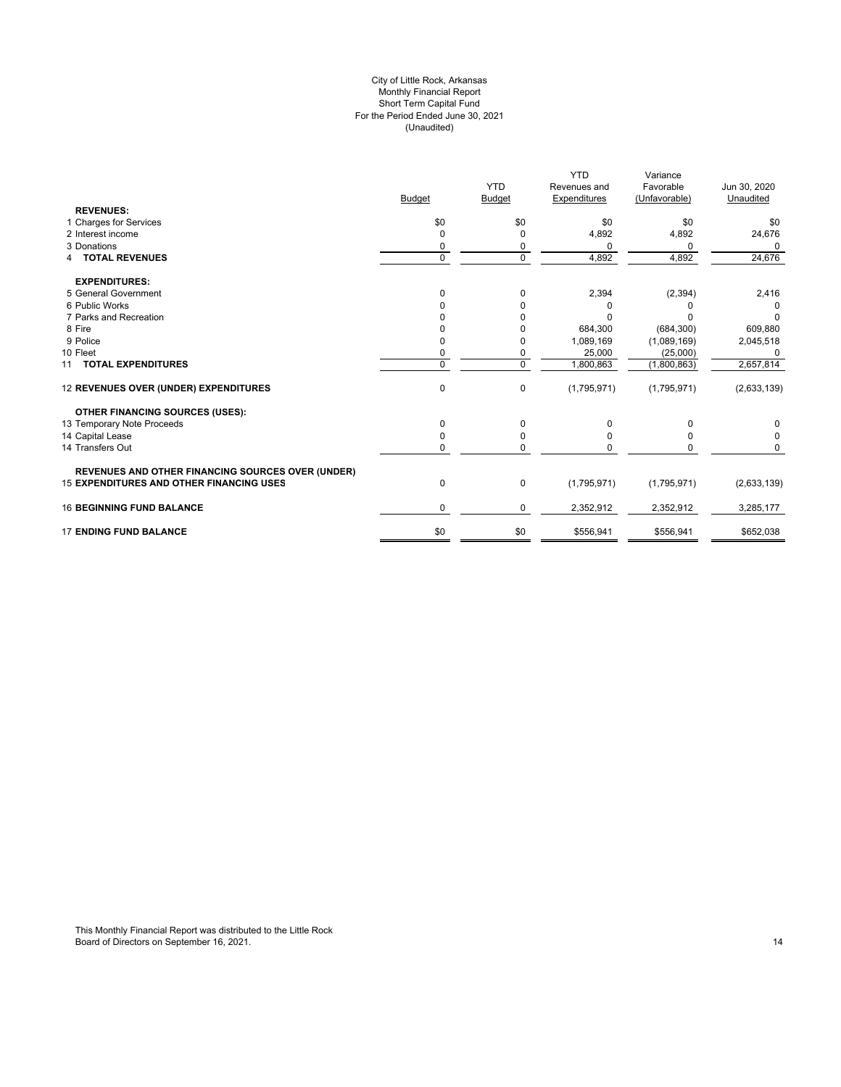#### For the Period Ended June 30, 2021 (Unaudited) City of Little Rock, Arkansas Monthly Financial Report Short Term Capital Fund

|                                                          |               |               | <b>YTD</b>   | Variance      |              |
|----------------------------------------------------------|---------------|---------------|--------------|---------------|--------------|
|                                                          |               | <b>YTD</b>    | Revenues and | Favorable     | Jun 30, 2020 |
|                                                          | <b>Budget</b> | <b>Budget</b> | Expenditures | (Unfavorable) | Unaudited    |
| <b>REVENUES:</b>                                         |               |               |              |               |              |
| 1 Charges for Services                                   | \$0           | \$0           | \$0          | \$0           | \$0          |
| 2 Interest income                                        | 0             | 0             | 4,892        | 4,892         | 24,676       |
| 3 Donations                                              | 0             | 0             | $\Omega$     | 0             |              |
| <b>4 TOTAL REVENUES</b>                                  | $\mathbf 0$   | $\mathbf 0$   | 4,892        | 4,892         | 24,676       |
| <b>EXPENDITURES:</b>                                     |               |               |              |               |              |
| 5 General Government                                     | $\Omega$      | $\mathbf 0$   | 2,394        | (2, 394)      | 2,416        |
| 6 Public Works                                           |               | O             | 0            |               |              |
| 7 Parks and Recreation                                   |               |               | n            |               | O            |
| 8 Fire                                                   |               |               | 684,300      | (684, 300)    | 609,880      |
| 9 Police                                                 |               | 0             | 1,089,169    | (1,089,169)   | 2,045,518    |
| 10 Fleet                                                 | 0             | 0             | 25,000       | (25,000)      | 0            |
| 11 TOTAL EXPENDITURES                                    | $\Omega$      | $\mathbf 0$   | 1,800,863    | (1,800,863)   | 2,657,814    |
| 12 REVENUES OVER (UNDER) EXPENDITURES                    | 0             | 0             | (1,795,971)  | (1,795,971)   | (2,633,139)  |
| <b>OTHER FINANCING SOURCES (USES):</b>                   |               |               |              |               |              |
| 13 Temporary Note Proceeds                               | $\Omega$      | $\Omega$      | $\Omega$     | 0             | 0            |
| 14 Capital Lease                                         | 0             | 0             | 0            | 0             | 0            |
| 14 Transfers Out                                         | 0             | $\mathbf 0$   | 0            |               | 0            |
| <b>REVENUES AND OTHER FINANCING SOURCES OVER (UNDER)</b> |               |               |              |               |              |
| <b>15 EXPENDITURES AND OTHER FINANCING USES</b>          | 0             | 0             | (1,795,971)  | (1,795,971)   | (2,633,139)  |
| <b>16 BEGINNING FUND BALANCE</b>                         | 0             | 0             | 2,352,912    | 2,352,912     | 3,285,177    |
| <b>17 ENDING FUND BALANCE</b>                            | \$0           | \$0           | \$556,941    | \$556,941     | \$652,038    |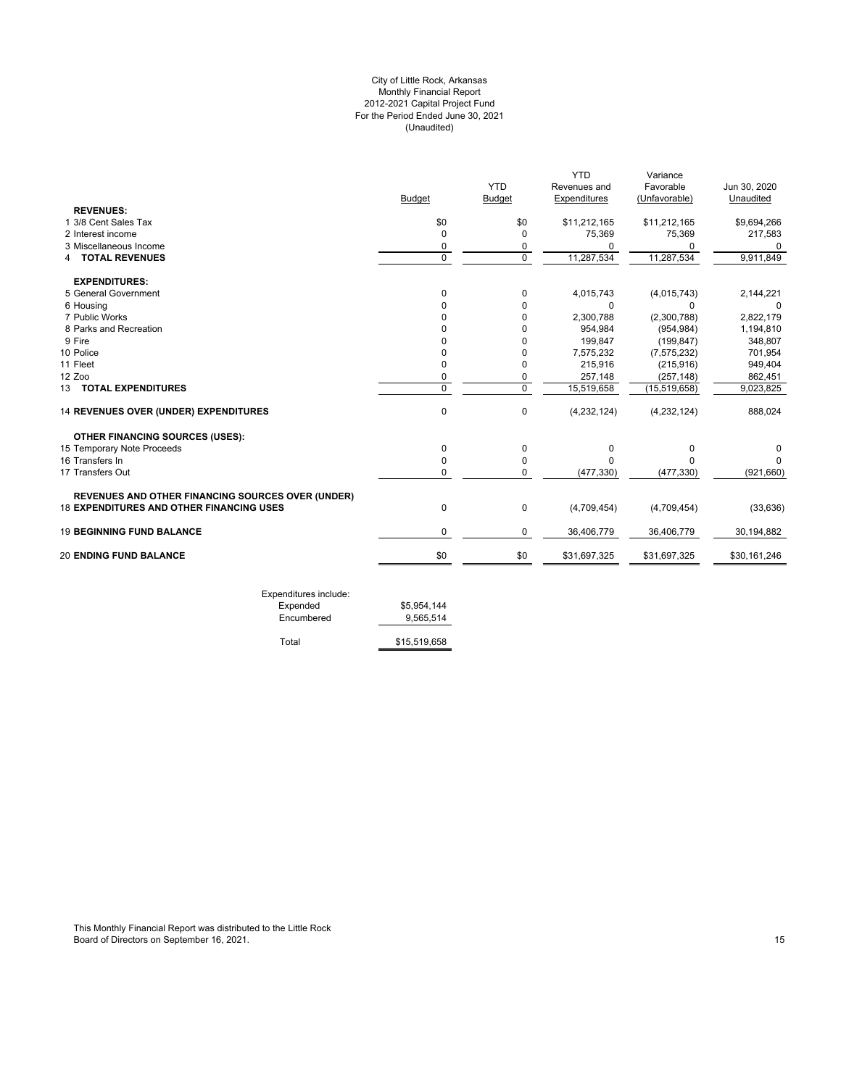# For the Period Ended June 30, 2021 (Unaudited) City of Little Rock, Arkansas Monthly Financial Report 2012-2021 Capital Project Fund

|                                                          |                |                | <b>YTD</b>    | Variance       |              |
|----------------------------------------------------------|----------------|----------------|---------------|----------------|--------------|
|                                                          |                | <b>YTD</b>     | Revenues and  | Favorable      | Jun 30, 2020 |
|                                                          | <b>Budget</b>  | <b>Budget</b>  | Expenditures  | (Unfavorable)  | Unaudited    |
| <b>REVENUES:</b>                                         |                |                |               |                |              |
| 1 3/8 Cent Sales Tax                                     | \$0            | \$0            | \$11,212,165  | \$11,212,165   | \$9,694,266  |
| 2 Interest income                                        | $\mathbf 0$    | $\Omega$       | 75,369        | 75,369         | 217,583      |
| 3 Miscellaneous Income                                   | 0              | 0              | $\Omega$      | $\Omega$       |              |
| <b>4 TOTAL REVENUES</b>                                  | $\Omega$       | $\Omega$       | 11,287,534    | 11,287,534     | 9,911,849    |
| <b>EXPENDITURES:</b>                                     |                |                |               |                |              |
| 5 General Government                                     | 0              | 0              | 4,015,743     | (4,015,743)    | 2,144,221    |
| 6 Housing                                                | 0              | 0              | 0             | 0              | $\Omega$     |
| 7 Public Works                                           | U              | $\Omega$       | 2,300,788     | (2,300,788)    | 2,822,179    |
| 8 Parks and Recreation                                   | O              | $\Omega$       | 954,984       | (954, 984)     | 1,194,810    |
| 9 Fire                                                   | O              | $\Omega$       | 199,847       | (199.847)      | 348,807      |
| 10 Police                                                | 0              | 0              | 7,575,232     | (7, 575, 232)  | 701,954      |
| 11 Fleet                                                 | 0              | 0              | 215,916       | (215, 916)     | 949,404      |
| 12 Zoo                                                   | 0              | 0              | 257,148       | (257, 148)     | 862,451      |
| 13 TOTAL EXPENDITURES                                    | $\overline{0}$ | $\overline{0}$ | 15,519,658    | (15, 519, 658) | 9,023,825    |
| 14 REVENUES OVER (UNDER) EXPENDITURES                    | 0              | $\mathbf 0$    | (4, 232, 124) | (4, 232, 124)  | 888,024      |
| <b>OTHER FINANCING SOURCES (USES):</b>                   |                |                |               |                |              |
| 15 Temporary Note Proceeds                               | 0              | 0              | $\mathbf 0$   | 0              | 0            |
| 16 Transfers In                                          | $\Omega$       | $\mathbf 0$    | O             | U              |              |
| 17 Transfers Out                                         | $\Omega$       | $\Omega$       | (477, 330)    | (477, 330)     | (921,660)    |
| <b>REVENUES AND OTHER FINANCING SOURCES OVER (UNDER)</b> |                |                |               |                |              |
| <b>18 EXPENDITURES AND OTHER FINANCING USES</b>          | $\mathbf 0$    | $\mathbf 0$    | (4,709,454)   | (4,709,454)    | (33, 636)    |
| <b>19 BEGINNING FUND BALANCE</b>                         | 0              | 0              | 36,406,779    | 36,406,779     | 30,194,882   |
| <b>20 ENDING FUND BALANCE</b>                            | \$0            | \$0            | \$31,697,325  | \$31,697,325   | \$30,161,246 |

| Expended<br>Encumbered | \$5.954.144<br>9.565.514 |
|------------------------|--------------------------|
| Total                  | \$15,519,658             |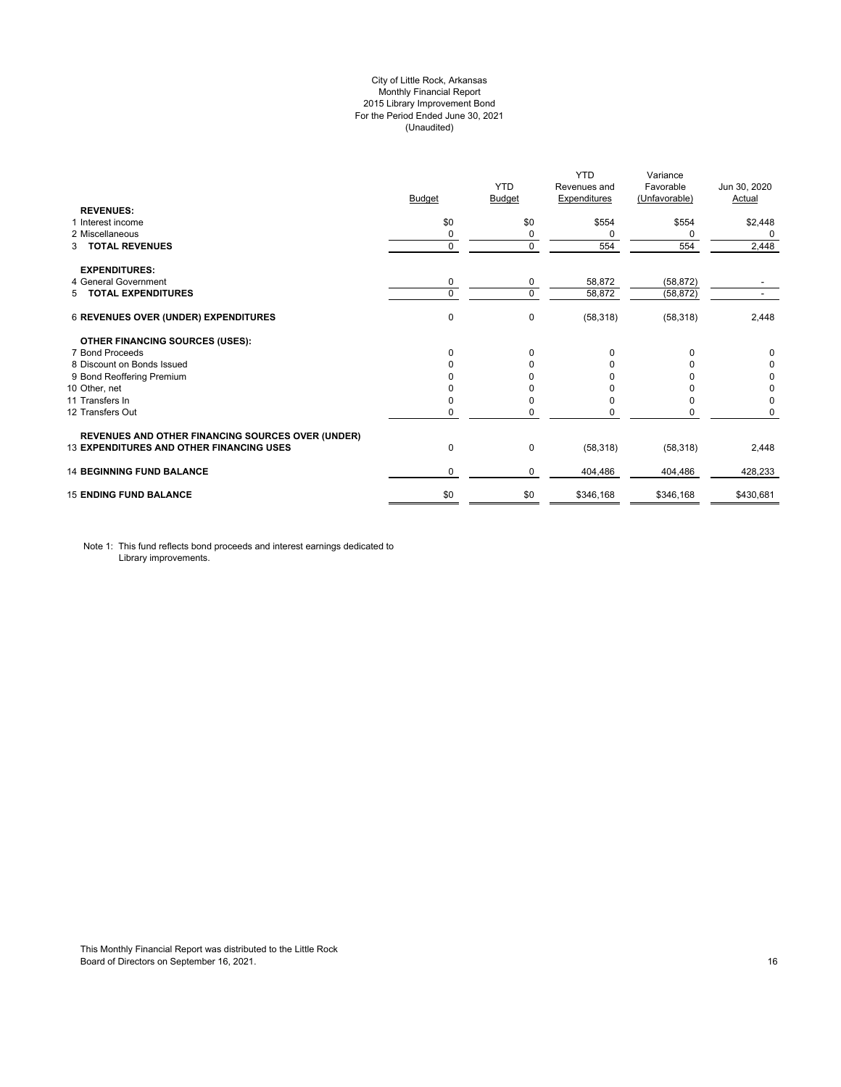# City of Little Rock, Arkansas Monthly Financial Report 2015 Library Improvement Bond For the Period Ended June 30, 2021 (Unaudited)

|                                                          |               | <b>YTD</b>   | <b>YTD</b><br>Revenues and | Variance<br>Favorable | Jun 30, 2020 |
|----------------------------------------------------------|---------------|--------------|----------------------------|-----------------------|--------------|
|                                                          | <b>Budget</b> | Budget       | <b>Expenditures</b>        | (Unfavorable)         | Actual       |
| <b>REVENUES:</b>                                         |               |              |                            |                       |              |
| 1 Interest income                                        | \$0           | \$0          | \$554                      | \$554                 | \$2,448      |
| 2 Miscellaneous                                          | 0             | 0            | 0                          | 0                     | 0            |
| <b>TOTAL REVENUES</b><br>3                               | $\mathbf 0$   | 0            | 554                        | 554                   | 2,448        |
| <b>EXPENDITURES:</b>                                     |               |              |                            |                       |              |
| 4 General Government                                     | 0             | 0            | 58,872                     | (58, 872)             |              |
| 5 TOTAL EXPENDITURES                                     | $\mathbf 0$   | $\Omega$     | 58,872                     | (58, 872)             |              |
| 6 REVENUES OVER (UNDER) EXPENDITURES                     | 0             | 0            | (58, 318)                  | (58, 318)             | 2,448        |
| <b>OTHER FINANCING SOURCES (USES):</b>                   |               |              |                            |                       |              |
| 7 Bond Proceeds                                          | $\Omega$      | $\Omega$     | $\Omega$                   | $\Omega$              | 0            |
| 8 Discount on Bonds Issued                               | $\Omega$      | <sup>n</sup> | n                          |                       | 0            |
| 9 Bond Reoffering Premium                                | 0             |              |                            |                       | 0            |
| 10 Other, net                                            | $\Omega$      |              |                            |                       | 0            |
| 11 Transfers In                                          | 0             |              |                            |                       | 0            |
| 12 Transfers Out                                         | 0             | 0            |                            | 0                     | 0            |
| <b>REVENUES AND OTHER FINANCING SOURCES OVER (UNDER)</b> |               |              |                            |                       |              |
| <b>13 EXPENDITURES AND OTHER FINANCING USES</b>          | 0             | 0            | (58, 318)                  | (58, 318)             | 2,448        |
| <b>14 BEGINNING FUND BALANCE</b>                         | 0             | 0            | 404,486                    | 404,486               | 428,233      |
| <b>15 ENDING FUND BALANCE</b>                            | \$0           | \$0          | \$346,168                  | \$346,168             | \$430,681    |

Note 1: This fund reflects bond proceeds and interest earnings dedicated to Library improvements.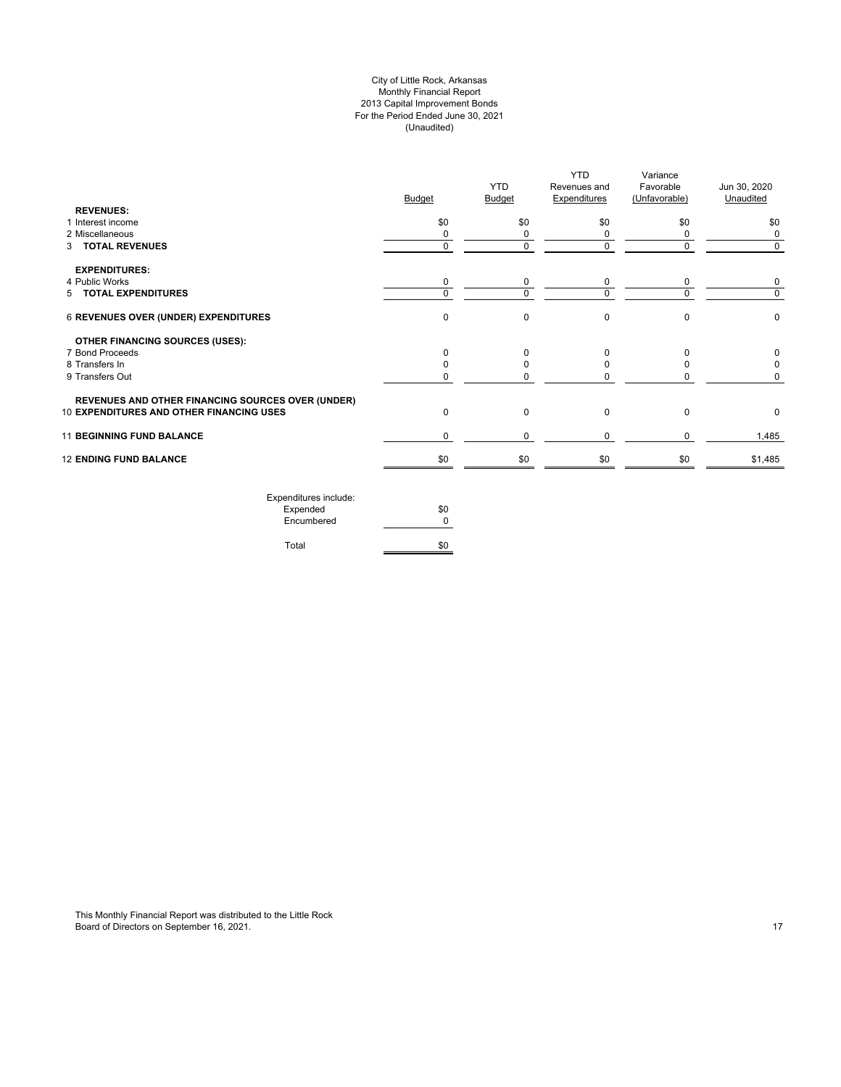# City of Little Rock, Arkansas Monthly Financial Report 2013 Capital Improvement Bonds For the Period Ended June 30, 2021 (Unaudited)

| <b>REVENUES:</b>                                  | <b>Budget</b> | <b>YTD</b><br><b>Budget</b> | <b>YTD</b><br>Revenues and<br><b>Expenditures</b> | Variance<br>Favorable<br>(Unfavorable) | Jun 30, 2020<br>Unaudited |
|---------------------------------------------------|---------------|-----------------------------|---------------------------------------------------|----------------------------------------|---------------------------|
| 1 Interest income                                 | \$0           | \$0                         | \$0                                               | \$0                                    | \$0                       |
| 2 Miscellaneous                                   | $\Omega$      | 0                           | 0                                                 | $\Omega$                               | 0                         |
| 3 TOTAL REVENUES                                  | $\mathbf 0$   | 0                           | $\mathbf 0$                                       | $\Omega$                               | $\mathbf 0$               |
| <b>EXPENDITURES:</b>                              |               |                             |                                                   |                                        |                           |
| 4 Public Works                                    | 0             | 0                           | 0                                                 | $\mathbf 0$                            | 0                         |
| 5 TOTAL EXPENDITURES                              | $\Omega$      | $\Omega$                    | $\Omega$                                          | $\Omega$                               | $\Omega$                  |
| 6 REVENUES OVER (UNDER) EXPENDITURES              | $\mathbf 0$   | 0                           | $\mathbf 0$                                       | $\Omega$                               | $\mathbf 0$               |
| <b>OTHER FINANCING SOURCES (USES):</b>            |               |                             |                                                   |                                        |                           |
| 7 Bond Proceeds                                   | $\Omega$      | $\Omega$                    | $\Omega$                                          | $\Omega$                               | 0                         |
| 8 Transfers In                                    | <sup>0</sup>  | 0                           | 0                                                 |                                        | 0                         |
| 9 Transfers Out                                   | 0             |                             | $\Omega$                                          |                                        | $\Omega$                  |
| REVENUES AND OTHER FINANCING SOURCES OVER (UNDER) |               |                             |                                                   |                                        |                           |
| 10 EXPENDITURES AND OTHER FINANCING USES          | $\mathbf 0$   | $\mathbf 0$                 | $\mathbf 0$                                       | $\Omega$                               | 0                         |
| <b>11 BEGINNING FUND BALANCE</b>                  | $\Omega$      | 0                           | $\mathbf 0$                                       | $\Omega$                               | 1,485                     |
| <b>12 ENDING FUND BALANCE</b>                     | \$0           | \$0                         | \$0                                               | \$0                                    | \$1,485                   |
| Expenditures include:                             |               |                             |                                                   |                                        |                           |

| LAPCHURGICS INCIDE. |     |
|---------------------|-----|
| Expended            | \$0 |
| Encumbered          | ŋ   |
|                     |     |
| Total               | \$0 |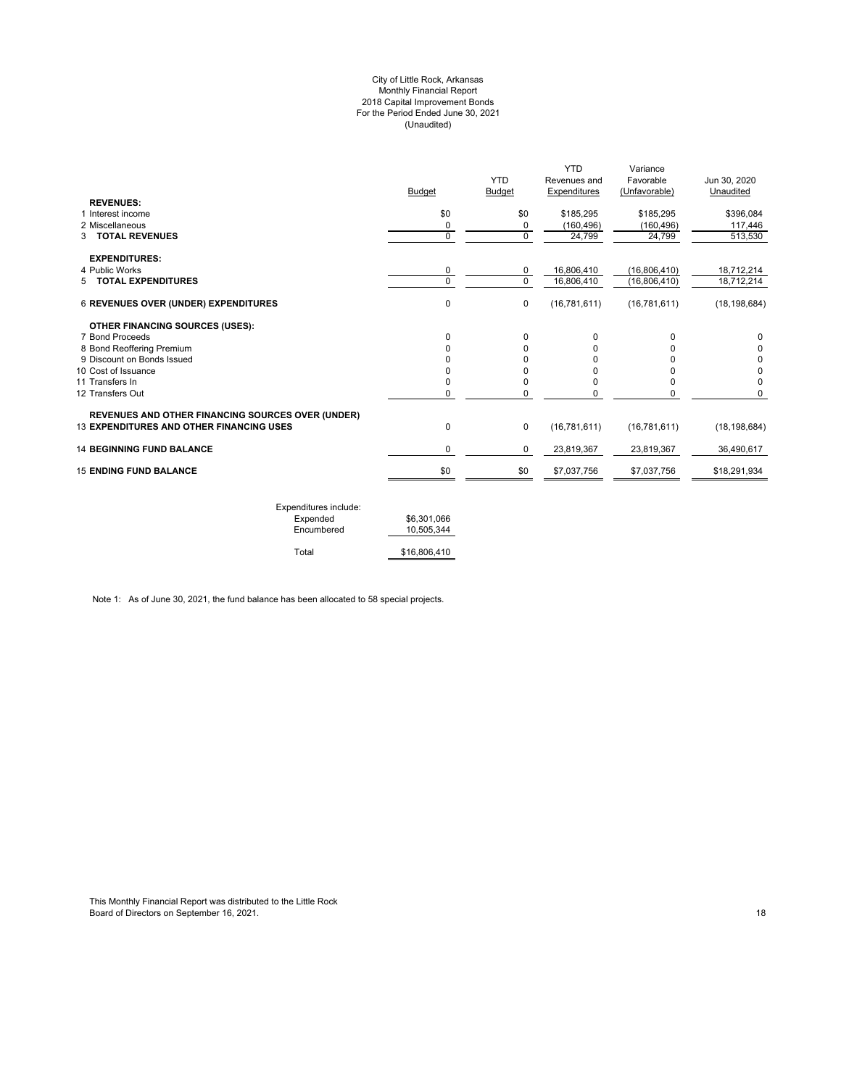#### City of Little Rock, Arkansas Monthly Financial Report 2018 Capital Improvement Bonds For the Period Ended June 30, 2021 (Unaudited)

|                                                          |          | <b>YTD</b>  | <b>YTD</b><br>Revenues and | Variance<br>Favorable | Jun 30, 2020   |
|----------------------------------------------------------|----------|-------------|----------------------------|-----------------------|----------------|
|                                                          | Budget   | Budget      | Expenditures               | (Unfavorable)         | Unaudited      |
| <b>REVENUES:</b>                                         |          |             |                            |                       |                |
| 1 Interest income                                        | \$0      | \$0         | \$185,295                  | \$185,295             | \$396,084      |
| 2 Miscellaneous                                          | 0        | 0           | (160, 496)                 | (160, 496)            | 117,446        |
| <b>3 TOTAL REVENUES</b>                                  | $\Omega$ | $\mathbf 0$ | 24,799                     | 24,799                | 513,530        |
| <b>EXPENDITURES:</b>                                     |          |             |                            |                       |                |
| 4 Public Works                                           | 0        | 0           | 16,806,410                 | (16,806,410)          | 18,712,214     |
| 5 TOTAL EXPENDITURES                                     | 0        | $\Omega$    | 16,806,410                 | (16,806,410)          | 18,712,214     |
| 6 REVENUES OVER (UNDER) EXPENDITURES                     | 0        | $\mathbf 0$ | (16,781,611)               | (16,781,611)          | (18, 198, 684) |
| OTHER FINANCING SOURCES (USES):                          |          |             |                            |                       |                |
| 7 Bond Proceeds                                          | 0        | $\Omega$    | 0                          | 0                     | $\Omega$       |
| 8 Bond Reoffering Premium                                | O        | $\Omega$    | 0                          | U                     | 0              |
| 9 Discount on Bonds Issued                               |          | 0           | O                          |                       | 0              |
| 10 Cost of Issuance                                      | ŋ        | 0           | O                          |                       | 0              |
| 11 Transfers In                                          | 0        | 0           | 0                          | 0                     | $\Omega$       |
| 12 Transfers Out                                         | 0        | 0           | 0                          | 0                     | 0              |
| <b>REVENUES AND OTHER FINANCING SOURCES OVER (UNDER)</b> |          |             |                            |                       |                |
| <b>13 EXPENDITURES AND OTHER FINANCING USES</b>          | 0        | $\mathbf 0$ | (16,781,611)               | (16,781,611)          | (18, 198, 684) |
| <b>14 BEGINNING FUND BALANCE</b>                         | 0        | 0           | 23,819,367                 | 23,819,367            | 36,490,617     |
| <b>15 ENDING FUND BALANCE</b>                            | \$0      | \$0         | \$7,037,756                | \$7,037,756           | \$18,291,934   |
|                                                          |          |             |                            |                       |                |

| Expenditures include: |              |
|-----------------------|--------------|
| Expended              | \$6,301,066  |
| Encumbered            | 10.505.344   |
| Total                 | \$16,806,410 |

Note 1: As of June 30, 2021, the fund balance has been allocated to 58 special projects.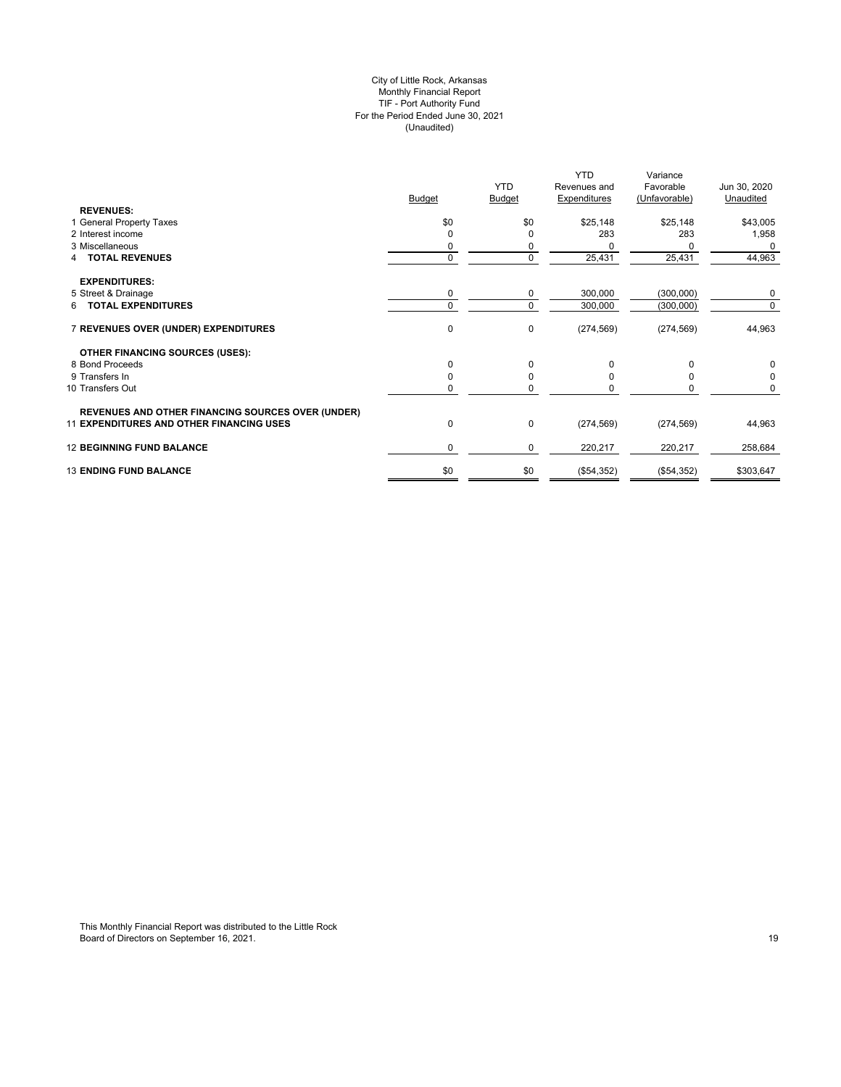# City of Little Rock, Arkansas Monthly Financial Report TIF - Port Authority Fund For the Period Ended June 30, 2021 (Unaudited)

| <b>YTD</b><br>Revenues and<br>Budget<br><b>Expenditures</b><br><b>Budget</b>                    | Jun 30, 2020<br>Favorable<br>Unaudited<br>(Unfavorable) |            |
|-------------------------------------------------------------------------------------------------|---------------------------------------------------------|------------|
| <b>REVENUES:</b>                                                                                |                                                         |            |
| \$0<br>\$0<br>\$25,148<br>1 General Property Taxes<br>283<br>2 Interest income<br>$\Omega$<br>O | \$25,148<br>\$43,005                                    |            |
| 3 Miscellaneous<br>0<br>0                                                                       | 283<br>0                                                | 1,958<br>0 |
| $\mathbf 0$<br>$\mathbf 0$<br>25,431<br><b>4 TOTAL REVENUES</b>                                 | 44,963<br>25,431                                        |            |
|                                                                                                 |                                                         |            |
| <b>EXPENDITURES:</b>                                                                            |                                                         |            |
| 5 Street & Drainage<br>300,000<br>0<br>0                                                        | (300,000)                                               | 0          |
| 6 TOTAL EXPENDITURES<br>$\Omega$<br>$\Omega$<br>300,000                                         | (300,000)                                               | 0          |
| $\pmb{0}$<br>7 REVENUES OVER (UNDER) EXPENDITURES<br>0<br>(274, 569)                            | (274, 569)<br>44,963                                    |            |
| <b>OTHER FINANCING SOURCES (USES):</b>                                                          |                                                         |            |
| 8 Bond Proceeds<br>$\mathbf 0$<br>$\Omega$<br>0                                                 | O                                                       | 0          |
| 9 Transfers In<br>$\mathbf 0$<br>n                                                              |                                                         | 0          |
| 10 Transfers Out<br>0<br>O                                                                      | 0                                                       | 0          |
| <b>REVENUES AND OTHER FINANCING SOURCES OVER (UNDER)</b>                                        |                                                         |            |
| <b>11 EXPENDITURES AND OTHER FINANCING USES</b><br>0<br>$\mathbf 0$<br>(274, 569)               | 44,963<br>(274, 569)                                    |            |
| <b>12 BEGINNING FUND BALANCE</b><br>0<br>0<br>220,217                                           | 258,684<br>220,217                                      |            |
| \$0<br><b>13 ENDING FUND BALANCE</b><br>\$0<br>(\$54,352)                                       | (\$54,352)<br>\$303,647                                 |            |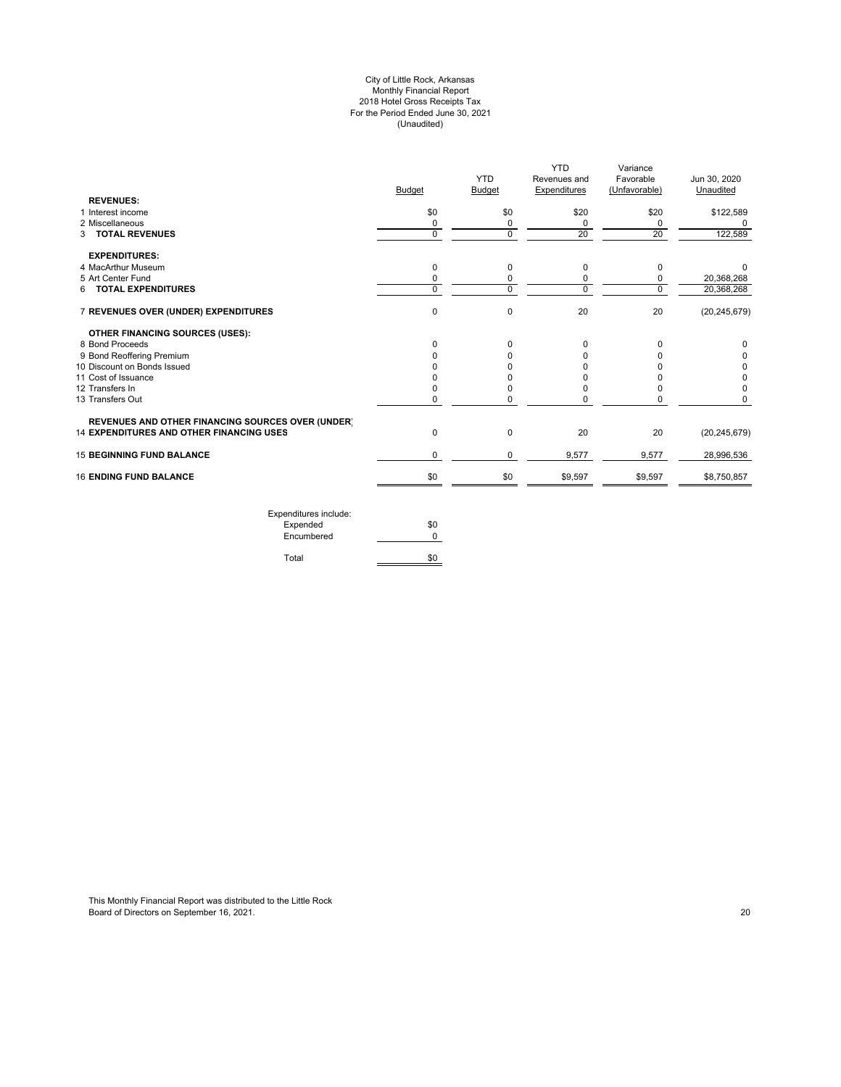#### City of Little Rock, Arkansas Monthly Financial Report 2018 Hotel Gross Receipts Tax For the Period Ended June 30, 2021 (Unaudited)

|                                                          |               | <b>YTD</b>    | YTD<br>Revenues and | Variance<br>Favorable | Jun 30, 2020   |
|----------------------------------------------------------|---------------|---------------|---------------------|-----------------------|----------------|
|                                                          | <b>Budget</b> | <b>Budget</b> | Expenditures        | (Unfavorable)         | Unaudited      |
| <b>REVENUES:</b><br>1 Interest income                    |               |               |                     |                       |                |
|                                                          | \$0           | \$0           | \$20                | \$20                  | \$122,589      |
| 2 Miscellaneous                                          | 0             | 0             | 0                   | $\Omega$              | 0              |
| 3 TOTAL REVENUES                                         | $\mathbf 0$   | 0             | 20                  | 20                    | 122,589        |
| <b>EXPENDITURES:</b>                                     |               |               |                     |                       |                |
| 4 MacArthur Museum                                       | 0             | 0             | 0                   | 0                     | 0              |
| 5 Art Center Fund                                        | 0             | 0             | 0                   | 0                     | 20,368,268     |
| 6 TOTAL EXPENDITURES                                     | $\Omega$      | $\mathbf 0$   | $\mathbf 0$         | $\Omega$              | 20,368,268     |
| 7 REVENUES OVER (UNDER) EXPENDITURES                     | $\Omega$      | 0             | 20                  | 20                    | (20, 245, 679) |
| OTHER FINANCING SOURCES (USES):                          |               |               |                     |                       |                |
| 8 Bond Proceeds                                          | $\Omega$      | 0             | 0                   | 0                     | 0              |
| 9 Bond Reoffering Premium                                |               | 0             | $\Omega$            |                       | 0              |
| 10 Discount on Bonds Issued                              |               | ŋ             |                     |                       | 0              |
| 11 Cost of Issuance                                      |               | <sup>0</sup>  |                     |                       | 0              |
| 12 Transfers In                                          |               | 0             | 0                   |                       | 0              |
| 13 Transfers Out                                         | 0             | 0             | 0                   | 0                     | 0              |
| <b>REVENUES AND OTHER FINANCING SOURCES OVER (UNDER)</b> |               |               |                     |                       |                |
| <b>14 EXPENDITURES AND OTHER FINANCING USES</b>          | 0             | 0             | 20                  | 20                    | (20, 245, 679) |
| <b>15 BEGINNING FUND BALANCE</b>                         | $\Omega$      | 0             | 9,577               | 9,577                 | 28,996,536     |
| <b>16 ENDING FUND BALANCE</b>                            | \$0           | \$0           | \$9,597             | \$9,597               | \$8,750,857    |

| Expenditures include:<br>Expended | \$0 |
|-----------------------------------|-----|
| Encumbered                        |     |
| Total                             |     |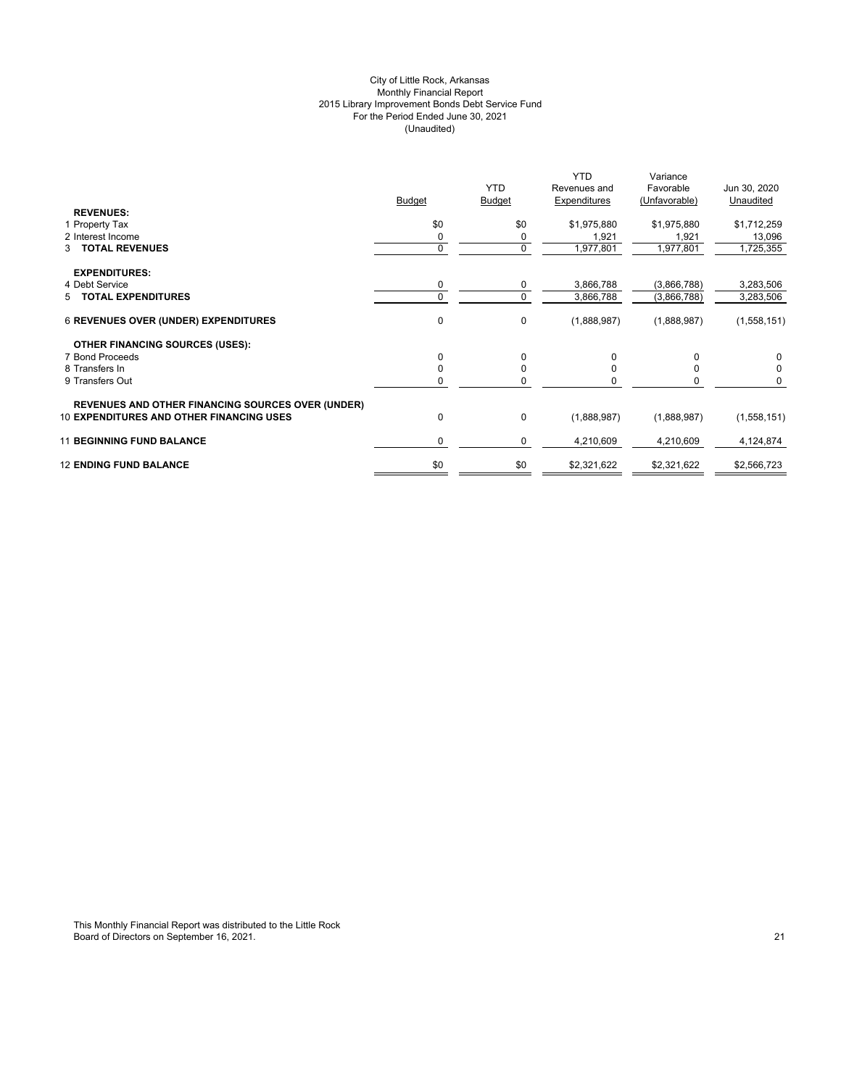# City of Little Rock, Arkansas Monthly Financial Report 2015 Library Improvement Bonds Debt Service Fund For the Period Ended June 30, 2021 (Unaudited)

| <b>REVENUES:</b>                                                                                            | <b>Budget</b> | <b>YTD</b><br><b>Budget</b> | <b>YTD</b><br>Revenues and<br>Expenditures | Variance<br>Favorable<br>(Unfavorable) | Jun 30, 2020<br>Unaudited |
|-------------------------------------------------------------------------------------------------------------|---------------|-----------------------------|--------------------------------------------|----------------------------------------|---------------------------|
| 1 Property Tax                                                                                              | \$0           | \$0                         | \$1,975,880                                | \$1,975,880                            | \$1,712,259               |
| 2 Interest Income                                                                                           |               |                             | 1,921                                      | 1,921                                  | 13,096                    |
| 3 TOTAL REVENUES                                                                                            | $\Omega$      | $\mathbf 0$                 | 1,977,801                                  | 1,977,801                              | 1,725,355                 |
| <b>EXPENDITURES:</b>                                                                                        |               |                             |                                            |                                        |                           |
| 4 Debt Service                                                                                              |               | $\mathbf 0$                 | 3,866,788                                  | (3,866,788)                            | 3,283,506                 |
| 5 TOTAL EXPENDITURES                                                                                        | $\Omega$      | $\Omega$                    | 3,866,788                                  | (3,866,788)                            | 3,283,506                 |
| <b>6 REVENUES OVER (UNDER) EXPENDITURES</b>                                                                 | 0             | $\mathbf 0$                 | (1,888,987)                                | (1,888,987)                            | (1,558,151)               |
| <b>OTHER FINANCING SOURCES (USES):</b>                                                                      |               |                             |                                            |                                        |                           |
| 7 Bond Proceeds                                                                                             | $\Omega$      | $\Omega$                    | 0                                          | 0                                      | <sup>0</sup>              |
| 8 Transfers In                                                                                              |               |                             |                                            |                                        |                           |
| 9 Transfers Out                                                                                             |               |                             |                                            |                                        |                           |
| <b>REVENUES AND OTHER FINANCING SOURCES OVER (UNDER)</b><br><b>10 EXPENDITURES AND OTHER FINANCING USES</b> | $\Omega$      | $\mathbf{0}$                | (1,888,987)                                | (1,888,987)                            | (1,558,151)               |
|                                                                                                             |               |                             |                                            |                                        |                           |
| <b>11 BEGINNING FUND BALANCE</b>                                                                            | 0             | 0                           | 4,210,609                                  | 4,210,609                              | 4,124,874                 |
| <b>12 ENDING FUND BALANCE</b>                                                                               | \$0           | \$0                         | \$2,321,622                                | \$2,321,622                            | \$2,566,723               |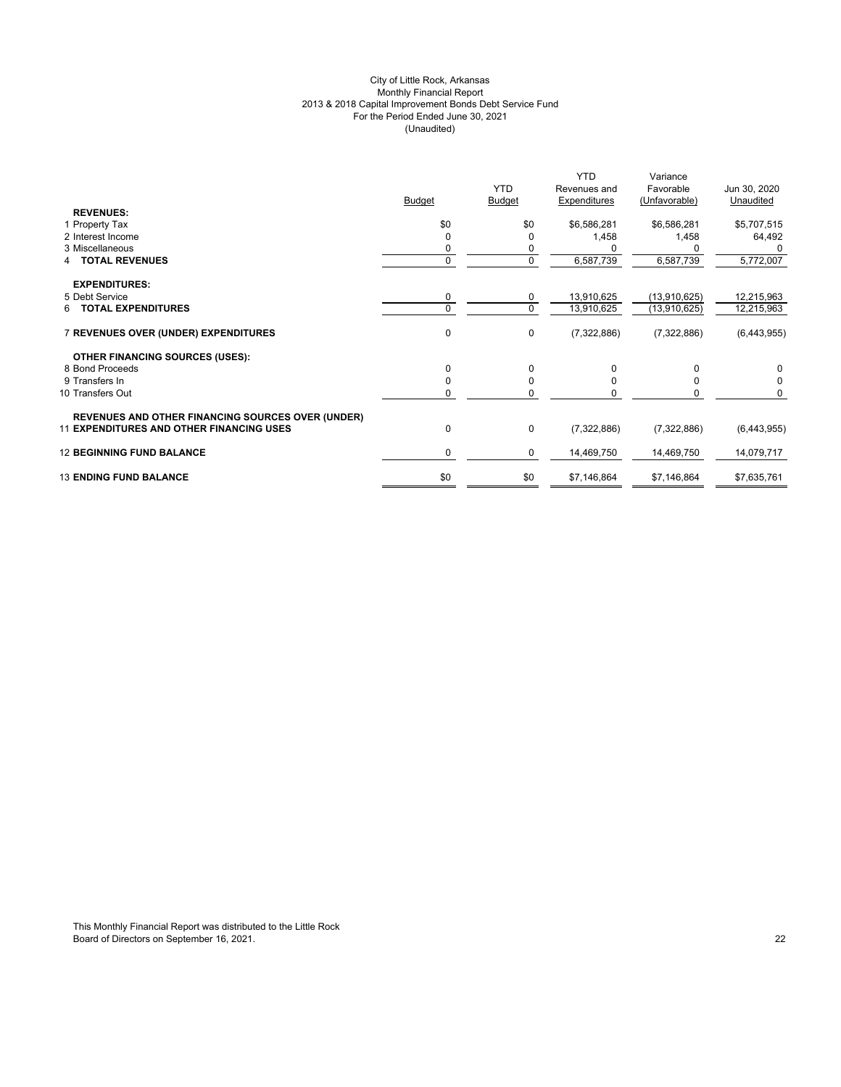# City of Little Rock, Arkansas Monthly Financial Report 2013 & 2018 Capital Improvement Bonds Debt Service Fund For the Period Ended June 30, 2021 (Unaudited)

|                                                          | <b>Budget</b> | <b>YTD</b><br><b>Budget</b> | <b>YTD</b><br>Revenues and<br>Expenditures | Variance<br>Favorable<br>(Unfavorable) | Jun 30, 2020<br>Unaudited |
|----------------------------------------------------------|---------------|-----------------------------|--------------------------------------------|----------------------------------------|---------------------------|
| <b>REVENUES:</b>                                         |               |                             |                                            |                                        |                           |
| 1 Property Tax                                           | \$0           | \$0                         | \$6,586,281                                | \$6,586,281                            | \$5,707,515               |
| 2 Interest Income                                        | $\Omega$      | $\Omega$                    | 1,458                                      | 1,458                                  | 64,492                    |
| 3 Miscellaneous                                          | 0             | 0                           |                                            |                                        |                           |
| <b>TOTAL REVENUES</b>                                    | $\mathbf{0}$  | $\mathbf 0$                 | 6,587,739                                  | 6,587,739                              | 5,772,007                 |
| <b>EXPENDITURES:</b>                                     |               |                             |                                            |                                        |                           |
| 5 Debt Service                                           | 0             | 0                           | 13,910,625                                 | (13,910,625)                           | 12,215,963                |
| <b>TOTAL EXPENDITURES</b><br>6                           | $\Omega$      | $\mathbf 0$                 | 13,910,625                                 | (13,910,625)                           | 12,215,963                |
| 7 REVENUES OVER (UNDER) EXPENDITURES                     | 0             | 0                           | (7, 322, 886)                              | (7, 322, 886)                          | (6,443,955)               |
| <b>OTHER FINANCING SOURCES (USES):</b>                   |               |                             |                                            |                                        |                           |
| 8 Bond Proceeds                                          | $\Omega$      | 0                           | 0                                          | $\Omega$                               | 0                         |
| 9 Transfers In                                           | $\Omega$      | 0                           | <sup>0</sup>                               | 0                                      | $\Omega$                  |
| 10 Transfers Out                                         | 0             | 0                           |                                            |                                        | 0                         |
| <b>REVENUES AND OTHER FINANCING SOURCES OVER (UNDER)</b> |               |                             |                                            |                                        |                           |
| <b>11 EXPENDITURES AND OTHER FINANCING USES</b>          | $\Omega$      | 0                           | (7,322,886)                                | (7,322,886)                            | (6,443,955)               |
| <b>12 BEGINNING FUND BALANCE</b>                         | $\mathbf 0$   | 0                           | 14,469,750                                 | 14,469,750                             | 14,079,717                |
| <b>13 ENDING FUND BALANCE</b>                            | \$0           | \$0                         | \$7,146,864                                | \$7,146,864                            | \$7,635,761               |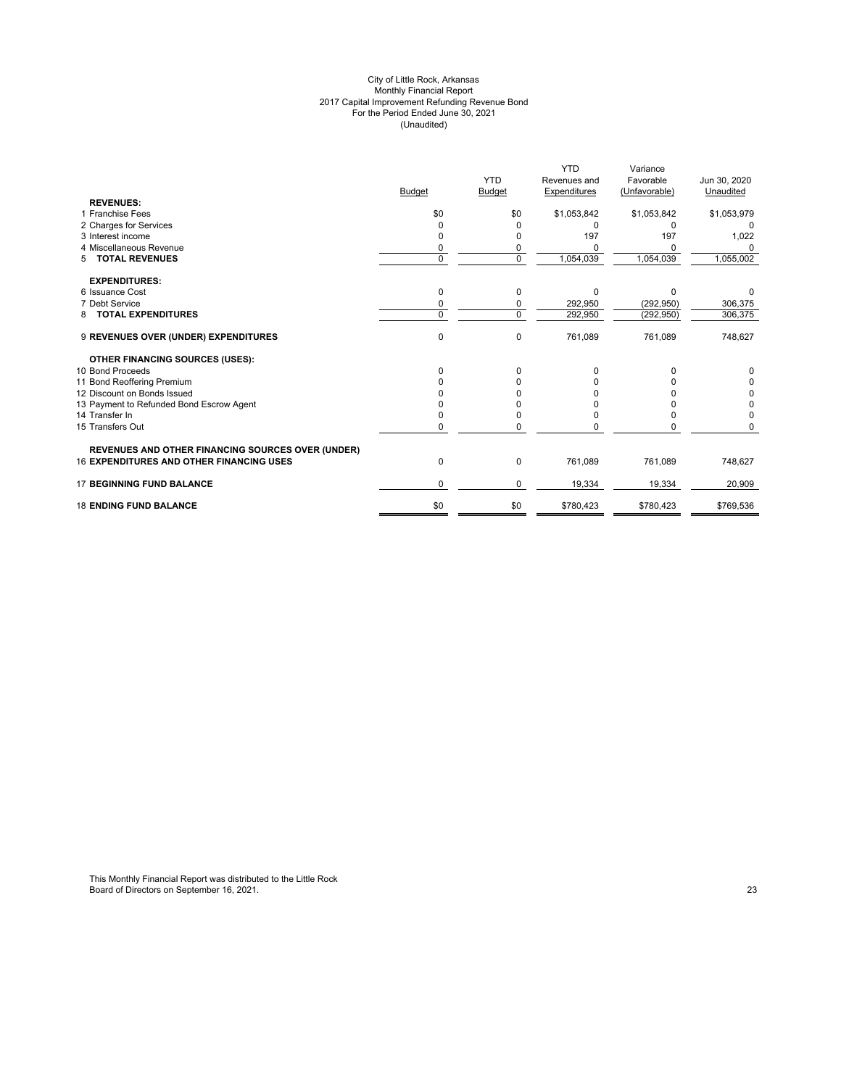#### City of Little Rock, Arkansas Monthly Financial Report 2017 Capital Improvement Refunding Revenue Bond For the Period Ended June 30, 2021 (Unaudited)

|                                                   |               |                | <b>YTD</b>   | Variance      |              |
|---------------------------------------------------|---------------|----------------|--------------|---------------|--------------|
|                                                   |               | <b>YTD</b>     | Revenues and | Favorable     | Jun 30, 2020 |
|                                                   | <b>Budget</b> | Budget         | Expenditures | (Unfavorable) | Unaudited    |
| <b>REVENUES:</b>                                  |               |                |              |               |              |
| 1 Franchise Fees                                  | \$0           | \$0            | \$1,053,842  | \$1,053,842   | \$1,053,979  |
| 2 Charges for Services                            | 0             |                |              | 0             |              |
| 3 Interest income                                 |               |                | 197          | 197           | 1,022        |
| 4 Miscellaneous Revenue                           | 0             | 0              |              |               |              |
| <b>TOTAL REVENUES</b><br>5                        | $\Omega$      | $\overline{0}$ | 1,054,039    | 1,054,039     | 1,055,002    |
| <b>EXPENDITURES:</b>                              |               |                |              |               |              |
| 6 Issuance Cost                                   | $\Omega$      | 0              | $\Omega$     | $\Omega$      |              |
| 7 Debt Service                                    | $\Omega$      | 0              | 292,950      | (292, 950)    | 306,375      |
| <b>TOTAL EXPENDITURES</b><br>8                    | $\Omega$      | $\mathbf 0$    | 292,950      | (292, 950)    | 306,375      |
| 9 REVENUES OVER (UNDER) EXPENDITURES              | $\mathbf 0$   | 0              | 761,089      | 761,089       | 748,627      |
| <b>OTHER FINANCING SOURCES (USES):</b>            |               |                |              |               |              |
| 10 Bond Proceeds                                  | 0             | 0              |              |               |              |
| 11 Bond Reoffering Premium                        |               |                |              |               | 0            |
| 12 Discount on Bonds Issued                       |               |                |              |               | 0            |
| 13 Payment to Refunded Bond Escrow Agent          |               |                |              |               | 0            |
| 14 Transfer In                                    |               |                |              |               | $\Omega$     |
| 15 Transfers Out                                  | 0             | 0              |              |               |              |
| REVENUES AND OTHER FINANCING SOURCES OVER (UNDER) |               |                |              |               |              |
| <b>16 EXPENDITURES AND OTHER FINANCING USES</b>   | 0             | 0              | 761,089      | 761,089       | 748,627      |
| <b>17 BEGINNING FUND BALANCE</b>                  | $\Omega$      | 0              | 19,334       | 19,334        | 20,909       |
| <b>18 ENDING FUND BALANCE</b>                     | \$0           | \$0            | \$780,423    | \$780,423     | \$769,536    |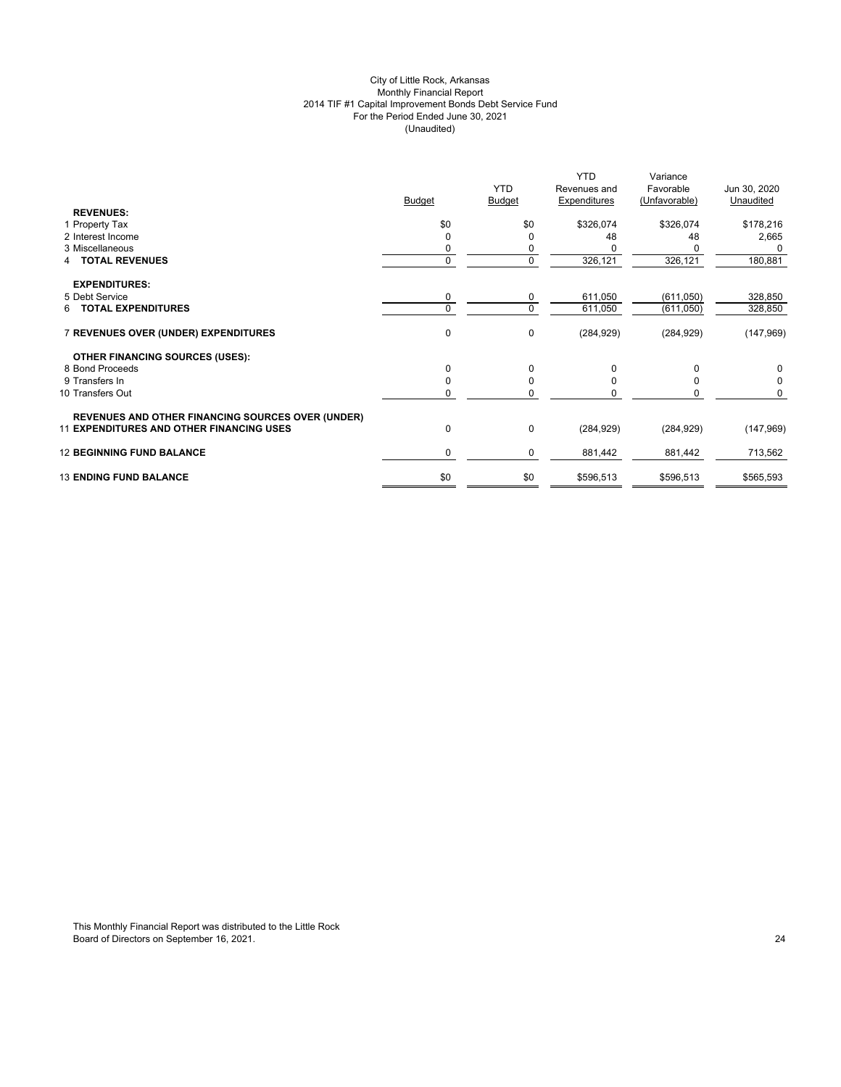# City of Little Rock, Arkansas Monthly Financial Report 2014 TIF #1 Capital Improvement Bonds Debt Service Fund For the Period Ended June 30, 2021 (Unaudited)

| <b>REVENUES:</b><br>\$0<br>\$0<br>\$326,074<br>\$326,074<br>1 Property Tax<br>2 Interest Income<br>0<br>48<br>48<br>$\Omega$<br>3 Miscellaneous<br>0<br>0<br>$\mathbf 0$<br>326,121<br>326,121<br><b>TOTAL REVENUES</b><br>$\mathbf 0$ |            |
|----------------------------------------------------------------------------------------------------------------------------------------------------------------------------------------------------------------------------------------|------------|
|                                                                                                                                                                                                                                        |            |
|                                                                                                                                                                                                                                        | \$178,216  |
|                                                                                                                                                                                                                                        | 2,665      |
|                                                                                                                                                                                                                                        | 0          |
|                                                                                                                                                                                                                                        | 180,881    |
| <b>EXPENDITURES:</b>                                                                                                                                                                                                                   |            |
| 5 Debt Service<br>0<br>611,050<br>(611,050)<br>$\mathbf 0$                                                                                                                                                                             | 328,850    |
| $\mathbf 0$<br><b>6 TOTAL EXPENDITURES</b><br>$\Omega$<br>611,050<br>(611, 050)                                                                                                                                                        | 328,850    |
| $\mathbf 0$<br>0<br>7 REVENUES OVER (UNDER) EXPENDITURES<br>(284, 929)<br>(284, 929)                                                                                                                                                   | (147, 969) |
| <b>OTHER FINANCING SOURCES (USES):</b>                                                                                                                                                                                                 |            |
| 0<br>8 Bond Proceeds<br>$\Omega$<br>0<br>$\Omega$                                                                                                                                                                                      | 0          |
| $\mathbf 0$<br>9 Transfers In<br>$\Omega$<br>$\Omega$<br><sup>0</sup>                                                                                                                                                                  | $\Omega$   |
| 0<br>10 Transfers Out<br>0<br>ŋ                                                                                                                                                                                                        | $\Omega$   |
| <b>REVENUES AND OTHER FINANCING SOURCES OVER (UNDER)</b>                                                                                                                                                                               |            |
| $\pmb{0}$<br><b>11 EXPENDITURES AND OTHER FINANCING USES</b><br>0<br>(284, 929)<br>(284, 929)                                                                                                                                          | (147, 969) |
| 0<br><b>12 BEGINNING FUND BALANCE</b><br>$\mathbf 0$<br>881,442<br>881,442                                                                                                                                                             | 713,562    |
| \$0<br><b>13 ENDING FUND BALANCE</b><br>\$0<br>\$596,513<br>\$596,513                                                                                                                                                                  | \$565,593  |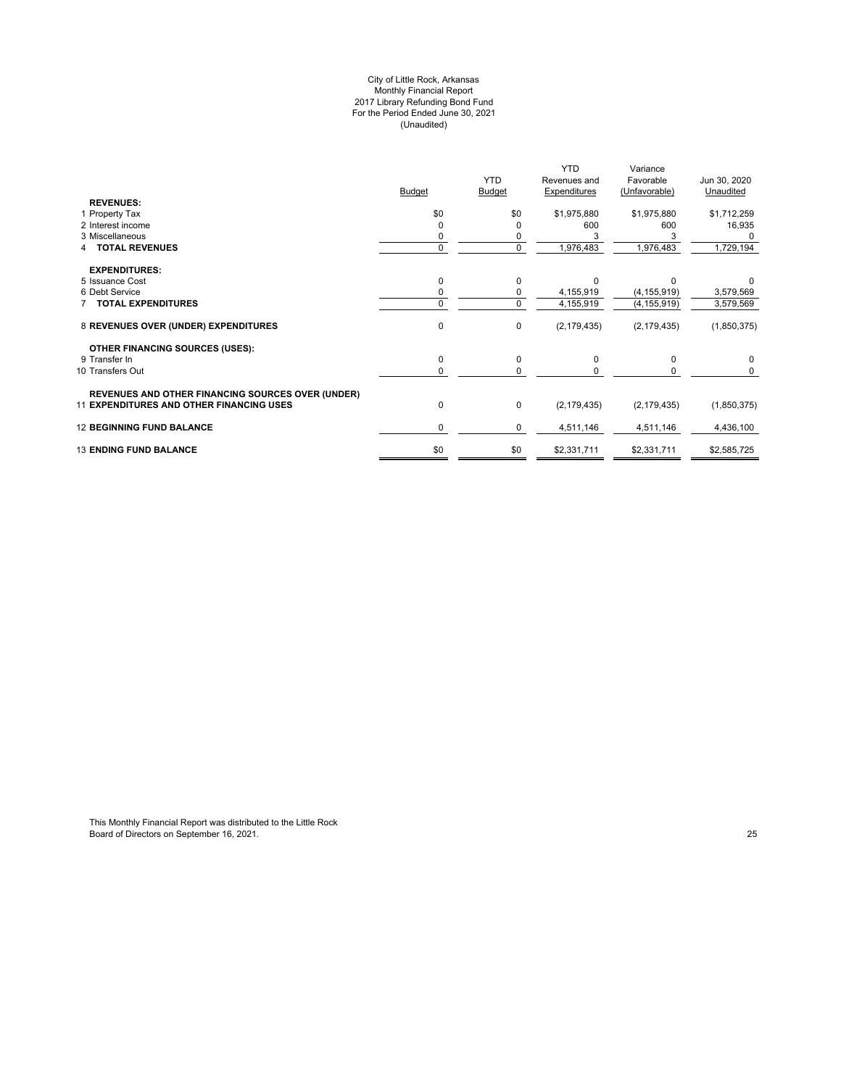#### City of Little Rock, Arkansas Monthly Financial Report 2017 Library Refunding Bond Fund For the Period Ended June 30, 2021 (Unaudited)

|                                                          |               |                | YTD.          | Variance      |              |
|----------------------------------------------------------|---------------|----------------|---------------|---------------|--------------|
|                                                          |               | <b>YTD</b>     | Revenues and  | Favorable     | Jun 30, 2020 |
|                                                          | <b>Budget</b> | <b>Budget</b>  | Expenditures  | (Unfavorable) | Unaudited    |
| <b>REVENUES:</b>                                         |               |                |               |               |              |
| 1 Property Tax                                           | \$0           | \$0            | \$1,975,880   | \$1,975,880   | \$1,712,259  |
| 2 Interest income                                        |               | 0              | 600           | 600           | 16,935       |
| 3 Miscellaneous                                          |               |                |               |               |              |
| <b>TOTAL REVENUES</b>                                    | $\Omega$      | $\overline{0}$ | 1,976,483     | 1,976,483     | 1,729,194    |
| <b>EXPENDITURES:</b>                                     |               |                |               |               |              |
| 5 Issuance Cost                                          |               | 0              | $\Omega$      | $\Omega$      |              |
| 6 Debt Service                                           |               | 0              | 4,155,919     | (4, 155, 919) | 3,579,569    |
| <b>7 TOTAL EXPENDITURES</b>                              | $\Omega$      | $\mathbf 0$    | 4,155,919     | (4, 155, 919) | 3,579,569    |
| 8 REVENUES OVER (UNDER) EXPENDITURES                     | 0             | $\pmb{0}$      | (2, 179, 435) | (2, 179, 435) | (1,850,375)  |
| <b>OTHER FINANCING SOURCES (USES):</b>                   |               |                |               |               |              |
| 9 Transfer In                                            | $\Omega$      | $\pmb{0}$      | 0             | 0             | 0            |
| 10 Transfers Out                                         | 0             | 0              |               | 0             | 0            |
| <b>REVENUES AND OTHER FINANCING SOURCES OVER (UNDER)</b> |               |                |               |               |              |
| <b>11 EXPENDITURES AND OTHER FINANCING USES</b>          | 0             | $\pmb{0}$      | (2, 179, 435) | (2, 179, 435) | (1,850,375)  |
| <b>12 BEGINNING FUND BALANCE</b>                         | 0             | 0              | 4,511,146     | 4,511,146     | 4,436,100    |
| <b>13 ENDING FUND BALANCE</b>                            | \$0           | \$0            | \$2,331,711   | \$2,331,711   | \$2,585,725  |
|                                                          |               |                |               |               |              |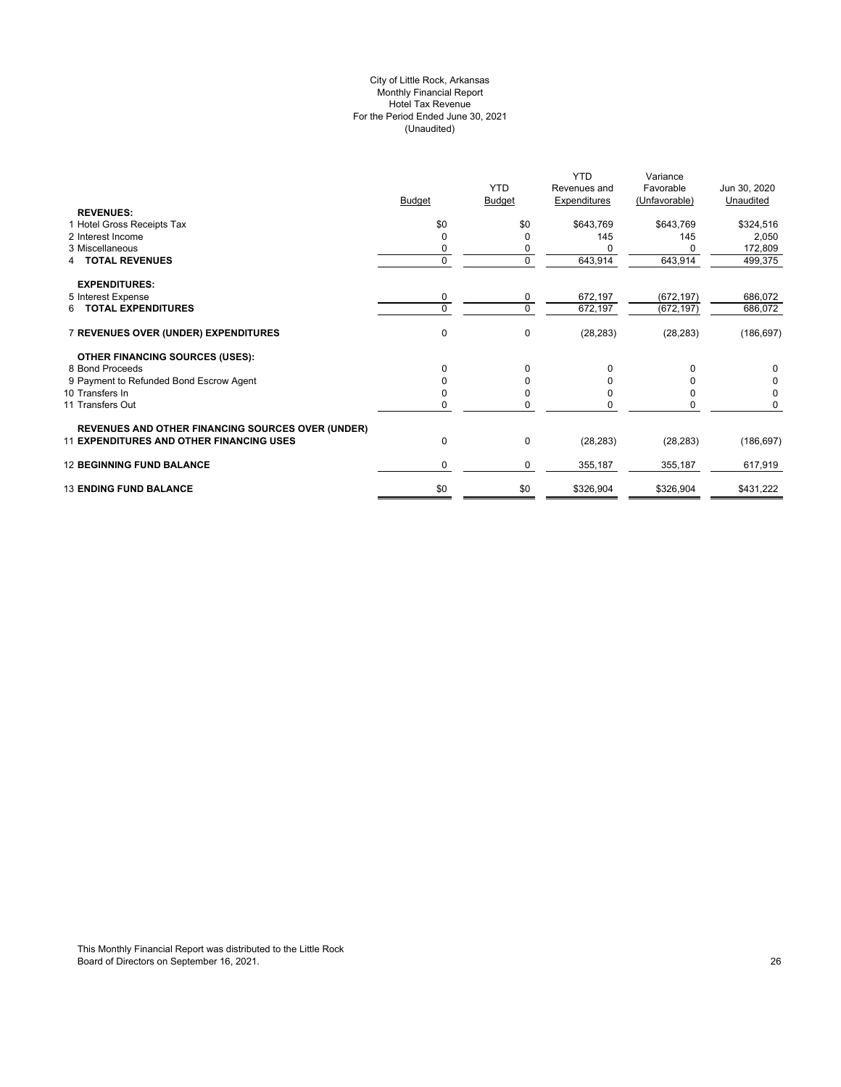# City of Little Rock, Arkansas Monthly Financial Report Hotel Tax Revenue For the Period Ended June 30, 2021 (Unaudited)

|                                                          |               |             | <b>YTD</b>   | Variance      |              |
|----------------------------------------------------------|---------------|-------------|--------------|---------------|--------------|
|                                                          |               | <b>YTD</b>  | Revenues and | Favorable     | Jun 30, 2020 |
|                                                          | <b>Budget</b> | Budget      | Expenditures | (Unfavorable) | Unaudited    |
| <b>REVENUES:</b>                                         |               |             |              |               |              |
| 1 Hotel Gross Receipts Tax                               | \$0           | \$0         | \$643,769    | \$643,769     | \$324,516    |
| 2 Interest Income                                        | 0             | 0           | 145          | 145           | 2,050        |
| 3 Miscellaneous                                          | 0             | 0           |              |               | 172,809      |
| <b>TOTAL REVENUES</b>                                    | $\Omega$      | $\mathbf 0$ | 643,914      | 643,914       | 499,375      |
| <b>EXPENDITURES:</b>                                     |               |             |              |               |              |
| 5 Interest Expense                                       | 0             | 0           | 672,197      | (672, 197)    | 686,072      |
| 6 TOTAL EXPENDITURES                                     | $\Omega$      | 0           | 672,197      | (672, 197)    | 686,072      |
| 7 REVENUES OVER (UNDER) EXPENDITURES                     | $\mathbf 0$   | 0           | (28, 283)    | (28, 283)     | (186, 697)   |
| OTHER FINANCING SOURCES (USES):                          |               |             |              |               |              |
| 8 Bond Proceeds                                          | $\Omega$      | 0           | $\Omega$     |               | 0            |
| 9 Payment to Refunded Bond Escrow Agent                  | O             | 0           |              |               | 0            |
| 10 Transfers In                                          |               | 0           |              |               | 0            |
| 11 Transfers Out                                         | 0             | $\Omega$    |              |               | 0            |
| <b>REVENUES AND OTHER FINANCING SOURCES OVER (UNDER)</b> |               |             |              |               |              |
| <b>11 EXPENDITURES AND OTHER FINANCING USES</b>          | 0             | 0           | (28, 283)    | (28, 283)     | (186, 697)   |
| <b>12 BEGINNING FUND BALANCE</b>                         | 0             | 0           | 355,187      | 355,187       | 617,919      |
| <b>13 ENDING FUND BALANCE</b>                            | \$0           | \$0         | \$326,904    | \$326,904     | \$431,222    |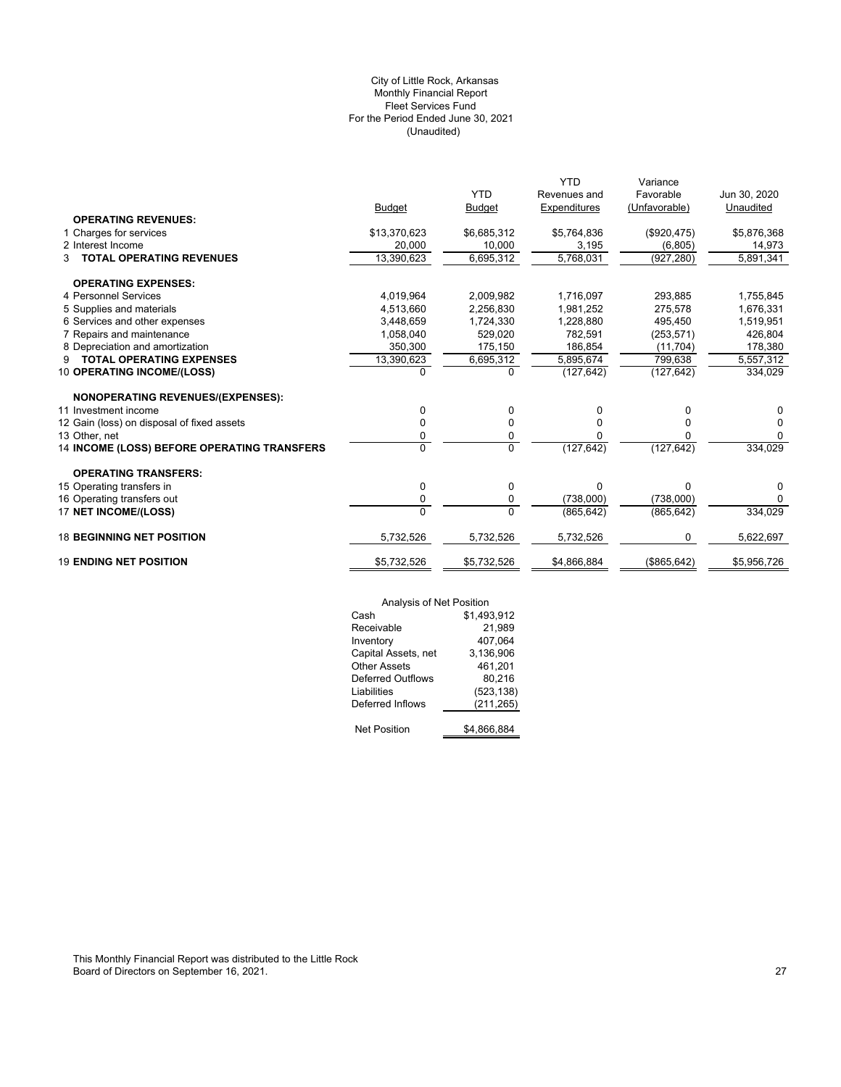# (Unaudited) City of Little Rock, Arkansas Monthly Financial Report Fleet Services Fund For the Period Ended June 30, 2021

|                                             |                | <b>YTD</b>     | <b>YTD</b><br>Revenues and | Variance<br>Favorable | Jun 30, 2020 |
|---------------------------------------------|----------------|----------------|----------------------------|-----------------------|--------------|
|                                             | <b>Budget</b>  | <b>Budget</b>  | Expenditures               | (Unfavorable)         | Unaudited    |
| <b>OPERATING REVENUES:</b>                  |                |                |                            |                       |              |
| 1 Charges for services                      | \$13,370,623   | \$6,685,312    | \$5,764,836                | (\$920,475)           | \$5,876,368  |
| 2 Interest Income                           | 20,000         | 10,000         | 3,195                      | (6,805)               | 14,973       |
| <b>TOTAL OPERATING REVENUES</b><br>3        | 13,390,623     | 6,695,312      | 5,768,031                  | (927, 280)            | 5,891,341    |
| <b>OPERATING EXPENSES:</b>                  |                |                |                            |                       |              |
| 4 Personnel Services                        | 4,019,964      | 2,009,982      | 1,716,097                  | 293,885               | 1,755,845    |
| 5 Supplies and materials                    | 4,513,660      | 2,256,830      | 1,981,252                  | 275,578               | 1,676,331    |
| 6 Services and other expenses               | 3,448,659      | 1,724,330      | 1,228,880                  | 495,450               | 1,519,951    |
| 7 Repairs and maintenance                   | 1.058.040      | 529.020        | 782.591                    | (253, 571)            | 426.804      |
| 8 Depreciation and amortization             | 350,300        | 175,150        | 186,854                    | (11,704)              | 178,380      |
| <b>TOTAL OPERATING EXPENSES</b><br>9.       | 13,390,623     | 6,695,312      | 5,895,674                  | 799,638               | 5,557,312    |
| 10 OPERATING INCOME/(LOSS)                  | $\Omega$       | $\Omega$       | (127, 642)                 | (127, 642)            | 334,029      |
| <b>NONOPERATING REVENUES/(EXPENSES):</b>    |                |                |                            |                       |              |
| 11 Investment income                        | 0              | 0              | 0                          | 0                     | 0            |
| 12 Gain (loss) on disposal of fixed assets  | 0              | 0              | $\Omega$                   | 0                     | $\Omega$     |
| 13 Other, net                               | 0              | 0              | 0                          | 0                     | $\Omega$     |
| 14 INCOME (LOSS) BEFORE OPERATING TRANSFERS | $\overline{0}$ | $\overline{0}$ | (127, 642)                 | (127, 642)            | 334,029      |
| <b>OPERATING TRANSFERS:</b>                 |                |                |                            |                       |              |
| 15 Operating transfers in                   | 0              | 0              | $\Omega$                   | 0                     | $\Omega$     |
| 16 Operating transfers out                  | 0              | 0              | (738,000)                  | (738,000)             | $\Omega$     |
| 17 NET INCOME/(LOSS)                        | $\Omega$       | $\Omega$       | (865, 642)                 | (865, 642)            | 334,029      |
| <b>18 BEGINNING NET POSITION</b>            | 5,732,526      | 5,732,526      | 5,732,526                  | 0                     | 5,622,697    |
| <b>19 ENDING NET POSITION</b>               | \$5,732,526    | \$5,732,526    | \$4,866,884                | (\$865,642)           | \$5,956,726  |

| Analysis of Net Position |             |
|--------------------------|-------------|
| Cash                     | \$1,493,912 |
| Receivable               | 21,989      |
| Inventory                | 407,064     |
| Capital Assets, net      | 3,136,906   |
| <b>Other Assets</b>      | 461,201     |
| <b>Deferred Outflows</b> | 80.216      |
| Liabilities              | (523, 138)  |
| Deferred Inflows         | (211, 265)  |
| <b>Net Position</b>      | \$4.866.884 |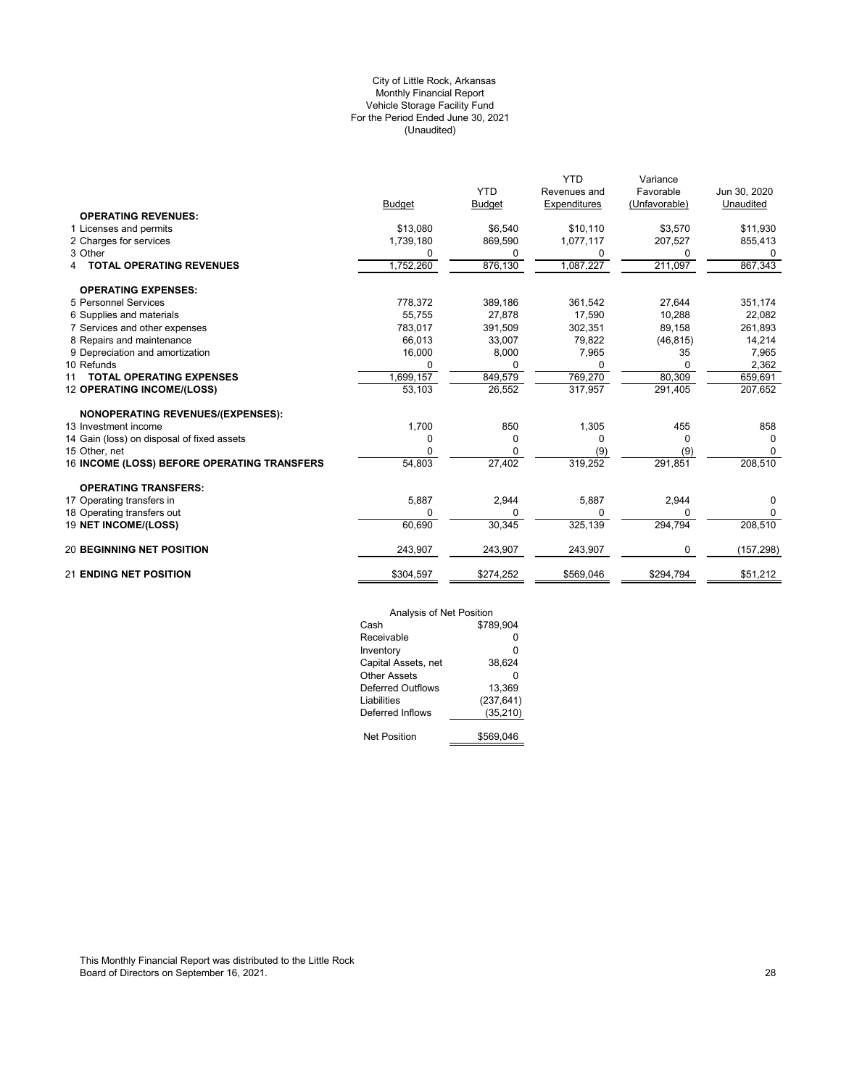# (Unaudited) City of Little Rock, Arkansas Monthly Financial Report Vehicle Storage Facility Fund For the Period Ended June 30, 2021

|                                             |           |               | <b>YTD</b>   | Variance      |              |
|---------------------------------------------|-----------|---------------|--------------|---------------|--------------|
|                                             |           | <b>YTD</b>    | Revenues and | Favorable     | Jun 30, 2020 |
|                                             | Budget    | <b>Budget</b> | Expenditures | (Unfavorable) | Unaudited    |
| <b>OPERATING REVENUES:</b>                  |           |               |              |               |              |
| 1 Licenses and permits                      | \$13,080  | \$6,540       | \$10,110     | \$3,570       | \$11,930     |
| 2 Charges for services                      | 1,739,180 | 869,590       | 1,077,117    | 207,527       | 855,413      |
| 3 Other                                     | $\Omega$  | 0             | 0            | 0             | 0            |
| <b>TOTAL OPERATING REVENUES</b>             | 1,752,260 | 876,130       | 1,087,227    | 211,097       | 867,343      |
| <b>OPERATING EXPENSES:</b>                  |           |               |              |               |              |
| 5 Personnel Services                        | 778,372   | 389,186       | 361,542      | 27,644        | 351,174      |
| 6 Supplies and materials                    | 55,755    | 27.878        | 17,590       | 10,288        | 22,082       |
| 7 Services and other expenses               | 783,017   | 391,509       | 302,351      | 89,158        | 261,893      |
| 8 Repairs and maintenance                   | 66,013    | 33,007        | 79,822       | (46, 815)     | 14,214       |
| 9 Depreciation and amortization             | 16,000    | 8,000         | 7,965        | 35            | 7,965        |
| 10 Refunds                                  | 0         | 0             | 0            | 0             | 2,362        |
| <b>TOTAL OPERATING EXPENSES</b><br>11       | 1,699,157 | 849,579       | 769,270      | 80,309        | 659,691      |
| 12 OPERATING INCOME/(LOSS)                  | 53,103    | 26,552        | 317,957      | 291,405       | 207,652      |
| <b>NONOPERATING REVENUES/(EXPENSES):</b>    |           |               |              |               |              |
| 13 Investment income                        | 1,700     | 850           | 1,305        | 455           | 858          |
| 14 Gain (loss) on disposal of fixed assets  | 0         | 0             | O            | 0             | 0            |
| 15 Other, net                               | O         | O             | (9)          | (9)           | $\Omega$     |
| 16 INCOME (LOSS) BEFORE OPERATING TRANSFERS | 54,803    | 27,402        | 319,252      | 291,851       | 208,510      |
| <b>OPERATING TRANSFERS:</b>                 |           |               |              |               |              |
| 17 Operating transfers in                   | 5,887     | 2,944         | 5,887        | 2,944         | 0            |
| 18 Operating transfers out                  | $\Omega$  | $\Omega$      | 0            | O             | 0            |
| <b>19 NET INCOME/(LOSS)</b>                 | 60,690    | 30,345        | 325,139      | 294,794       | 208,510      |
| <b>20 BEGINNING NET POSITION</b>            | 243,907   | 243,907       | 243,907      | 0             | (157, 298)   |
| <b>21 ENDING NET POSITION</b>               | \$304,597 | \$274,252     | \$569,046    | \$294,794     | \$51,212     |

| Analysis of Net Position |            |
|--------------------------|------------|
| Cash                     | \$789.904  |
| Receivable               | ŋ          |
| Inventory                | 0          |
| Capital Assets, net      | 38,624     |
| Other Assets             | ŋ          |
| Deferred Outflows        | 13,369     |
| Liabilities              | (237, 641) |
| Deferred Inflows         | (35, 210)  |
|                          |            |
| <b>Net Position</b>      | \$569,046  |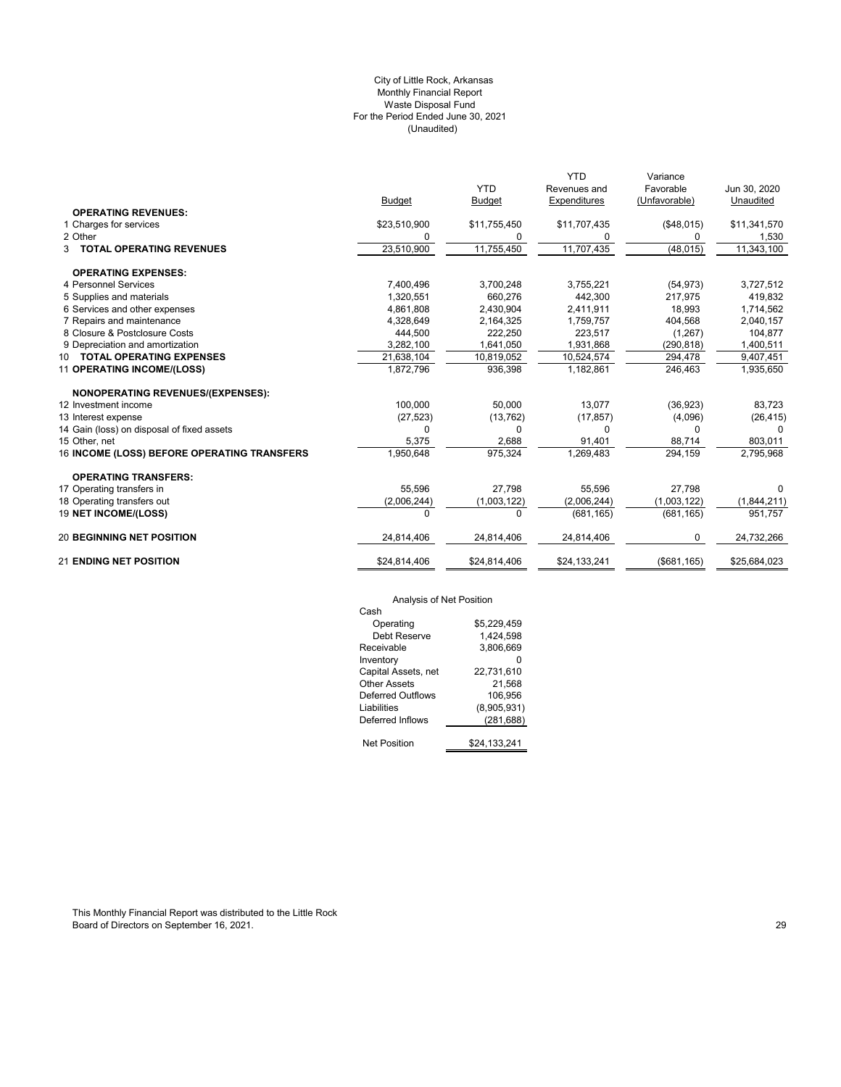### (Unaudited) City of Little Rock, Arkansas Monthly Financial Report Waste Disposal Fund For the Period Ended June 30, 2021

|                                                    |               | <b>YTD</b>    | <b>YTD</b><br>Revenues and | Variance<br>Favorable | Jun 30, 2020 |
|----------------------------------------------------|---------------|---------------|----------------------------|-----------------------|--------------|
|                                                    | <b>Budget</b> | <b>Budget</b> | Expenditures               | (Unfavorable)         | Unaudited    |
| <b>OPERATING REVENUES:</b>                         |               |               |                            |                       |              |
| 1 Charges for services                             | \$23,510,900  | \$11,755,450  | \$11,707,435               | (\$48,015)            | \$11,341,570 |
| 2 Other                                            | 0             | 0             | 0                          | 0                     | 1,530        |
| <b>3 TOTAL OPERATING REVENUES</b>                  | 23,510,900    | 11,755,450    | 11,707,435                 | (48, 015)             | 11,343,100   |
| <b>OPERATING EXPENSES:</b>                         |               |               |                            |                       |              |
| 4 Personnel Services                               | 7,400,496     | 3,700,248     | 3,755,221                  | (54, 973)             | 3,727,512    |
| 5 Supplies and materials                           | 1.320.551     | 660.276       | 442.300                    | 217.975               | 419,832      |
| 6 Services and other expenses                      | 4,861,808     | 2,430,904     | 2,411,911                  | 18.993                | 1,714,562    |
| 7 Repairs and maintenance                          | 4,328,649     | 2,164,325     | 1,759,757                  | 404,568               | 2,040,157    |
| 8 Closure & Postclosure Costs                      | 444.500       | 222,250       | 223,517                    | (1,267)               | 104,877      |
| 9 Depreciation and amortization                    | 3,282,100     | 1,641,050     | 1,931,868                  | (290, 818)            | 1,400,511    |
| 10 TOTAL OPERATING EXPENSES                        | 21,638,104    | 10,819,052    | 10,524,574                 | 294,478               | 9,407,451    |
| 11 OPERATING INCOME/(LOSS)                         | 1,872,796     | 936,398       | 1,182,861                  | 246,463               | 1,935,650    |
| <b>NONOPERATING REVENUES/(EXPENSES):</b>           |               |               |                            |                       |              |
| 12 Investment income                               | 100.000       | 50,000        | 13,077                     | (36, 923)             | 83,723       |
| 13 Interest expense                                | (27, 523)     | (13, 762)     | (17, 857)                  | (4,096)               | (26, 415)    |
| 14 Gain (loss) on disposal of fixed assets         | 0             | 0             | 0                          | 0                     | 0            |
| 15 Other, net                                      | 5,375         | 2,688         | 91,401                     | 88,714                | 803,011      |
| <b>16 INCOME (LOSS) BEFORE OPERATING TRANSFERS</b> | 1,950,648     | 975,324       | 1,269,483                  | 294,159               | 2,795,968    |
| <b>OPERATING TRANSFERS:</b>                        |               |               |                            |                       |              |
| 17 Operating transfers in                          | 55,596        | 27,798        | 55,596                     | 27,798                | $\Omega$     |
| 18 Operating transfers out                         | (2,006,244)   | (1,003,122)   | (2,006,244)                | (1,003,122)           | (1,844,211)  |
| <b>19 NET INCOME/(LOSS)</b>                        | $\Omega$      | $\Omega$      | (681, 165)                 | (681, 165)            | 951,757      |
| <b>20 BEGINNING NET POSITION</b>                   | 24,814,406    | 24,814,406    | 24,814,406                 | 0                     | 24,732,266   |
| <b>21 ENDING NET POSITION</b>                      | \$24,814,406  | \$24,814,406  | \$24,133,241               | ( \$681, 165)         | \$25,684,023 |
|                                                    |               |               |                            |                       |              |

# Analysis of Net Position

| Cash                |              |
|---------------------|--------------|
| Operating           | \$5.229.459  |
| Debt Reserve        | 1.424.598    |
| Receivable          | 3.806.669    |
| Inventory           |              |
| Capital Assets, net | 22.731.610   |
| Other Assets        | 21.568       |
| Deferred Outflows   | 106.956      |
| Liabilities         | (8,905,931)  |
| Deferred Inflows    | (281, 688)   |
|                     |              |
| <b>Net Position</b> | \$24.133.241 |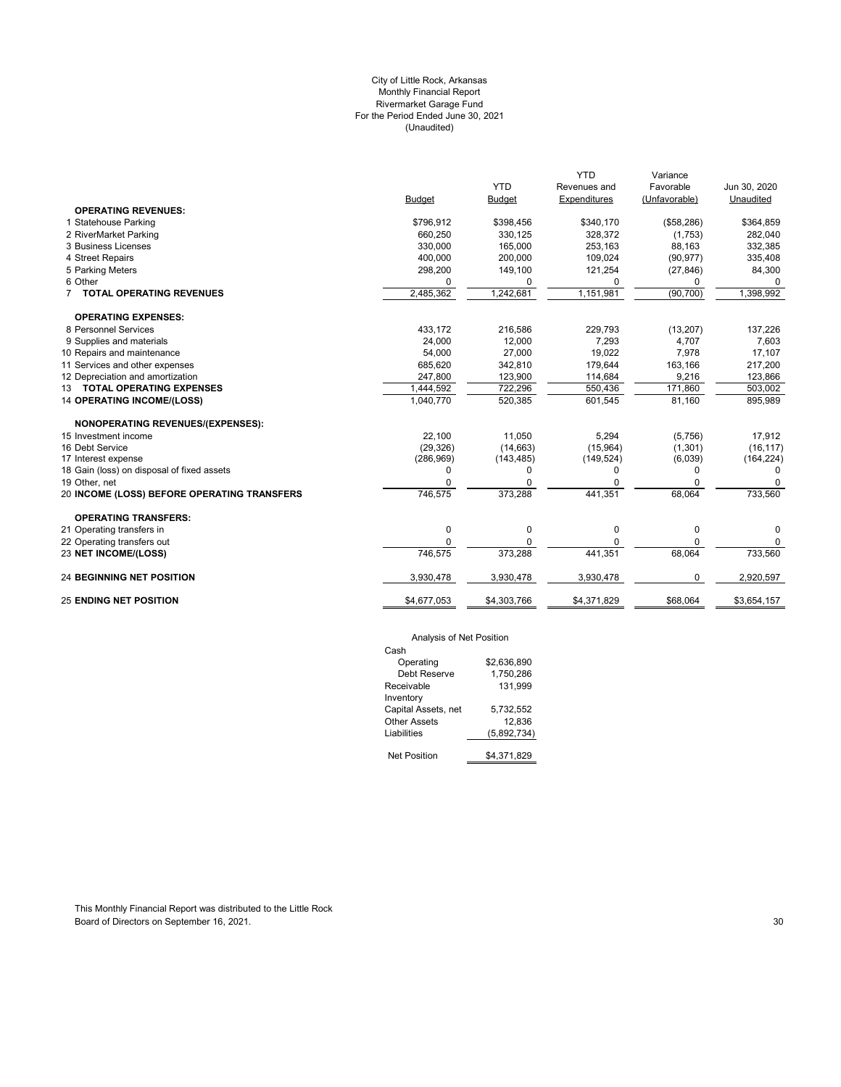# City of Little Rock, Arkansas Monthly Financial Report Rivermarket Garage Fund For the Period Ended June 30, 2021 (Unaudited)

|                                             |               |               | <b>YTD</b>   | Variance      |              |
|---------------------------------------------|---------------|---------------|--------------|---------------|--------------|
|                                             |               | <b>YTD</b>    | Revenues and | Favorable     | Jun 30, 2020 |
|                                             | <b>Budget</b> | <b>Budget</b> | Expenditures | (Unfavorable) | Unaudited    |
| <b>OPERATING REVENUES:</b>                  |               |               |              |               |              |
| 1 Statehouse Parking                        | \$796,912     | \$398,456     | \$340,170    | (\$58,286)    | \$364,859    |
| 2 RiverMarket Parking                       | 660.250       | 330,125       | 328,372      | (1,753)       | 282,040      |
| 3 Business Licenses                         | 330.000       | 165,000       | 253.163      | 88.163        | 332,385      |
| 4 Street Repairs                            | 400,000       | 200,000       | 109,024      | (90, 977)     | 335,408      |
| 5 Parking Meters                            | 298,200       | 149,100       | 121,254      | (27, 846)     | 84,300       |
| 6 Other                                     | $\Omega$      | 0             | 0            | 0             | <sup>0</sup> |
| 7 TOTAL OPERATING REVENUES                  | 2,485,362     | 1,242,681     | 1,151,981    | (90, 700)     | 1,398,992    |
| <b>OPERATING EXPENSES:</b>                  |               |               |              |               |              |
| 8 Personnel Services                        | 433,172       | 216,586       | 229,793      | (13, 207)     | 137,226      |
| 9 Supplies and materials                    | 24,000        | 12,000        | 7,293        | 4,707         | 7,603        |
| 10 Repairs and maintenance                  | 54,000        | 27,000        | 19,022       | 7,978         | 17,107       |
| 11 Services and other expenses              | 685,620       | 342,810       | 179,644      | 163,166       | 217,200      |
| 12 Depreciation and amortization            | 247,800       | 123,900       | 114,684      | 9,216         | 123,866      |
| 13 TOTAL OPERATING EXPENSES                 | 1,444,592     | 722,296       | 550,436      | 171,860       | 503.002      |
| 14 OPERATING INCOME/(LOSS)                  | 1,040,770     | 520,385       | 601,545      | 81,160        | 895,989      |
| NONOPERATING REVENUES/(EXPENSES):           |               |               |              |               |              |
| 15 Investment income                        | 22,100        | 11,050        | 5,294        | (5,756)       | 17,912       |
| 16 Debt Service                             | (29, 326)     | (14,663)      | (15,964)     | (1, 301)      | (16, 117)    |
| 17 Interest expense                         | (286,969)     | (143, 485)    | (149, 524)   | (6,039)       | (164, 224)   |
| 18 Gain (loss) on disposal of fixed assets  | 0             | 0             | 0            | 0             | 0            |
| 19 Other, net                               | $\Omega$      | 0             | O            | 0             | $\Omega$     |
| 20 INCOME (LOSS) BEFORE OPERATING TRANSFERS | 746,575       | 373,288       | 441,351      | 68,064        | 733,560      |
| <b>OPERATING TRANSFERS:</b>                 |               |               |              |               |              |
| 21 Operating transfers in                   | 0             | 0             | 0            | 0             | 0            |
| 22 Operating transfers out                  | $\Omega$      | 0             | O            | 0             | 0            |
| 23 NET INCOME/(LOSS)                        | 746,575       | 373,288       | 441,351      | 68,064        | 733,560      |
| <b>24 BEGINNING NET POSITION</b>            | 3,930,478     | 3,930,478     | 3,930,478    | 0             | 2,920,597    |
| <b>25 ENDING NET POSITION</b>               | \$4,677,053   | \$4,303,766   | \$4,371,829  | \$68,064      | \$3,654,157  |
|                                             |               |               |              |               |              |

# Analysis of Net Position

| Cash                |             |
|---------------------|-------------|
| Operating           | \$2.636.890 |
| Debt Reserve        | 1,750,286   |
| Receivable          | 131.999     |
| Inventory           |             |
| Capital Assets, net | 5.732.552   |
| Other Assets        | 12.836      |
| Liabilities         | (5,892,734) |
|                     |             |
| <b>Net Position</b> | \$4.371.829 |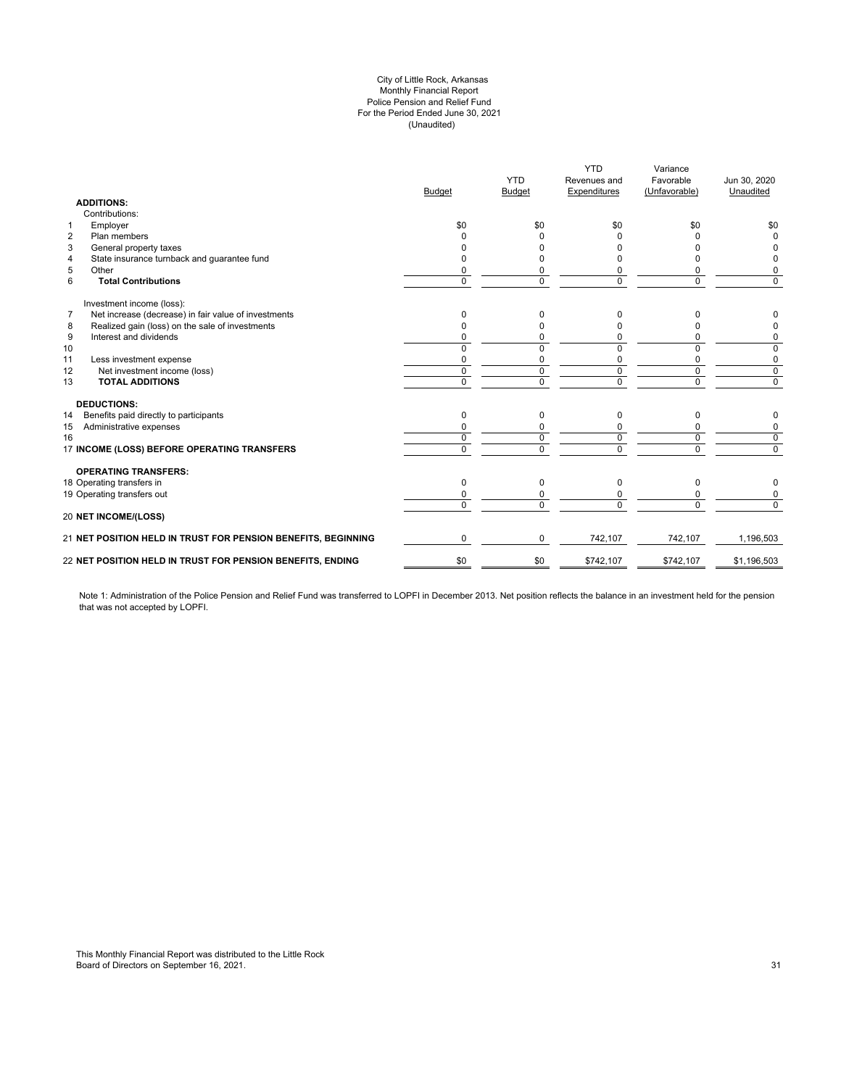#### (Unaudited) City of Little Rock, Arkansas Monthly Financial Report Police Pension and Relief Fund For the Period Ended June 30, 2021

| <b>ADDITIONS:</b>                                                      | <b>Budget</b>  | <b>YTD</b><br><b>Budget</b> | <b>YTD</b><br>Revenues and<br>Expenditures | Variance<br>Favorable<br>(Unfavorable) | Jun 30, 2020<br>Unaudited |
|------------------------------------------------------------------------|----------------|-----------------------------|--------------------------------------------|----------------------------------------|---------------------------|
| Contributions:                                                         |                |                             |                                            |                                        |                           |
| Employer<br>$\mathbf{1}$                                               | \$0            | \$0                         | \$0                                        | \$0                                    | \$0                       |
| 2<br>Plan members                                                      | O              | $\Omega$                    | O                                          | $\Omega$                               | $\Omega$                  |
| 3<br>General property taxes                                            |                | 0                           |                                            |                                        | n                         |
| State insurance turnback and guarantee fund<br>4                       |                |                             |                                            | O                                      | 0                         |
| 5<br>Other                                                             | 0              |                             | 0                                          | 0                                      | 0                         |
| 6<br><b>Total Contributions</b>                                        | $\Omega$       | $\Omega$                    | $\Omega$                                   | $\Omega$                               | $\Omega$                  |
| Investment income (loss):                                              |                |                             |                                            |                                        |                           |
| Net increase (decrease) in fair value of investments<br>$\overline{7}$ | O              | 0                           | 0                                          | O                                      | 0                         |
| Realized gain (loss) on the sale of investments<br>8                   |                |                             |                                            | O                                      | 0                         |
| 9<br>Interest and dividends                                            | 0              | 0                           | 0                                          | 0                                      | $\pmb{0}$                 |
| 10                                                                     | $\Omega$       | n                           | U                                          | $\Omega$                               | $\mathbf 0$               |
| 11<br>Less investment expense                                          | $\Omega$       | ŋ                           | 0                                          | $\Omega$                               | $\pmb{0}$                 |
| 12<br>Net investment income (loss)                                     | $\Omega$       | $\Omega$                    | $\Omega$                                   | 0                                      | $\mathbf 0$               |
| <b>TOTAL ADDITIONS</b><br>13                                           | $\Omega$       | $\Omega$                    | $\Omega$                                   | $\overline{0}$                         | $\overline{0}$            |
| <b>DEDUCTIONS:</b>                                                     |                |                             |                                            |                                        |                           |
| Benefits paid directly to participants<br>14                           | 0              | 0                           | 0                                          | 0                                      | 0                         |
| Administrative expenses<br>15                                          | $\Omega$       | 0                           | $\Omega$                                   | $\Omega$                               | $\pmb{0}$                 |
| 16                                                                     | $\Omega$       | $\Omega$                    | $\Omega$                                   | $\Omega$                               | $\overline{0}$            |
| 17 INCOME (LOSS) BEFORE OPERATING TRANSFERS                            | $\overline{0}$ | $\overline{0}$              | $\overline{0}$                             | $\overline{0}$                         | $\overline{0}$            |
| <b>OPERATING TRANSFERS:</b>                                            |                |                             |                                            |                                        |                           |
| 18 Operating transfers in                                              | $\Omega$       | $\Omega$                    | 0                                          | $\Omega$                               | 0                         |
| 19 Operating transfers out                                             | 0              | 0                           | 0                                          | 0                                      | $\pmb{0}$                 |
| 20 NET INCOME/(LOSS)                                                   | $\Omega$       | $\Omega$                    | $\Omega$                                   | $\Omega$                               | $\Omega$                  |
|                                                                        |                |                             |                                            |                                        |                           |
| 21 NET POSITION HELD IN TRUST FOR PENSION BENEFITS, BEGINNING          | $\Omega$       | $\Omega$                    | 742,107                                    | 742,107                                | 1,196,503                 |
| 22 NET POSITION HELD IN TRUST FOR PENSION BENEFITS, ENDING             | \$0            | \$0                         | \$742,107                                  | \$742,107                              | \$1,196,503               |

Note 1: Administration of the Police Pension and Relief Fund was transferred to LOPFI in December 2013. Net position reflects the balance in an investment held for the pension that was not accepted by LOPFI.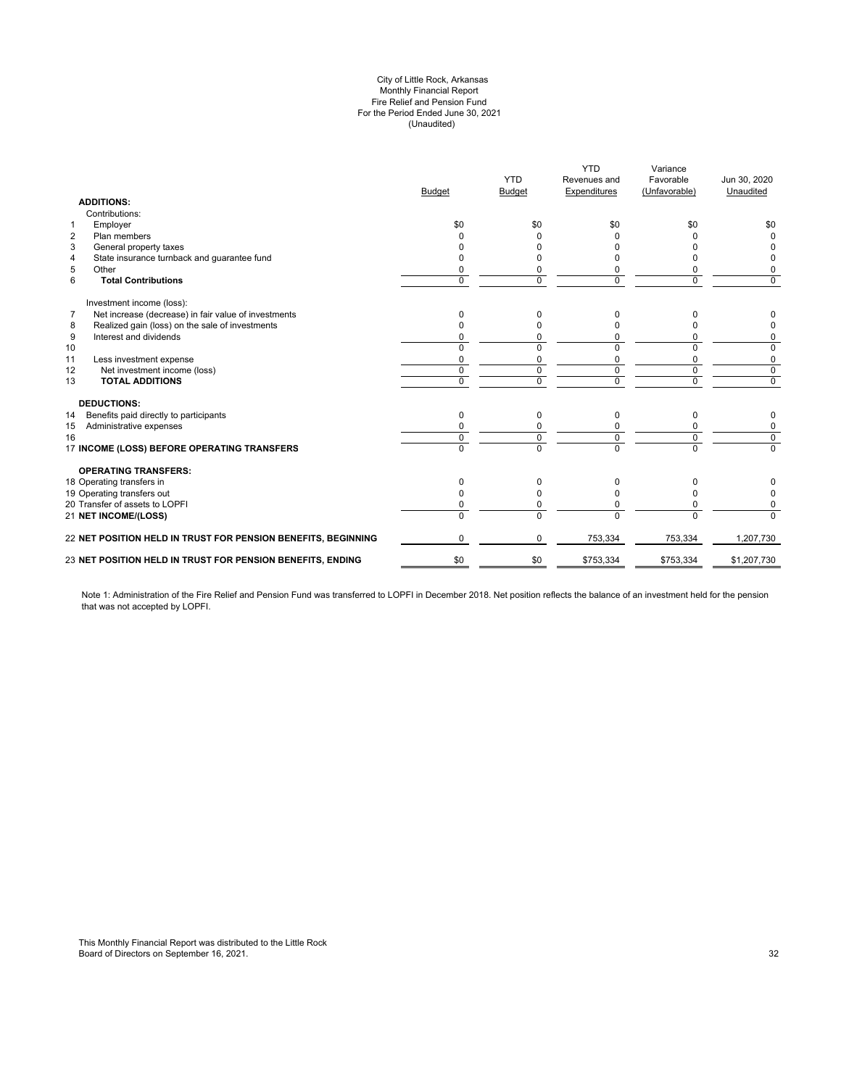#### (Unaudited) City of Little Rock, Arkansas Monthly Financial Report Fire Relief and Pension Fund For the Period Ended June 30, 2021

|                | <b>ADDITIONS:</b>                                             | Budget         | <b>YTD</b><br><b>Budget</b> | <b>YTD</b><br>Revenues and<br>Expenditures | Variance<br>Favorable<br>(Unfavorable) | Jun 30, 2020<br>Unaudited |
|----------------|---------------------------------------------------------------|----------------|-----------------------------|--------------------------------------------|----------------------------------------|---------------------------|
|                | Contributions:                                                |                |                             |                                            |                                        |                           |
| $\mathbf{1}$   | Employer                                                      | \$0            | \$0                         | \$0                                        | \$0                                    | \$0                       |
| $\overline{2}$ | Plan members                                                  |                | n                           |                                            | n                                      | $\Omega$                  |
| 3              | General property taxes                                        |                | O                           |                                            |                                        |                           |
| 4              | State insurance turnback and guarantee fund                   |                | n                           |                                            | o                                      | 0                         |
| 5              | Other                                                         |                | 0                           | 0                                          | 0                                      | 0                         |
| 6              | <b>Total Contributions</b>                                    | $\Omega$       | $\Omega$                    | $\Omega$                                   | $\Omega$                               | $\Omega$                  |
|                | Investment income (loss):                                     |                |                             |                                            |                                        |                           |
| $\overline{7}$ | Net increase (decrease) in fair value of investments          | 0              | O                           | 0                                          | n                                      | 0                         |
| 8              | Realized gain (loss) on the sale of investments               |                |                             |                                            |                                        | O                         |
| 9              | Interest and dividends                                        |                | O                           | 0                                          | 0                                      | 0                         |
| 10             |                                                               |                | $\Omega$                    | U                                          | $\Omega$                               | $\Omega$                  |
| 11             | Less investment expense                                       |                | O                           | $\Omega$                                   | 0                                      | 0                         |
| 12             | Net investment income (loss)                                  | $\Omega$       | $\Omega$                    | $\Omega$                                   | $\mathbf 0$                            | 0                         |
| 13             | <b>TOTAL ADDITIONS</b>                                        | $\Omega$       | 0                           | $\Omega$                                   | $\Omega$                               | $\mathbf 0$               |
|                | <b>DEDUCTIONS:</b>                                            |                |                             |                                            |                                        |                           |
| 14             | Benefits paid directly to participants                        | $\Omega$       | $\Omega$                    | $\Omega$                                   | $\Omega$                               | 0                         |
| 15             | Administrative expenses                                       |                |                             | 0                                          | 0                                      | 0                         |
| 16             |                                                               | 0              | $\mathbf 0$                 | $\mathbf 0$                                | $\mathbf 0$                            | $\overline{0}$            |
|                | 17 INCOME (LOSS) BEFORE OPERATING TRANSFERS                   | $\overline{0}$ | $\overline{0}$              | $\overline{0}$                             | $\overline{0}$                         | $\Omega$                  |
|                | <b>OPERATING TRANSFERS:</b>                                   |                |                             |                                            |                                        |                           |
|                | 18 Operating transfers in                                     | 0              | O                           | 0                                          | 0                                      |                           |
|                | 19 Operating transfers out                                    |                | U                           | $\Omega$                                   | 0                                      | 0                         |
|                | 20 Transfer of assets to LOPFI                                |                | 0                           | 0                                          | $\mathbf 0$                            | 0                         |
|                | 21 NET INCOME/(LOSS)                                          | $\Omega$       | $\Omega$                    | $\Omega$                                   | $\Omega$                               | $\Omega$                  |
|                | 22 NET POSITION HELD IN TRUST FOR PENSION BENEFITS, BEGINNING | $\Omega$       | 0                           | 753,334                                    | 753,334                                | 1,207,730                 |
|                | 23 NET POSITION HELD IN TRUST FOR PENSION BENEFITS, ENDING    | \$0            | \$0                         | \$753,334                                  | \$753,334                              | \$1,207,730               |

Note 1: Administration of the Fire Relief and Pension Fund was transferred to LOPFI in December 2018. Net position reflects the balance of an investment held for the pension that was not accepted by LOPFI.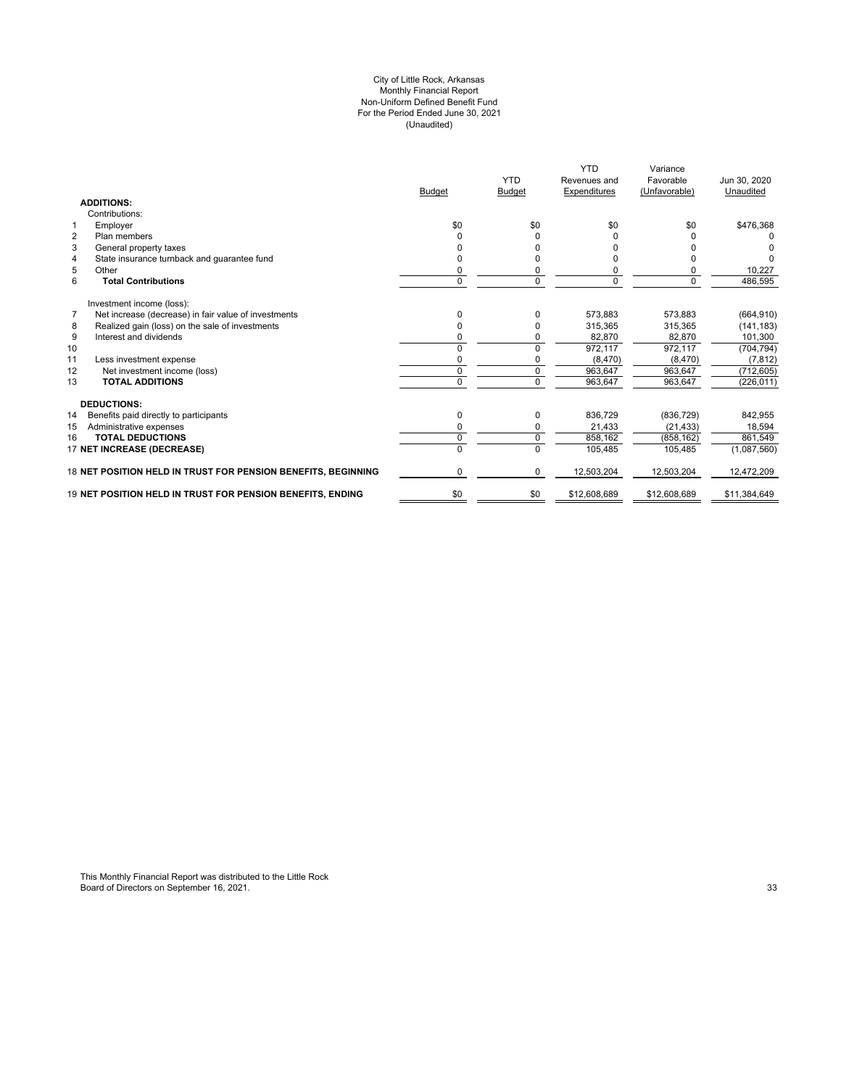#### (Unaudited) For the Period Ended June 30, 2021 City of Little Rock, Arkansas Monthly Financial Report Non-Uniform Defined Benefit Fund

|                                                                        | <b>Budget</b> | <b>YTD</b><br><b>Budget</b> | <b>YTD</b><br>Revenues and<br><b>Expenditures</b> | Variance<br>Favorable<br>(Unfavorable) | Jun 30, 2020<br>Unaudited |
|------------------------------------------------------------------------|---------------|-----------------------------|---------------------------------------------------|----------------------------------------|---------------------------|
| <b>ADDITIONS:</b>                                                      |               |                             |                                                   |                                        |                           |
| Contributions:                                                         |               |                             |                                                   |                                        |                           |
| Employer<br>$\mathbf 1$                                                | \$0           | \$0                         | \$0                                               | \$0                                    | \$476,368                 |
| $\overline{2}$<br>Plan members                                         |               | 0                           | 0                                                 |                                        |                           |
| 3<br>General property taxes                                            |               | n                           | $\Omega$                                          |                                        |                           |
| State insurance turnback and guarantee fund<br>4                       |               | ŋ                           | $\Omega$                                          |                                        |                           |
| 5<br>Other                                                             | 0             | 0                           | 0                                                 | 0                                      | 10,227                    |
| 6<br><b>Total Contributions</b>                                        | $\Omega$      | 0                           | $\Omega$                                          | $\Omega$                               | 486,595                   |
| Investment income (loss):                                              |               |                             |                                                   |                                        |                           |
| $\overline{7}$<br>Net increase (decrease) in fair value of investments | $\Omega$      | $\Omega$                    | 573.883                                           | 573,883                                | (664, 910)                |
| Realized gain (loss) on the sale of investments<br>8                   | 0             | 0                           | 315.365                                           | 315,365                                | (141, 183)                |
| 9<br>Interest and dividends                                            | ŋ             | 0                           | 82,870                                            | 82,870                                 | 101,300                   |
| 10                                                                     | 0             | 0                           | 972,117                                           | 972,117                                | (704, 794)                |
| 11<br>Less investment expense                                          | 0             | 0                           | (8,470)                                           | (8,470)                                | (7, 812)                  |
| 12<br>Net investment income (loss)                                     | $\Omega$      | $\mathbf 0$                 | 963.647                                           | 963.647                                | (712, 605)                |
| <b>TOTAL ADDITIONS</b><br>13                                           | 0             | $\Omega$                    | 963,647                                           | 963,647                                | (226, 011)                |
| <b>DEDUCTIONS:</b>                                                     |               |                             |                                                   |                                        |                           |
| 14<br>Benefits paid directly to participants                           | $\Omega$      | $\Omega$                    | 836.729                                           | (836, 729)                             | 842,955                   |
| 15<br>Administrative expenses                                          | 0             | 0                           | 21,433                                            | (21, 433)                              | 18,594                    |
| <b>TOTAL DEDUCTIONS</b><br>16                                          | $\mathbf 0$   | $\mathbf 0$                 | 858,162                                           | (858, 162)                             | 861,549                   |
| 17 NET INCREASE (DECREASE)                                             |               | 0                           | 105,485                                           | 105,485                                | (1,087,560)               |
| 18 NET POSITION HELD IN TRUST FOR PENSION BENEFITS, BEGINNING          | 0             | $\mathbf 0$                 | 12,503,204                                        | 12,503,204                             | 12,472,209                |
| 19 NET POSITION HELD IN TRUST FOR PENSION BENEFITS. ENDING             | \$0           | \$0                         | \$12,608,689                                      | \$12,608,689                           | \$11,384,649              |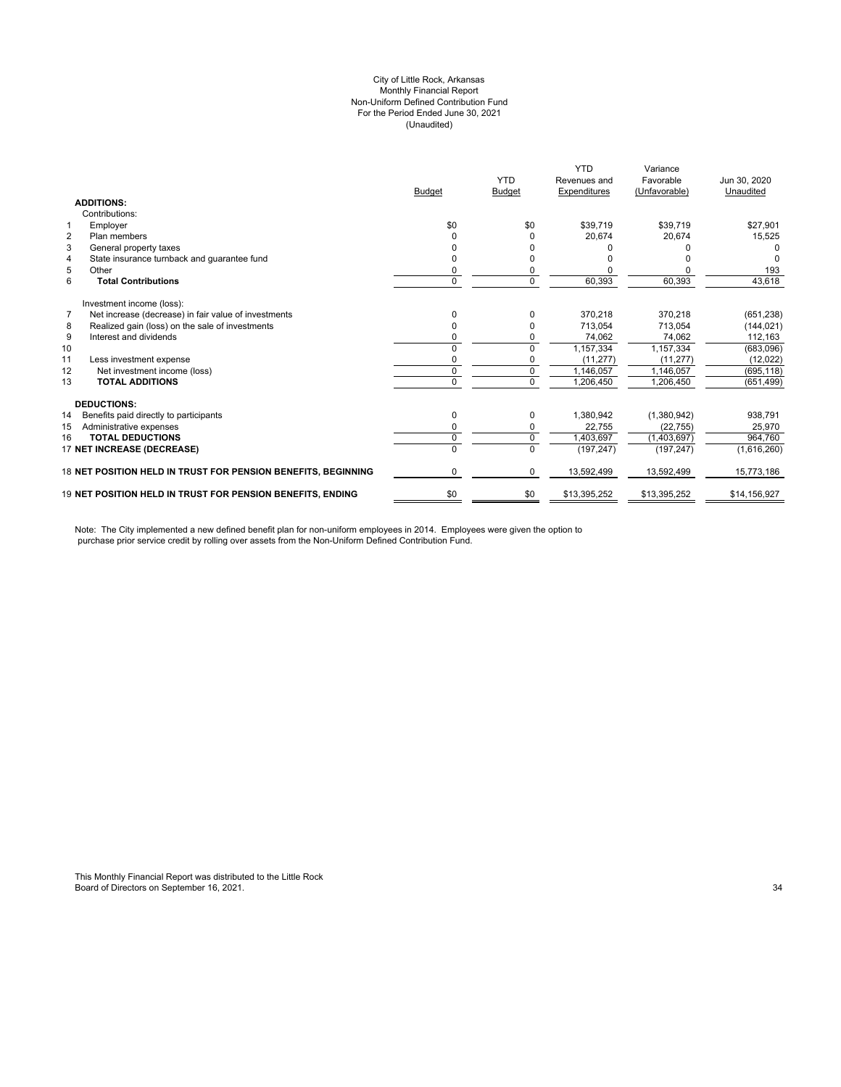#### City of Little Rock, Arkansas (Unaudited) For the Period Ended June 30, 2021 Non-Uniform Defined Contribution Fund Monthly Financial Report

|                                                                        |                                                                   |               | <b>YTD</b>    | <b>YTD</b><br>Revenues and | Variance<br>Favorable | Jun 30, 2020 |
|------------------------------------------------------------------------|-------------------------------------------------------------------|---------------|---------------|----------------------------|-----------------------|--------------|
|                                                                        |                                                                   | <b>Budget</b> | <b>Budget</b> | Expenditures               | (Unfavorable)         | Unaudited    |
| <b>ADDITIONS:</b>                                                      |                                                                   |               |               |                            |                       |              |
| Contributions:                                                         |                                                                   |               |               |                            |                       |              |
| Employer<br>1                                                          |                                                                   | \$0           | \$0           | \$39,719                   | \$39,719              | \$27,901     |
| $\overline{2}$<br>Plan members                                         |                                                                   |               |               | 20,674                     | 20,674                | 15,525       |
| 3<br>General property taxes                                            |                                                                   |               |               |                            |                       |              |
| $\overline{4}$<br>State insurance turnback and quarantee fund          |                                                                   |               |               |                            |                       |              |
| 5<br>Other                                                             |                                                                   | 0             |               |                            |                       | 193          |
| 6<br><b>Total Contributions</b>                                        |                                                                   | $\Omega$      | $\Omega$      | 60,393                     | 60,393                | 43,618       |
| Investment income (loss):                                              |                                                                   |               |               |                            |                       |              |
| $\overline{7}$<br>Net increase (decrease) in fair value of investments |                                                                   |               |               | 370,218                    | 370,218               | (651, 238)   |
| Realized gain (loss) on the sale of investments<br>8                   |                                                                   | 0             |               | 713,054                    | 713,054               | (144, 021)   |
| Interest and dividends<br>9                                            |                                                                   |               |               | 74,062                     | 74,062                | 112,163      |
| 10                                                                     |                                                                   | $\Omega$      | $\Omega$      | 1,157,334                  | 1,157,334             | (683,096)    |
| 11<br>Less investment expense                                          |                                                                   | 0             | 0             | (11, 277)                  | (11, 277)             | (12, 022)    |
| 12<br>Net investment income (loss)                                     |                                                                   | 0             | $\mathbf 0$   | 1,146,057                  | 1.146.057             | (695, 118)   |
| <b>TOTAL ADDITIONS</b><br>13                                           |                                                                   | $\Omega$      | $\Omega$      | 1,206,450                  | 1.206.450             | (651, 499)   |
| <b>DEDUCTIONS:</b>                                                     |                                                                   |               |               |                            |                       |              |
| 14<br>Benefits paid directly to participants                           |                                                                   | 0             | 0             | 1,380,942                  | (1,380,942)           | 938,791      |
| 15<br>Administrative expenses                                          |                                                                   | 0             | 0             | 22,755                     | (22, 755)             | 25,970       |
| <b>TOTAL DEDUCTIONS</b><br>16                                          |                                                                   | 0             | $\Omega$      | 1,403,697                  | (1,403,697)           | 964.760      |
| 17 NET INCREASE (DECREASE)                                             |                                                                   | $\Omega$      | $\Omega$      | (197, 247)                 | (197, 247)            | (1,616,260)  |
|                                                                        | 18 NET POSITION HELD IN TRUST FOR PENSION BENEFITS. BEGINNING     | 0             | 0             | 13,592,499                 | 13,592,499            | 15,773,186   |
|                                                                        | <b>19 NET POSITION HELD IN TRUST FOR PENSION BENEFITS. ENDING</b> | \$0           | \$0           | \$13,395,252               | \$13,395,252          | \$14,156,927 |

Note: The City implemented a new defined benefit plan for non-uniform employees in 2014. Employees were given the option to purchase prior service credit by rolling over assets from the Non-Uniform Defined Contribution Fund.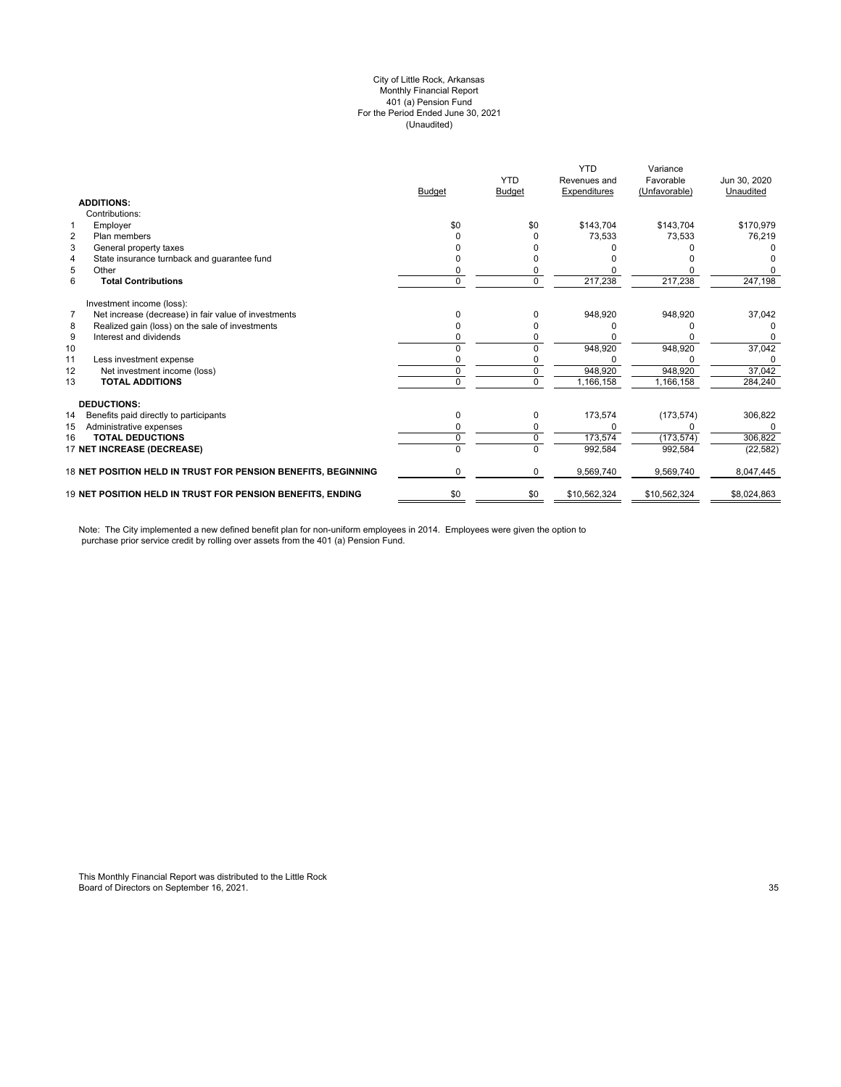#### (Unaudited) City of Little Rock, Arkansas Monthly Financial Report 401 (a) Pension Fund For the Period Ended June 30, 2021

|                                                                        |               | <b>YTD</b>    | <b>YTD</b><br>Revenues and | Variance<br>Favorable | Jun 30, 2020 |
|------------------------------------------------------------------------|---------------|---------------|----------------------------|-----------------------|--------------|
|                                                                        | <b>Budget</b> | <b>Budget</b> | Expenditures               | (Unfavorable)         | Unaudited    |
| <b>ADDITIONS:</b>                                                      |               |               |                            |                       |              |
| Contributions:                                                         |               |               |                            |                       |              |
| Employer<br>1                                                          | \$0           | \$0           | \$143.704                  | \$143.704             | \$170.979    |
| $\overline{2}$<br>Plan members                                         |               |               | 73,533                     | 73.533                | 76,219       |
| 3<br>General property taxes                                            |               |               |                            |                       |              |
| State insurance turnback and quarantee fund<br>4                       |               |               |                            |                       |              |
| 5<br>Other                                                             |               |               |                            |                       |              |
| 6<br><b>Total Contributions</b>                                        | 0             | 0             | 217,238                    | 217,238               | 247,198      |
| Investment income (loss):                                              |               |               |                            |                       |              |
| Net increase (decrease) in fair value of investments<br>$\overline{7}$ |               |               | 948,920                    | 948,920               | 37,042       |
| Realized gain (loss) on the sale of investments<br>8                   |               |               |                            |                       |              |
| 9<br>Interest and dividends                                            |               |               |                            |                       |              |
| 10                                                                     |               |               | 948,920                    | 948,920               | 37,042       |
| 11<br>Less investment expense                                          |               |               |                            |                       |              |
| 12<br>Net investment income (loss)                                     | 0             | 0             | 948,920                    | 948,920               | 37,042       |
| 13<br><b>TOTAL ADDITIONS</b>                                           | n             | $\Omega$      | 1,166,158                  | 1,166,158             | 284,240      |
| <b>DEDUCTIONS:</b>                                                     |               |               |                            |                       |              |
| 14<br>Benefits paid directly to participants                           | 0             | 0             | 173,574                    | (173, 574)            | 306,822      |
| Administrative expenses<br>15                                          |               |               |                            |                       | 0            |
| <b>TOTAL DEDUCTIONS</b><br>16                                          | 0             | 0             | 173,574                    | (173, 574)            | 306,822      |
| 17 NET INCREASE (DECREASE)                                             | 0             | 0             | 992,584                    | 992,584               | (22, 582)    |
| 18 NET POSITION HELD IN TRUST FOR PENSION BENEFITS, BEGINNING          | 0             | 0             | 9,569,740                  | 9,569,740             | 8,047,445    |
| 19 NET POSITION HELD IN TRUST FOR PENSION BENEFITS, ENDING             | \$0           | \$0           | \$10,562,324               | \$10,562,324          | \$8,024,863  |

Note: The City implemented a new defined benefit plan for non-uniform employees in 2014. Employees were given the option to purchase prior service credit by rolling over assets from the 401 (a) Pension Fund.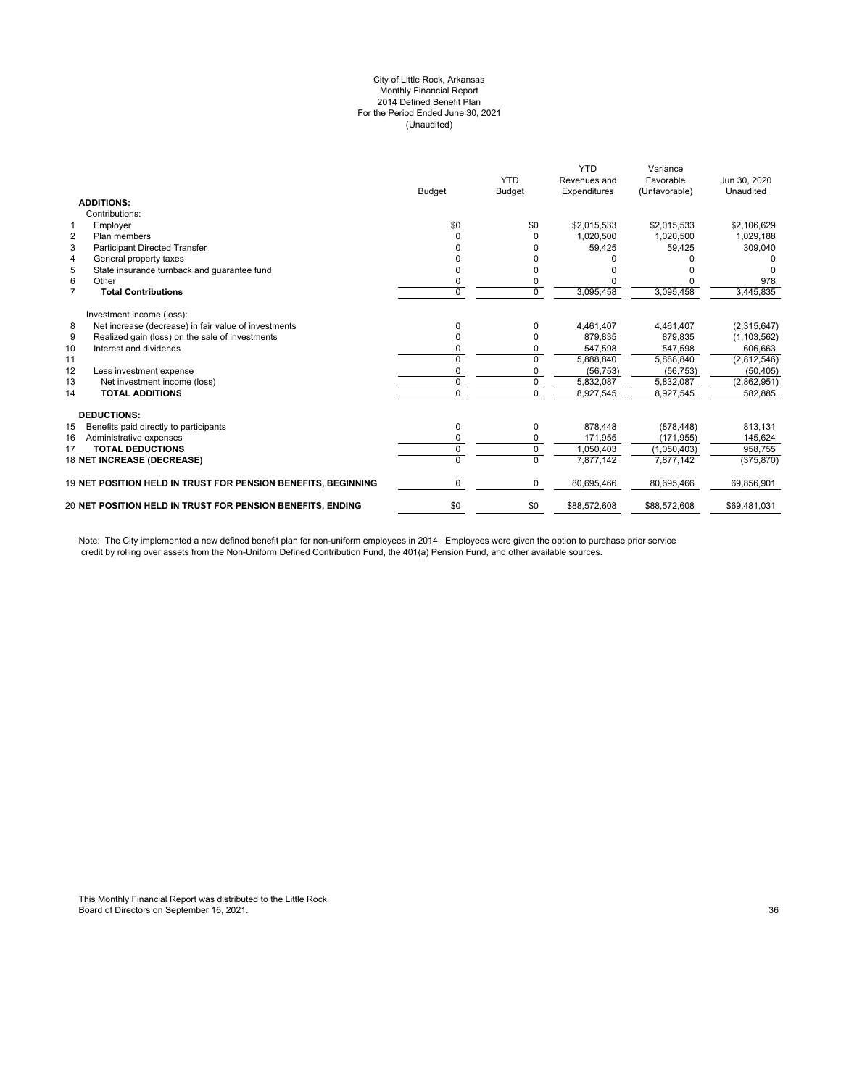#### City of Little Rock, Arkansas Monthly Financial Report 2014 Defined Benefit Plan For the Period Ended June 30, 2021 (Unaudited)

|                |                                                               | <b>Budget</b> | <b>YTD</b><br><b>Budget</b> | <b>YTD</b><br>Revenues and<br>Expenditures | Variance<br>Favorable<br>(Unfavorable) | Jun 30, 2020<br>Unaudited |
|----------------|---------------------------------------------------------------|---------------|-----------------------------|--------------------------------------------|----------------------------------------|---------------------------|
|                | <b>ADDITIONS:</b>                                             |               |                             |                                            |                                        |                           |
|                | Contributions:                                                |               |                             |                                            |                                        |                           |
| $\mathbf{1}$   | Employer                                                      | \$0           | \$0                         | \$2,015,533                                | \$2,015,533                            | \$2,106,629               |
| $\overline{2}$ | Plan members                                                  | ŋ             | <sup>0</sup>                | 1.020.500                                  | 1.020.500                              | 1,029,188                 |
| 3              | <b>Participant Directed Transfer</b>                          |               |                             | 59,425                                     | 59,425                                 | 309,040                   |
| 4              | General property taxes                                        |               |                             |                                            |                                        |                           |
| 5              | State insurance turnback and quarantee fund                   | ŋ             |                             |                                            |                                        |                           |
| 6              | Other                                                         | 0             | 0                           |                                            |                                        | 978                       |
| $\overline{7}$ | <b>Total Contributions</b>                                    | $\Omega$      | $\Omega$                    | 3,095,458                                  | 3,095,458                              | 3,445,835                 |
|                | Investment income (loss):                                     |               |                             |                                            |                                        |                           |
| 8              | Net increase (decrease) in fair value of investments          | $\Omega$      | 0                           | 4,461,407                                  | 4,461,407                              | (2,315,647)               |
| 9              | Realized gain (loss) on the sale of investments               | ŋ             | <sup>0</sup>                | 879,835                                    | 879,835                                | (1, 103, 562)             |
| 10             | Interest and dividends                                        | ŋ             |                             | 547,598                                    | 547,598                                | 606,663                   |
| 11             |                                                               | ŋ             | $\Omega$                    | 5,888,840                                  | 5,888,840                              | (2,812,546)               |
| 12             | Less investment expense                                       | 0             |                             | (56, 753)                                  | (56, 753)                              | (50, 405)                 |
| 13             | Net investment income (loss)                                  | $\Omega$      | $\Omega$                    | 5,832,087                                  | 5,832,087                              | (2,862,951)               |
| 14             | <b>TOTAL ADDITIONS</b>                                        | 0             | $\Omega$                    | 8,927,545                                  | 8,927,545                              | 582,885                   |
|                | <b>DEDUCTIONS:</b>                                            |               |                             |                                            |                                        |                           |
| 15             | Benefits paid directly to participants                        | 0             | 0                           | 878.448                                    | (878, 448)                             | 813,131                   |
| 16             | Administrative expenses                                       | O             | 0                           | 171,955                                    | (171, 955)                             | 145,624                   |
| 17             | <b>TOTAL DEDUCTIONS</b>                                       | $\Omega$      | $\mathbf 0$                 | 1,050,403                                  | (1,050,403)                            | 958.755                   |
|                | 18 NET INCREASE (DECREASE)                                    | 0             | $\Omega$                    | 7,877,142                                  | 7,877,142                              | (375, 870)                |
|                | 19 NET POSITION HELD IN TRUST FOR PENSION BENEFITS, BEGINNING | 0             | 0                           | 80,695,466                                 | 80,695,466                             | 69,856,901                |
|                | 20 NET POSITION HELD IN TRUST FOR PENSION BENEFITS, ENDING    | \$0           | \$0                         | \$88,572,608                               | \$88,572,608                           | \$69,481,031              |
|                |                                                               |               |                             |                                            |                                        |                           |

Note: The City implemented a new defined benefit plan for non-uniform employees in 2014. Employees were given the option to purchase prior service credit by rolling over assets from the Non-Uniform Defined Contribution Fund, the 401(a) Pension Fund, and other available sources.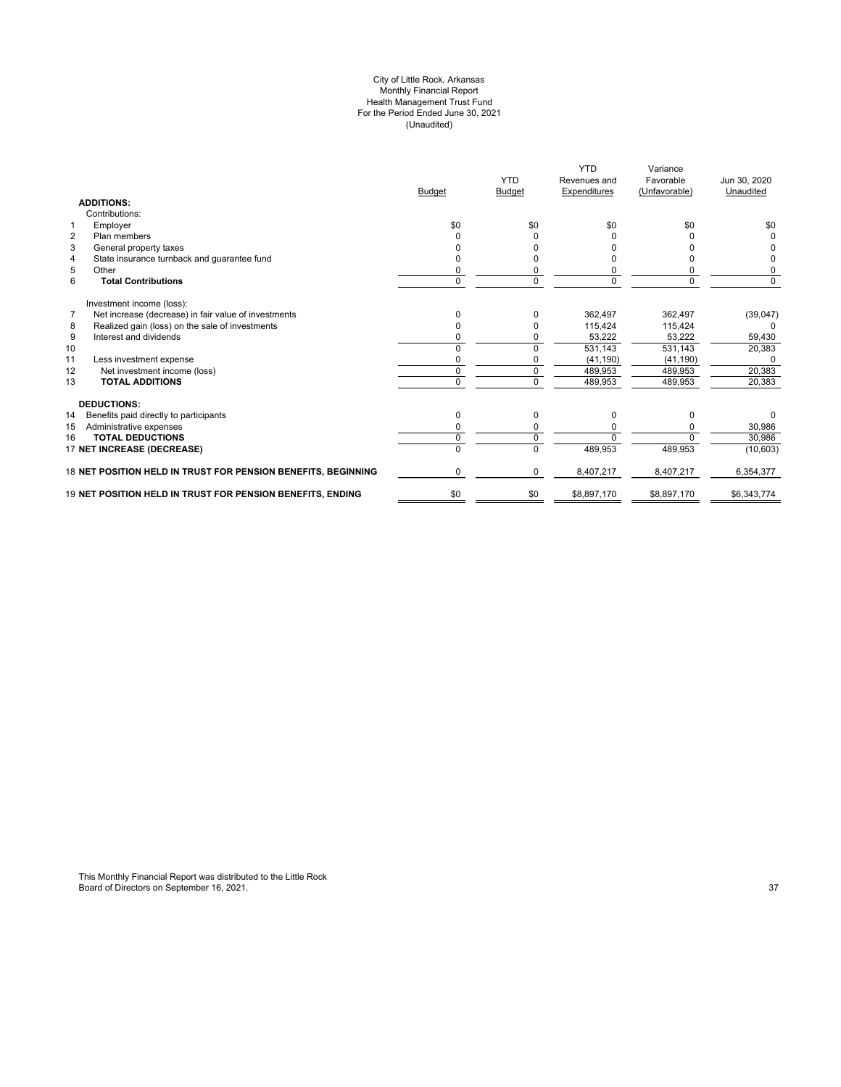#### City of Little Rock, Arkansas Monthly Financial Report Health Management Trust Fund For the Period Ended June 30, 2021 (Unaudited)

|                                                                        |               | <b>YTD</b>    | <b>YTD</b><br>Revenues and | Variance<br>Favorable | Jun 30, 2020 |
|------------------------------------------------------------------------|---------------|---------------|----------------------------|-----------------------|--------------|
| <b>ADDITIONS:</b>                                                      | <b>Budget</b> | <b>Budget</b> | Expenditures               | (Unfavorable)         | Unaudited    |
| Contributions:                                                         |               |               |                            |                       |              |
| $\mathbf{1}$<br>Employer                                               | \$0           | \$0           | \$0                        | \$0                   | \$0          |
| Plan members                                                           |               |               |                            |                       |              |
| $\overline{2}$<br>3                                                    |               |               |                            |                       | 0            |
| General property taxes                                                 |               |               |                            |                       |              |
| State insurance turnback and guarantee fund<br>4                       |               |               |                            |                       |              |
| 5<br>Other                                                             | ი             |               |                            |                       | 0            |
| 6<br><b>Total Contributions</b>                                        | 0             | 0             | 0                          | $\Omega$              | 0            |
| Investment income (loss):                                              |               |               |                            |                       |              |
| Net increase (decrease) in fair value of investments<br>$\overline{7}$ | U             | $\Omega$      | 362,497                    | 362,497               | (39, 047)    |
| Realized gain (loss) on the sale of investments<br>8                   | 0             |               | 115.424                    | 115.424               | 0            |
| 9<br>Interest and dividends                                            | 0             | 0             | 53,222                     | 53,222                | 59,430       |
| 10                                                                     | U             | $\Omega$      | 531,143                    | 531,143               | 20,383       |
| 11<br>Less investment expense                                          |               |               | (41, 190)                  | (41, 190)             |              |
| 12<br>Net investment income (loss)                                     | 0             | 0             | 489,953                    | 489,953               | 20,383       |
| 13<br><b>TOTAL ADDITIONS</b>                                           | 0             | $\Omega$      | 489,953                    | 489,953               | 20,383       |
| <b>DEDUCTIONS:</b>                                                     |               |               |                            |                       |              |
| 14<br>Benefits paid directly to participants                           | 0             | $\mathbf 0$   | 0                          | 0                     | 0            |
| 15<br>Administrative expenses                                          | n             | 0             |                            |                       | 30,986       |
| <b>TOTAL DEDUCTIONS</b><br>16                                          | 0             | $\Omega$      |                            | U                     | 30,986       |
| 17 NET INCREASE (DECREASE)                                             |               | $\Omega$      | 489,953                    | 489,953               | (10, 603)    |
| 18 NET POSITION HELD IN TRUST FOR PENSION BENEFITS, BEGINNING          | 0             | $\Omega$      | 8,407,217                  | 8,407,217             | 6,354,377    |
| 19 NET POSITION HELD IN TRUST FOR PENSION BENEFITS, ENDING             | \$0           | \$0           |                            |                       | \$6,343,774  |
|                                                                        |               |               | \$8,897,170                | \$8,897,170           |              |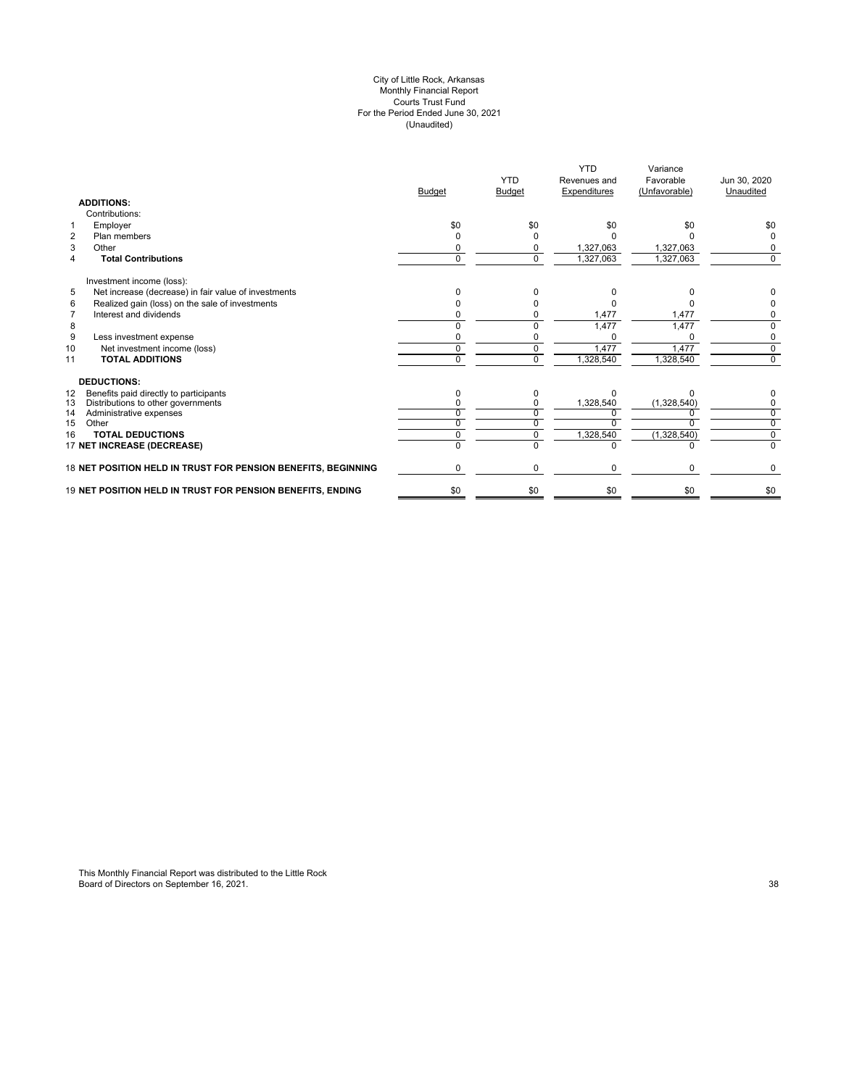#### City of Little Rock, Arkansas Monthly Financial Report Courts Trust Fund For the Period Ended June 30, 2021 (Unaudited)

|                                                               | <b>Budget</b> | <b>YTD</b><br><b>Budget</b> | <b>YTD</b><br>Revenues and<br>Expenditures | Variance<br>Favorable<br>(Unfavorable) | Jun 30, 2020<br>Unaudited |
|---------------------------------------------------------------|---------------|-----------------------------|--------------------------------------------|----------------------------------------|---------------------------|
| <b>ADDITIONS:</b>                                             |               |                             |                                            |                                        |                           |
| Contributions:                                                |               |                             |                                            |                                        |                           |
| Employer<br>1                                                 | \$0           | \$0                         | \$0                                        | \$0                                    | \$0                       |
| $\overline{2}$<br>Plan members                                | ŋ             |                             |                                            |                                        | 0                         |
| 3<br>Other                                                    | ŋ             | <sup>0</sup>                | 1,327,063                                  | 1,327,063                              | 0                         |
| <b>Total Contributions</b><br>$\overline{4}$                  | $\Omega$      | $\Omega$                    | 1,327,063                                  | 1,327,063                              | $\Omega$                  |
| Investment income (loss):                                     |               |                             |                                            |                                        |                           |
| 5<br>Net increase (decrease) in fair value of investments     | n             | n                           |                                            |                                        |                           |
| Realized gain (loss) on the sale of investments<br>6          |               |                             |                                            |                                        |                           |
| Interest and dividends<br>$\overline{7}$                      | ŋ             |                             | 1,477                                      | 1,477                                  | 0                         |
| 8                                                             |               |                             | 1,477                                      | 1,477                                  | $\Omega$                  |
| 9<br>Less investment expense                                  |               |                             |                                            |                                        | 0                         |
| Net investment income (loss)<br>10                            | U             | 0                           | 1,477                                      | 1,477                                  | $\overline{0}$            |
| <b>TOTAL ADDITIONS</b><br>11                                  | U             | $\Omega$                    | 1,328,540                                  | 1,328,540                              | $\mathbf 0$               |
| <b>DEDUCTIONS:</b>                                            |               |                             |                                            |                                        |                           |
| Benefits paid directly to participants<br>12                  | O             | $\Omega$                    | U                                          |                                        |                           |
| Distributions to other governments<br>13                      |               |                             | 1,328,540                                  | (1,328,540)                            | 0                         |
| 14<br>Administrative expenses                                 |               |                             |                                            |                                        | 0                         |
| 15<br>Other                                                   |               |                             |                                            |                                        | $\overline{0}$            |
| <b>TOTAL DEDUCTIONS</b><br>16                                 |               | 0                           | 1,328,540                                  | (1,328,540)                            | 0                         |
| 17 NET INCREASE (DECREASE)                                    |               |                             | U                                          |                                        | $\Omega$                  |
| 18 NET POSITION HELD IN TRUST FOR PENSION BENEFITS, BEGINNING | 0             | $\Omega$                    | $\Omega$                                   | $\Omega$                               | 0                         |
| 19 NET POSITION HELD IN TRUST FOR PENSION BENEFITS, ENDING    | \$0           | \$0                         | \$0                                        | \$0                                    | \$0                       |
|                                                               |               |                             |                                            |                                        |                           |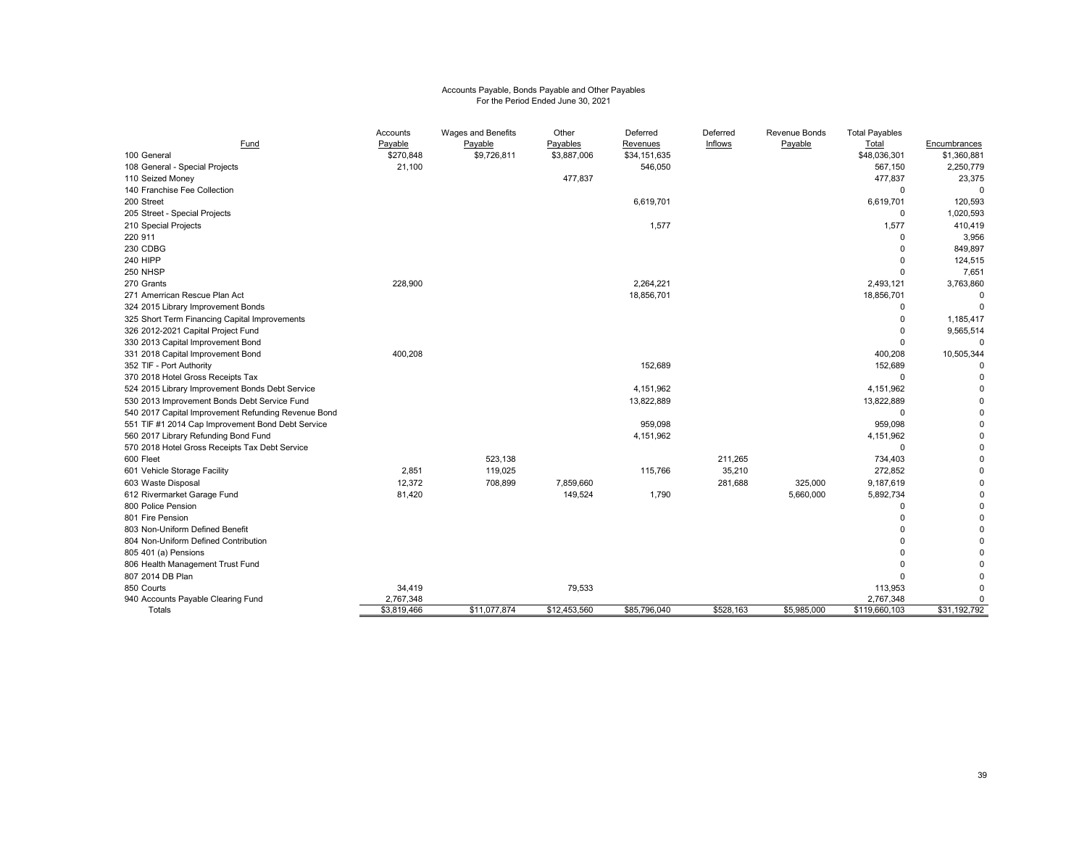# Accounts Payable, Bonds Payable and Other Payables For the Period Ended June 30, 2021

| Fund                                                | Accounts<br>Payable | Wages and Benefits<br>Payable | Other<br>Payables | Deferred<br>Revenues | Deferred<br>Inflows | Revenue Bonds<br>Payable | <b>Total Payables</b><br>Total | Encumbrances |
|-----------------------------------------------------|---------------------|-------------------------------|-------------------|----------------------|---------------------|--------------------------|--------------------------------|--------------|
| 100 General                                         | \$270.848           | \$9,726,811                   | \$3,887,006       | \$34,151,635         |                     |                          | \$48,036,301                   | \$1,360,881  |
| 108 General - Special Projects                      | 21,100              |                               |                   | 546,050              |                     |                          | 567,150                        | 2,250,779    |
| 110 Seized Money                                    |                     |                               | 477,837           |                      |                     |                          | 477,837                        | 23,375       |
| 140 Franchise Fee Collection                        |                     |                               |                   |                      |                     |                          | $\Omega$                       | $\Omega$     |
| 200 Street                                          |                     |                               |                   | 6,619,701            |                     |                          | 6,619,701                      | 120,593      |
| 205 Street - Special Projects                       |                     |                               |                   |                      |                     |                          | $\Omega$                       | 1,020,593    |
| 210 Special Projects                                |                     |                               |                   | 1,577                |                     |                          | 1,577                          | 410,419      |
| 220 911                                             |                     |                               |                   |                      |                     |                          | $\Omega$                       | 3,956        |
| 230 CDBG                                            |                     |                               |                   |                      |                     |                          | $\Omega$                       | 849,897      |
| <b>240 HIPP</b>                                     |                     |                               |                   |                      |                     |                          | $\Omega$                       | 124,515      |
| 250 NHSP                                            |                     |                               |                   |                      |                     |                          | $\Omega$                       | 7,651        |
| 270 Grants                                          | 228,900             |                               |                   | 2.264.221            |                     |                          | 2,493,121                      | 3,763,860    |
| 271 Amerrican Rescue Plan Act                       |                     |                               |                   | 18,856,701           |                     |                          | 18,856,701                     | $\Omega$     |
| 324 2015 Library Improvement Bonds                  |                     |                               |                   |                      |                     |                          | 0                              | $\Omega$     |
| 325 Short Term Financing Capital Improvements       |                     |                               |                   |                      |                     |                          | $\Omega$                       | 1,185,417    |
| 326 2012-2021 Capital Project Fund                  |                     |                               |                   |                      |                     |                          | 0                              | 9,565,514    |
| 330 2013 Capital Improvement Bond                   |                     |                               |                   |                      |                     |                          | $\Omega$                       | $\Omega$     |
| 331 2018 Capital Improvement Bond                   | 400,208             |                               |                   |                      |                     |                          | 400,208                        | 10,505,344   |
| 352 TIF - Port Authority                            |                     |                               |                   | 152,689              |                     |                          | 152,689                        | $\Omega$     |
| 370 2018 Hotel Gross Receipts Tax                   |                     |                               |                   |                      |                     |                          | $\Omega$                       |              |
| 524 2015 Library Improvement Bonds Debt Service     |                     |                               |                   | 4,151,962            |                     |                          | 4,151,962                      |              |
| 530 2013 Improvement Bonds Debt Service Fund        |                     |                               |                   | 13,822,889           |                     |                          | 13,822,889                     | $\Omega$     |
| 540 2017 Capital Improvement Refunding Revenue Bond |                     |                               |                   |                      |                     |                          | $\Omega$                       | $\sqrt{2}$   |
| 551 TIF #1 2014 Cap Improvement Bond Debt Service   |                     |                               |                   | 959,098              |                     |                          | 959,098                        |              |
| 560 2017 Library Refunding Bond Fund                |                     |                               |                   | 4,151,962            |                     |                          | 4,151,962                      |              |
| 570 2018 Hotel Gross Receipts Tax Debt Service      |                     |                               |                   |                      |                     |                          | $\Omega$                       |              |
| 600 Fleet                                           |                     | 523,138                       |                   |                      | 211,265             |                          | 734,403                        | $\Omega$     |
| 601 Vehicle Storage Facility                        | 2,851               | 119,025                       |                   | 115,766              | 35,210              |                          | 272,852                        | $\Omega$     |
| 603 Waste Disposal                                  | 12,372              | 708,899                       | 7,859,660         |                      | 281,688             | 325,000                  | 9,187,619                      |              |
| 612 Rivermarket Garage Fund                         | 81,420              |                               | 149,524           | 1,790                |                     | 5,660,000                | 5,892,734                      |              |
| 800 Police Pension                                  |                     |                               |                   |                      |                     |                          | $\Omega$                       | C            |
| 801 Fire Pension                                    |                     |                               |                   |                      |                     |                          | $\Omega$                       | $\sqrt{2}$   |
| 803 Non-Uniform Defined Benefit                     |                     |                               |                   |                      |                     |                          |                                | $\sqrt{2}$   |
| 804 Non-Uniform Defined Contribution                |                     |                               |                   |                      |                     |                          |                                |              |
| 805 401 (a) Pensions                                |                     |                               |                   |                      |                     |                          |                                |              |
| 806 Health Management Trust Fund                    |                     |                               |                   |                      |                     |                          |                                |              |
| 807 2014 DB Plan                                    |                     |                               |                   |                      |                     |                          | $\Omega$                       | C            |
| 850 Courts                                          | 34,419              |                               | 79,533            |                      |                     |                          | 113,953                        | $\Omega$     |
| 940 Accounts Payable Clearing Fund                  | 2,767,348           |                               |                   |                      |                     |                          | 2,767,348                      | $\mathbf 0$  |
| Totals                                              | \$3,819,466         | \$11,077,874                  | \$12,453,560      | \$85,796,040         | \$528.163           | \$5,985,000              | \$119,660,103                  | \$31,192,792 |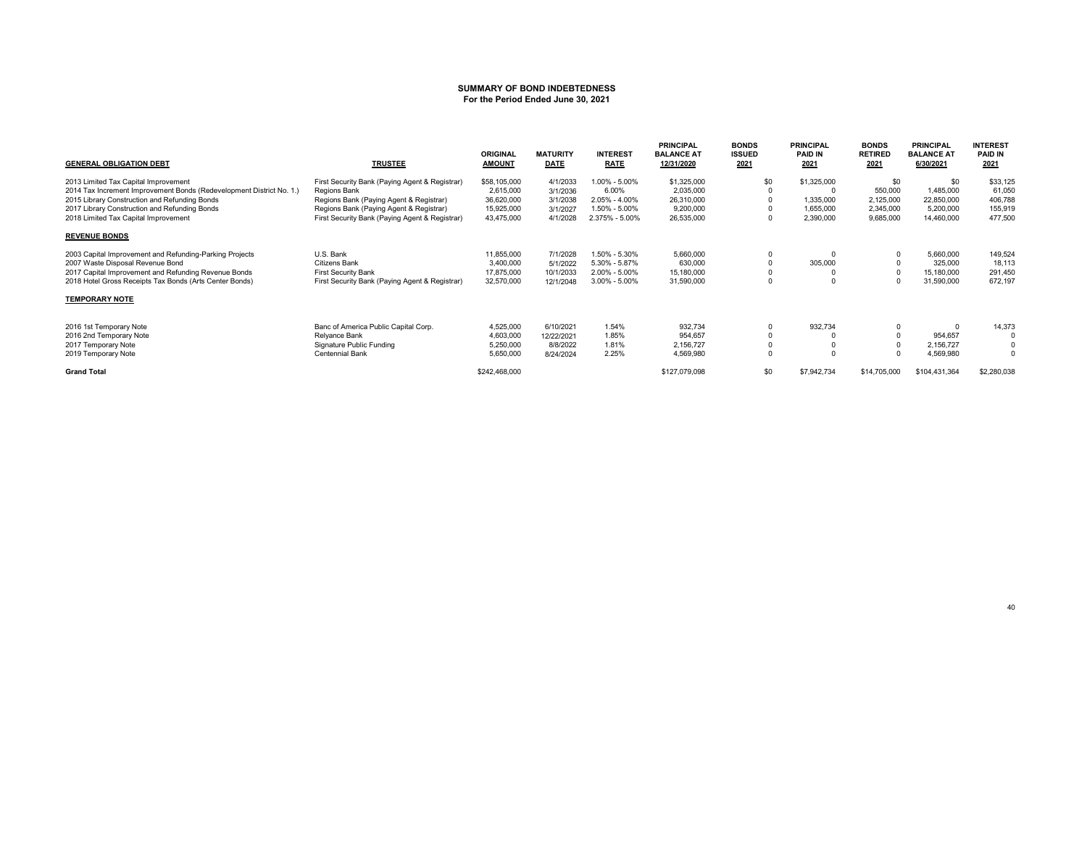#### **SUMMARY OF BOND INDEBTEDNESSFor the Period Ended June 30, 2021**

| <b>GENERAL OBLIGATION DEBT</b>                                       | <b>TRUSTEE</b>                                 | <b>ORIGINAL</b><br><b>AMOUNT</b> | <b>MATURITY</b><br><b>DATE</b> | <b>INTEREST</b><br><b>RATE</b> | <b>PRINCIPAL</b><br><b>BALANCE AT</b><br>12/31/2020 | <b>BONDS</b><br><b>ISSUED</b><br>2021 | <b>PRINCIPAL</b><br><b>PAID IN</b><br>2021 | <b>BONDS</b><br><b>RETIRED</b><br>2021 | <b>PRINCIPAL</b><br><b>BALANCE AT</b><br>6/30/2021 | <b>INTEREST</b><br><b>PAID IN</b><br>2021 |
|----------------------------------------------------------------------|------------------------------------------------|----------------------------------|--------------------------------|--------------------------------|-----------------------------------------------------|---------------------------------------|--------------------------------------------|----------------------------------------|----------------------------------------------------|-------------------------------------------|
| 2013 Limited Tax Capital Improvement                                 | First Security Bank (Paying Agent & Registrar) | \$58,105,000                     | 4/1/2033                       | 1.00% - 5.00%                  | \$1,325,000                                         | \$0                                   | \$1,325,000                                | \$0                                    | \$0                                                | \$33,125                                  |
| 2014 Tax Increment Improvement Bonds (Redevelopment District No. 1.) | Regions Bank                                   | 2,615,000                        | 3/1/2036                       | 6.00%                          | 2,035,000                                           |                                       |                                            | 550,000                                | 1,485,000                                          | 61,050                                    |
| 2015 Library Construction and Refunding Bonds                        | Regions Bank (Paying Agent & Registrar)        | 36,620,000                       | 3/1/2038                       | $2.05\% - 4.00\%$              | 26,310,000                                          |                                       | 1,335,000                                  | 2,125,000                              | 22,850,000                                         | 406,788                                   |
| 2017 Library Construction and Refunding Bonds                        | Regions Bank (Paying Agent & Registrar)        | 15,925,000                       | 3/1/2027                       | 1.50% - 5.00%                  | 9,200,000                                           |                                       | 1,655,000                                  | 2,345,000                              | 5,200,000                                          | 155,919                                   |
| 2018 Limited Tax Capital Improvement                                 | First Security Bank (Paying Agent & Registrar) | 43,475,000                       | 4/1/2028                       | 2.375% - 5.00%                 | 26,535,000                                          |                                       | 2,390,000                                  | 9,685,000                              | 14,460,000                                         | 477,500                                   |
| <b>REVENUE BONDS</b>                                                 |                                                |                                  |                                |                                |                                                     |                                       |                                            |                                        |                                                    |                                           |
| 2003 Capital Improvement and Refunding-Parking Projects              | U.S. Bank                                      | 11,855,000                       | 7/1/2028                       | 1.50% - 5.30%                  | 5,660,000                                           |                                       |                                            |                                        | 5,660,000                                          | 149,524                                   |
| 2007 Waste Disposal Revenue Bond                                     | Citizens Bank                                  | 3,400,000                        | 5/1/2022                       | 5.30% - 5.87%                  | 630,000                                             |                                       | 305,000                                    |                                        | 325,000                                            | 18,113                                    |
| 2017 Capital Improvement and Refunding Revenue Bonds                 | First Security Bank                            | 17,875,000                       | 10/1/2033                      | 2.00% - 5.00%                  | 15,180,000                                          |                                       |                                            |                                        | 15,180,000                                         | 291,450                                   |
| 2018 Hotel Gross Receipts Tax Bonds (Arts Center Bonds)              | First Security Bank (Paying Agent & Registrar) | 32,570,000                       | 12/1/2048                      | $3.00\% - 5.00\%$              | 31,590,000                                          |                                       |                                            |                                        | 31,590,000                                         | 672,197                                   |
| <b>TEMPORARY NOTE</b>                                                |                                                |                                  |                                |                                |                                                     |                                       |                                            |                                        |                                                    |                                           |
| 2016 1st Temporary Note                                              | Banc of America Public Capital Corp.           | 4,525,000                        | 6/10/2021                      | 1.54%                          | 932,734                                             |                                       | 932,734                                    |                                        |                                                    | 14,373                                    |
| 2016 2nd Temporary Note                                              | Relyance Bank                                  | 4,603,000                        | 12/22/2021                     | 1.85%                          | 954,657                                             |                                       |                                            |                                        | 954,657                                            |                                           |
| 2017 Temporary Note                                                  | Signature Public Funding                       | 5,250,000                        | 8/8/2022                       | 1.81%                          | 2,156,727                                           |                                       |                                            |                                        | 2,156,727                                          |                                           |
| 2019 Temporary Note                                                  | <b>Centennial Bank</b>                         | 5,650,000                        | 8/24/2024                      | 2.25%                          | 4,569,980                                           |                                       |                                            |                                        | 4,569,980                                          | $\Omega$                                  |
| <b>Grand Total</b>                                                   |                                                | \$242,468,000                    |                                |                                | \$127,079,098                                       | \$0                                   | \$7,942,734                                | \$14,705,000                           | \$104,431,364                                      | \$2,280,038                               |